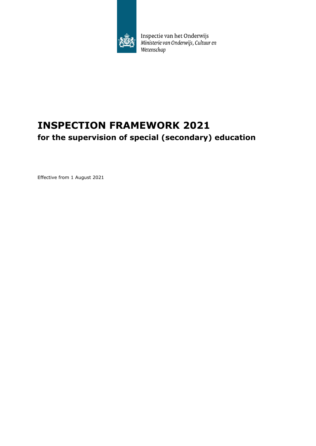

Inspectie van het Onderwijs<br>Ministerie van Onderwijs, Cultuur en<br>Wetenschap

# **INSPECTION FRAMEWORK 2021 for the supervision of special (secondary) education**

Effective from 1 August 2021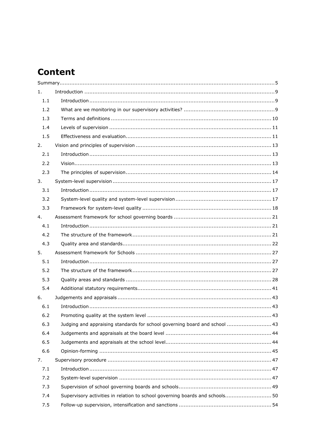# **Content**

| 1.  |                                                                              |
|-----|------------------------------------------------------------------------------|
| 1.1 |                                                                              |
| 1.2 |                                                                              |
| 1.3 |                                                                              |
| 1.4 |                                                                              |
| 1.5 |                                                                              |
| 2.  |                                                                              |
| 2.1 |                                                                              |
| 2.2 |                                                                              |
| 2.3 |                                                                              |
| 3.  |                                                                              |
| 3.1 |                                                                              |
| 3.2 |                                                                              |
| 3.3 |                                                                              |
| 4.  |                                                                              |
| 4.1 |                                                                              |
| 4.2 |                                                                              |
| 4.3 |                                                                              |
| 5.  |                                                                              |
| 5.1 |                                                                              |
| 5.2 |                                                                              |
| 5.3 |                                                                              |
| 5.4 |                                                                              |
| 6.  |                                                                              |
| 6.1 |                                                                              |
| 6.2 |                                                                              |
| 6.3 | Judging and appraising standards for school governing board and school  43   |
| 6.4 |                                                                              |
| 6.5 |                                                                              |
| 6.6 |                                                                              |
| 7.  |                                                                              |
| 7.1 |                                                                              |
| 7.2 |                                                                              |
| 7.3 |                                                                              |
| 7.4 | Supervisory activities in relation to school governing boards and schools 50 |
| 7.5 |                                                                              |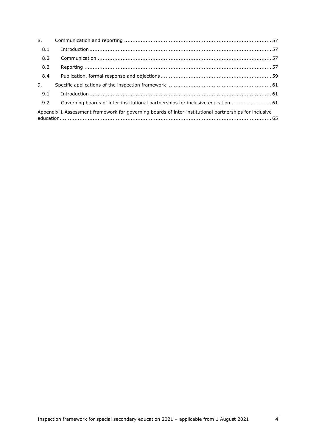| 8.  |                                                                                                        |  |
|-----|--------------------------------------------------------------------------------------------------------|--|
| 8.1 |                                                                                                        |  |
| 8.2 |                                                                                                        |  |
| 8.3 |                                                                                                        |  |
| 8.4 |                                                                                                        |  |
| 9.  |                                                                                                        |  |
| 9.1 |                                                                                                        |  |
| 9.2 | Governing boards of inter-institutional partnerships for inclusive education  61                       |  |
|     | Appendix 1 Assessment framework for governing boards of inter-institutional partnerships for inclusive |  |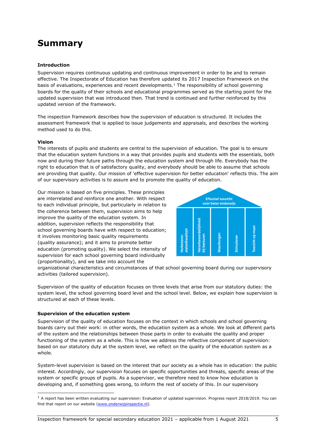# **Summary**

### **Introduction**

Supervision requires continuous updating and continuous improvement in order to be and to remain effective. The Inspectorate of Education has therefore updated its 2017 Inspection Framework on the basis of evaluations, experiences and recent developments.<sup>[1](#page-4-0)</sup> The responsibility of school governing boards for the quality of their schools and educational programmes served as the starting point for the updated supervision that was introduced then. That trend is continued and further reinforced by this updated version of the framework.

The inspection framework describes how the supervision of education is structured. It includes the assessment framework that is applied to issue judgements and appraisals, and describes the working method used to do this.

#### **Vision**

The interests of pupils and students are central to the supervision of education. The goal is to ensure that the education system functions in a way that provides pupils and students with the essentials, both now and during their future paths through the education system and through life. Everybody has the right to education that is of satisfactory quality, and everybody should be able to assume that schools are providing that quality. Our mission of 'effective supervision for better education' reflects this. The aim of our supervisory activities is to assure and to promote the quality of education.

Our mission is based on five principles. These principles are interrelated and reinforce one another. With respect to each individual principle, but particularly in relation to the coherence between them, supervision aims to help improve the quality of the education system. In addition, supervision reflects the responsibility that school governing boards have with respect to education; it involves monitoring basic quality requirements (quality assurance); and it aims to promote better education (promoting quality). We select the intensity of supervision for each school governing board individually (proportionality), and we take into account the



organizational characteristics and circumstances of that school governing board during our supervisory activities (tailored supervision).

Supervision of the quality of education focuses on three levels that arise from our statutory duties: the system level, the school governing board level and the school level. Below, we explain how supervision is structured at each of these levels.

#### **Supervision of the education system**

Supervision of the quality of education focuses on the context in which schools and school governing boards carry out their work: in other words, the education system as a whole. We look at different parts of the system and the relationships between those parts in order to evaluate the quality and proper functioning of the system as a whole. This is how we address the reflective component of supervision: based on our statutory duty at the system level, we reflect on the quality of the education system as a whole.

System-level supervision is based on the interest that our society as a whole has in education: the public interest. Accordingly, our supervision focuses on specific opportunities and threats, specific areas of the system or specific groups of pupils. As a supervisor, we therefore need to know how education is developing and, if something goes wrong, to inform the rest of society of this. In our supervisory

<span id="page-4-0"></span> $<sup>1</sup>$  A report has been written evaluating our supervision: Evaluation of updated supervision. Progress report 2018/2019. You can</sup> find that report on our website [\(www.onderwijsinspectie.nl\)](http://www.onderwijsinspectie.nl/).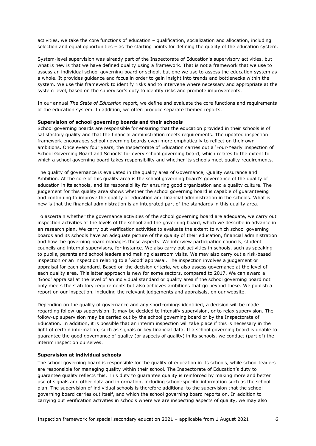activities, we take the core functions of education – qualification, socialization and allocation, including selection and equal opportunities – as the starting points for defining the quality of the education system.

System-level supervision was already part of the Inspectorate of Education's supervisory activities, but what is new is that we have defined quality using a framework. That is not a framework that we use to assess an individual school governing board or school, but one we use to assess the education system as a whole. It provides guidance and focus in order to gain insight into trends and bottlenecks within the system. We use this framework to identify risks and to intervene where necessary and appropriate at the system level, based on the supervisor's duty to identify risks and promote improvements.

In our annual *The State of Education* report, we define and evaluate the core functions and requirements of the education system. In addition, we often produce separate themed reports.

#### **Supervision of school governing boards and their schools**

School governing boards are responsible for ensuring that the education provided in their schools is of satisfactory quality and that the financial administration meets requirements. The updated inspection framework encourages school governing boards even more emphatically to reflect on their own ambitions. Once every four years, the Inspectorate of Education carries out a 'Four-Yearly Inspection of School Governing Board and Schools' for every school governing board, which relates to the extent to which a school governing board takes responsibility and whether its schools meet quality requirements.

The quality of governance is evaluated in the quality area of Governance, Quality Assurance and Ambition. At the core of this quality area is the school governing board's governance of the quality of education in its schools, and its responsibility for ensuring good organization and a quality culture. The judgement for this quality area shows whether the school governing board is capable of guaranteeing and continuing to improve the quality of education and financial administration in the schools. What is new is that the financial administration is an integrated part of the standards in this quality area.

To ascertain whether the governance activities of the school governing board are adequate, we carry out inspection activities at the levels of the school and the governing board, which we describe in advance in an research plan. We carry out verification activities to evaluate the extent to which school governing boards and its schools have an adequate picture of the quality of their education, financial administration and how the governing board manages these aspects. We interview participation councils, student councils and internal supervisors, for instance. We also carry out activities in schools, such as speaking to pupils, parents and school leaders and making classroom visits. We may also carry out a risk-based inspection or an inspection relating to a 'Good' appraisal. The inspection involves a judgement or appraisal for each standard. Based on the decision criteria, we also assess governance at the level of each quality area. This latter approach is new for some sectors, compared to 2017. We can award a 'Good' appraisal at the level of an individual standard or quality area if the school governing board not only meets the statutory requirements but also achieves ambitions that go beyond these. We publish a report on our inspection, including the relevant judgements and appraisals, on our website.

Depending on the quality of governance and any shortcomings identified, a decision will be made regarding follow-up supervision. It may be decided to intensify supervision, or to relax supervision. The follow-up supervision may be carried out by the school governing board or by the Inspectorate of Education. In addition, it is possible that an interim inspection will take place if this is necessary in the light of certain information, such as signals or key financial data. If a school governing board is unable to guarantee the good governance of quality (or aspects of quality) in its schools, we conduct (part of) the interim inspection ourselves.

#### **Supervision at individual schools**

The school governing board is responsible for the quality of education in its schools, while school leaders are responsible for managing quality within their school. The Inspectorate of Education's duty to guarantee quality reflects this. This duty to guarantee quality is reinforced by making more and better use of signals and other data and information, including school-specific information such as the school plan. The supervision of individual schools is therefore additional to the supervision that the school governing board carries out itself, and which the school governing board reports on. In addition to carrying out verification activities in schools where we are inspecting aspects of quality, we may also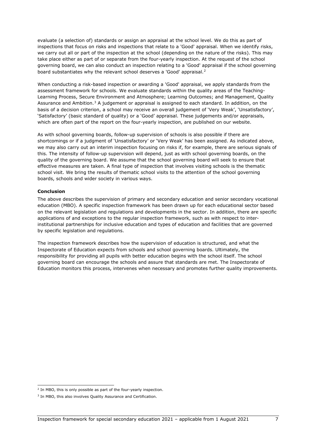evaluate (a selection of) standards or assign an appraisal at the school level. We do this as part of inspections that focus on risks and inspections that relate to a 'Good' appraisal. When we identify risks, we carry out all or part of the inspection at the school (depending on the nature of the risks). This may take place either as part of or separate from the four-yearly inspection. At the request of the school governing board, we can also conduct an inspection relating to a 'Good' appraisal if the school governing board substantiates why the relevant school deserves a 'Good' appraisal.[2](#page-6-0) 

When conducting a risk-based inspection or awarding a 'Good' appraisal, we apply standards from the assessment framework for schools. We evaluate standards within the quality areas of the Teaching-Learning Process, Secure Environment and Atmosphere; Learning Outcomes; and Management, Quality Assurance and Ambition.<sup>[3](#page-6-1)</sup> A judgement or appraisal is assigned to each standard. In addition, on the basis of a decision criterion, a school may receive an overall judgement of 'Very Weak', 'Unsatisfactory', 'Satisfactory' (basic standard of quality) or a 'Good' appraisal. These judgements and/or appraisals, which are often part of the report on the four-yearly inspection, are published on our website.

As with school governing boards, follow-up supervision of schools is also possible if there are shortcomings or if a judgment of 'Unsatisfactory' or 'Very Weak' has been assigned. As indicated above, we may also carry out an interim inspection focusing on risks if, for example, there are serious signals of this. The intensity of follow-up supervision will depend, just as with school governing boards, on the quality of the governing board. We assume that the school governing board will seek to ensure that effective measures are taken. A final type of inspection that involves visiting schools is the thematic school visit. We bring the results of thematic school visits to the attention of the school governing boards, schools and wider society in various ways.

#### **Conclusion**

The above describes the supervision of primary and secondary education and senior secondary vocational education (MBO). A specific inspection framework has been drawn up for each educational sector based on the relevant legislation and regulations and developments in the sector. In addition, there are specific applications of and exceptions to the regular inspection framework, such as with respect to interinstitutional partnerships for inclusive education and types of education and facilities that are governed by specific legislation and regulations.

The inspection framework describes how the supervision of education is structured, and what the Inspectorate of Education expects from schools and school governing boards. Ultimately, the responsibility for providing all pupils with better education begins with the school itself. The school governing board can encourage the schools and assure that standards are met. The Inspectorate of Education monitors this process, intervenes when necessary and promotes further quality improvements.

<span id="page-6-0"></span> $^{2}$  In MBO, this is only possible as part of the four-yearly inspection.

<span id="page-6-1"></span><sup>&</sup>lt;sup>3</sup> In MBO, this also involves Quality Assurance and Certification.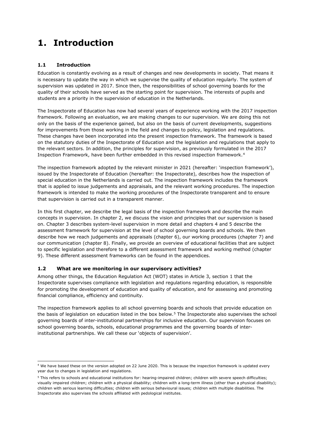# **1. Introduction**

## **1.1 Introduction**

Education is constantly evolving as a result of changes and new developments in society. That means it is necessary to update the way in which we supervise the quality of education regularly. The system of supervision was updated in 2017. Since then, the responsibilities of school governing boards for the quality of their schools have served as the starting point for supervision. The interests of pupils and students are a priority in the supervision of education in the Netherlands.

The Inspectorate of Education has now had several years of experience working with the 2017 inspection framework. Following an evaluation, we are making changes to our supervision. We are doing this not only on the basis of the experience gained, but also on the basis of current developments, suggestions for improvements from those working in the field and changes to policy, legislation and regulations. These changes have been incorporated into the present inspection framework. The framework is based on the statutory duties of the Inspectorate of Education and the legislation and regulations that apply to the relevant sectors. In addition, the principles for supervision, as previously formulated in the 2017 Inspection Framework, have been further embedded in this revised inspection framework.[4](#page-8-0)

The inspection framework adopted by the relevant minister in 2021 (hereafter: 'inspection framework'), issued by the Inspectorate of Education (hereafter: the Inspectorate), describes how the inspection of special education in the Netherlands is carried out. The inspection framework includes the framework that is applied to issue judgements and appraisals, and the relevant working procedures. The inspection framework is intended to make the working procedures of the Inspectorate transparent and to ensure that supervision is carried out in a transparent manner.

In this first chapter, we describe the legal basis of the inspection framework and describe the main concepts in supervision. In chapter 2, we discuss the vision and principles that our supervision is based on. Chapter 3 describes system-level supervision in more detail and chapters 4 and 5 describe the assessment framework for supervision at the level of school governing boards and schools. We then describe how we reach judgements and appraisals (chapter 6), our working procedures (chapter 7) and our communication (chapter 8). Finally, we provide an overview of educational facilities that are subject to specific legislation and therefore to a different assessment framework and working method (chapter 9). These different assessment frameworks can be found in the appendices.

## **1.2 What are we monitoring in our supervisory activities?**

Among other things, the Education Regulation Act (WOT) states in Article 3, section 1 that the Inspectorate supervises compliance with legislation and regulations regarding education, is responsible for promoting the development of education and quality of education, and for assessing and promoting financial compliance, efficiency and continuity.

The inspection framework applies to all school governing boards and schools that provide education on the basis of legislation on education listed in the box below.<sup>[5](#page-8-1)</sup> The Inspectorate also supervises the school governing boards of inter-institutional partnerships for inclusive education. Our supervision focuses on school governing boards, schools, educational programmes and the governing boards of interinstitutional partnerships. We call these our 'objects of supervision'.

<span id="page-8-0"></span><sup>4</sup> We have based these on the version adopted on 22 June 2020. This is because the inspection framework is updated every year due to changes in legislation and regulations.

<span id="page-8-1"></span><sup>&</sup>lt;sup>5</sup> This refers to schools and educational institutions for: hearing-impaired children; children with severe speech difficulties; visually impaired children; children with a physical disability; children with a long-term illness (other than a physical disability); children with serious learning difficulties; children with serious behavioural issues; children with multiple disabilities. The Inspectorate also supervises the schools affiliated with pedological institutes.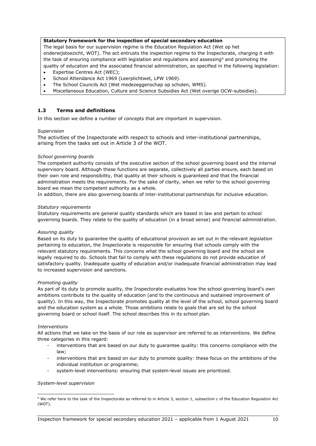#### **Statutory framework for the inspection of special secondary education**

The legal basis for our supervision regime is the Education Regulation Act (Wet op het onderwijstoezicht, WOT). The act entrusts the inspection regime to the Inspectorate, charging it with the task of ensuring compliance with legislation and regulations and assessing<sup>[6](#page-9-0)</sup> and promoting the quality of education and the associated financial administration, as specified in the following legislation:

- Expertise Centres Act (WEC);
- School Attendance Act 1969 (Leerplichtwet, LPW 1969).
- The School Councils Act (Wet medezeggenschap op scholen, WMS).
- Miscellaneous Education, Culture and Science Subsidies Act (Wet overige OCW-subsidies).

### **1.3 Terms and definitions**

In this section we define a number of concepts that are important in supervision.

#### *Supervision*

The activities of the Inspectorate with respect to schools and inter-institutional partnerships, arising from the tasks set out in Article 3 of the WOT.

#### *School governing boards*

The competent authority consists of the executive section of the school governing board and the internal supervisory board. Although these functions are separate, collectively all parties ensure, each based on their own role and responsibility, that quality at their schools is guaranteed and that the financial administration meets the requirements. For the sake of clarity, when we refer to the school governing board we mean the competent authority as a whole.

In addition, there are also governing boards of inter-institutional partnerships for inclusive education.

#### *Statutory requirements*

Statutory requirements are general quality standards which are based in law and pertain to school governing boards. They relate to the quality of education (in a broad sense) and financial administration.

#### *Assuring quality*

Based on its duty to guarantee the quality of educational provision as set out in the relevant legislation pertaining to education, the Inspectorate is responsible for ensuring that schools comply with the relevant statutory requirements. This concerns what the school governing board and the school are legally required to do. Schools that fail to comply with these regulations do not provide education of satisfactory quality. Inadequate quality of education and/or inadequate financial administration may lead to increased supervision and sanctions.

#### *Promoting quality*

As part of its duty to promote quality, the Inspectorate evaluates how the school governing board's own ambitions contribute to the quality of education (and to the continuous and sustained improvement of quality). In this way, the Inspectorate promotes quality at the level of the school, school governing board and the education system as a whole. Those ambitions relate to goals that are set by the school governing board or school itself. The school describes this in its school plan.

#### *Interventions*

All actions that we take on the basis of our role as supervisor are referred to as interventions. We define three categories in this regard:

- interventions that are based on our duty to guarantee quality: this concerns compliance with the law;
- interventions that are based on our duty to promote quality: these focus on the ambitions of the individual institution or programme;
- system-level interventions: ensuring that system-level issues are prioritized.

#### *System-level supervision*

<span id="page-9-0"></span> $6$  We refer here to the task of the Inspectorate as referred to in Article 3, section 1, subsection c of the Education Regulation Act (WOT).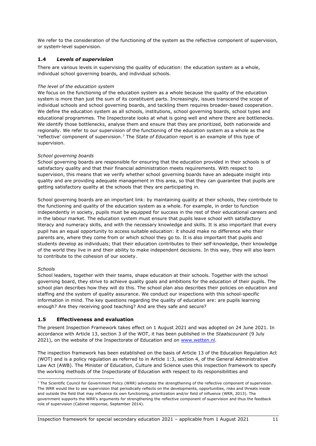We refer to the consideration of the functioning of the system as the reflective component of supervision, or system-level supervision.

## **1.4** *Levels of supervision*

There are various levels in supervising the quality of education: the education system as a whole, individual school governing boards, and individual schools.

#### *The level of the education system*

We focus on the functioning of the education system as a whole because the quality of the education system is more than just the sum of its constituent parts. Increasingly, issues transcend the scope of individual schools and school governing boards, and tackling them requires broader-based cooperation. We define the education system as all schools, institutions, school governing boards, school types and educational programmes. The Inspectorate looks at what is going well and where there are bottlenecks. We identify those bottlenecks, analyse them and ensure that they are prioritized, both nationwide and regionally. We refer to our supervision of the functioning of the education system as a whole as the 'reflective' component of supervision.[7](#page-10-0) The *State of Education* report is an example of this type of supervision.

#### *School governing boards*

School governing boards are responsible for ensuring that the education provided in their schools is of satisfactory quality and that their financial administration meets requirements. With respect to supervision, this means that we verify whether school governing boards have an adequate insight into quality and are providing adequate management in this area, so that they can guarantee that pupils are getting satisfactory quality at the schools that they are participating in.

School governing boards are an important link: by maintaining quality at their schools, they contribute to the functioning and quality of the education system as a whole. For example, in order to function independently in society, pupils must be equipped for success in the rest of their educational careers and in the labour market. The education system must ensure that pupils leave school with satisfactory literacy and numeracy skills, and with the necessary knowledge and skills. It is also important that every pupil has an equal opportunity to access suitable education: it should make no difference who their parents are, where they come from or which school they go to. It is also important that pupils and students develop as individuals; that their education contributes to their self-knowledge, their knowledge of the world they live in and their ability to make independent decisions. In this way, they will also learn to contribute to the cohesion of our society.

#### *Schools*

School leaders, together with their teams, shape education at their schools. Together with the school governing board, they strive to achieve quality goals and ambitions for the education of their pupils. The school plan describes how they will do this. The school plan also describes their policies on education and staffing and the system of quality assurance. We conduct our inspections with this school-specific information in mind. The key questions regarding the quality of education are: are pupils learning enough? Are they receiving good teaching? And are they safe and secure?

#### **1.5 Effectiveness and evaluation**

The present Inspection Framework takes effect on 1 August 2021 and was adopted on 24 June 2021. In accordance with Article 13, section 3 of the WOT, it has been published in the *Staatscourant* (9 July 2021), on the website of the Inspectorate of Education and on [www.wetten.nl.](http://www.wetten.nl/)

The inspection framework has been established on the basis of Article 13 of the Education Regulation Act (WOT) and is a policy regulation as referred to in Article 1:3, section 4, of the General Administrative Law Act (AWB). The Minister of Education, Culture and Science uses this inspection framework to specify the working methods of the Inspectorate of Education with respect to its responsibilities and

<span id="page-10-0"></span><sup>&</sup>lt;sup>7</sup> The Scientific Council for Government Policy (WRR) advocates the strengthening of the reflective component of supervision. The WRR would like to see supervision that periodically reflects on the developments, opportunities, risks and threats inside and outside the field that may influence its own functioning, prioritization and/or field of influence (WRR, 2013). The government supports the WRR's arguments for strengthening the reflective component of supervision and thus the feedback role of supervision (Cabinet response, September 2014).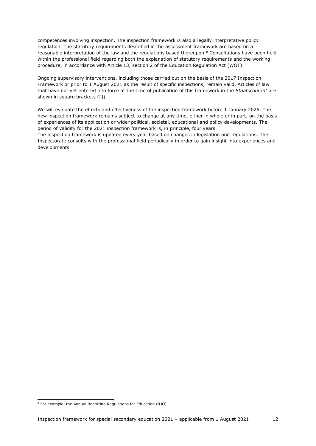competences involving inspection. The inspection framework is also a legally interpretative policy regulation. The statutory requirements described in the assessment framework are based on a reasonable interpretation of the law and the regulations based thereupon.<sup>[8](#page-11-0)</sup> Consultations have been held within the professional field regarding both the explanation of statutory requirements and the working procedure, in accordance with Article 13, section 2 of the Education Regulation Act (WOT).

Ongoing supervisory interventions, including those carried out on the basis of the 2017 Inspection Framework or prior to 1 August 2021 as the result of specific inspections, remain valid. Articles of law that have not yet entered into force at the time of publication of this framework in the *Staatscourant* are shown in square brackets ([1]).

We will evaluate the effects and effectiveness of the inspection framework before 1 January 2025. The new inspection framework remains subject to change at any time, either in whole or in part, on the basis of experiences of its application or wider political, societal, educational and policy developments. The period of validity for the 2021 inspection framework is, in principle, four years.

The inspection framework is updated every year based on changes in legislation and regulations. The Inspectorate consults with the professional field periodically in order to gain insight into experiences and developments.

<span id="page-11-0"></span><sup>8</sup> For example, the Annual Reporting Regulations for Education (RJO).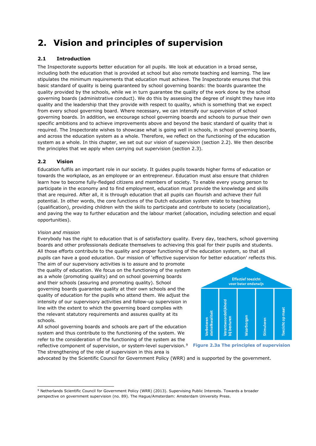# **2. Vision and principles of supervision**

## **2.1 Introduction**

The Inspectorate supports better education for all pupils. We look at education in a broad sense, including both the education that is provided at school but also remote teaching and learning. The law stipulates the minimum requirements that education must achieve. The Inspectorate ensures that this basic standard of quality is being guaranteed by school governing boards: the boards guarantee the quality provided by the schools, while we in turn guarantee the quality of the work done by the school governing boards (administrative conduct). We do this by assessing the degree of insight they have into quality and the leadership that they provide with respect to quality, which is something that we expect from every school governing board. Where necessary, we can intensify our supervision of school governing boards. In addition, we encourage school governing boards and schools to pursue their own specific ambitions and to achieve improvements above and beyond the basic standard of quality that is required. The Inspectorate wishes to showcase what is going well in schools, in school governing boards, and across the education system as a whole. Therefore, we reflect on the functioning of the education system as a whole. In this chapter, we set out our vision of supervision (section 2.2). We then describe the principles that we apply when carrying out supervision (section 2.3).

## **2.2 Vision**

Education fulfils an important role in our society. It guides pupils towards higher forms of education or towards the workplace, as an employee or an entrepreneur. Education must also ensure that children learn how to become fully-fledged citizens and members of society. To enable every young person to participate in the economy and to find employment, education must provide the knowledge and skills that are required. After all, it is through education that all pupils can flourish and achieve their full potential. In other words, the core functions of the Dutch education system relate to teaching (qualification), providing children with the skills to participate and contribute to society (socialization), and paving the way to further education and the labour market (allocation, including selection and equal opportunities).

#### *Vision and mission*

Everybody has the right to education that is of satisfactory quality. Every day, teachers, school governing boards and other professionals dedicate themselves to achieving this goal for their pupils and students. All those efforts contribute to the quality and proper functioning of the education system, so that all pupils can have a good education. Our mission of 'effective supervision for better education' reflects this.

The aim of our supervisory activities is to assure and to promote the quality of education. We focus on the functioning of the system as a whole (promoting quality) and on school governing boards and their schools (assuring and promoting quality). School governing boards guarantee quality at their own schools and the quality of education for the pupils who attend them. We adjust the intensity of our supervisory activities and follow-up supervision in line with the extent to which the governing board complies with the relevant statutory requirements and assures quality at its schools.

All school governing boards and schools are part of the education system and thus contribute to the functioning of the system. We refer to the consideration of the functioning of the system as the reflective component of supervision, or system-level supervision.<sup>[9](#page-12-0)</sup> The strengthening of the role of supervision in this area is



**Figure 2.3a The principles of supervision**

advocated by the Scientific Council for Government Policy (WRR) and is supported by the government.

<span id="page-12-0"></span><sup>9</sup> Netherlands Scientific Council for Government Policy (WRR) (2013). Supervising Public Interests. Towards a broader perspective on government supervision (no. 89). The Hague/Amsterdam: Amsterdam University Press.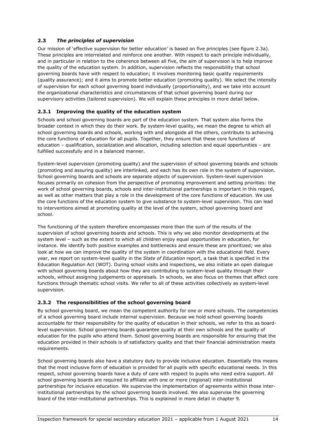## **2.3** *The principles of supervision*

Our mission of 'effective supervision for better education' is based on five principles (see figure 2.3a). These principles are interrelated and reinforce one another. With respect to each principle individually, and in particular in relation to the coherence between all five, the aim of supervision is to help improve the quality of the education system. In addition, supervision reflects the responsibility that school governing boards have with respect to education; it involves monitoring basic quality requirements (quality assurance); and it aims to promote better education (promoting quality). We select the intensity of supervision for each school governing board individually (proportionality), and we take into account the organizational characteristics and circumstances of that school governing board during our supervisory activities (tailored supervision). We will explain these principles in more detail below.

## **2.3.1 Improving the quality of the education system**

Schools and school governing boards are part of the education system. That system also forms the broader context in which they do their work. By system-level quality, we mean the degree to which all school governing boards and schools, working with and alongside all the others, contribute to achieving the core functions of education for all pupils. Together, they ensure that these core functions of education – qualification, socialization and allocation, including selection and equal opportunities – are fulfilled successfully and in a balanced manner.

System-level supervision (promoting quality) and the supervision of school governing boards and schools (promoting and assuring quality) are interlinked, and each has its own role in the system of supervision. School governing boards and schools are separate objects of supervision. System-level supervision focuses primarily on cohesion from the perspective of promoting improvement and setting priorities: the work of school governing boards, schools and inter-institutional partnerships is important in this regard, as well as other matters that play a role in the development of the core functions of education. We use the core functions of the education system to give substance to system-level supervision. This can lead to interventions aimed at promoting quality at the level of the system, school governing board and school.

The functioning of the system therefore encompasses more than the sum of the results of the supervision of school governing boards and schools. This is why we also monitor developments at the system level – such as the extent to which all children enjoy equal opportunities in education, for instance. We identify both positive examples and bottlenecks and ensure these are prioritized; we also look at how we can improve the quality of the system in coordination with the educational field. Every year, we report on system-level quality in the *State of Education* report, a task that is specified in the Education Regulation Act (WOT). During school visits and inspections, we also initiate an open dialogue with school governing boards about how they are contributing to system-level quality through their schools, without assigning judgements or appraisals. In schools, we also focus on themes that affect core functions through thematic school visits. We refer to all of these activities collectively as system-level supervision.

## **2.3.2 The responsibilities of the school governing board**

By school governing board, we mean the competent authority for one or more schools. The competencies of a school governing board include internal supervision. Because we hold school governing boards accountable for their responsibility for the quality of education in their schools, we refer to this as boardlevel supervision. School governing boards guarantee quality at their own schools and the quality of education for the pupils who attend them. School governing boards are responsible for ensuring that the education provided in their schools is of satisfactory quality and that their financial administration meets requirements.

School governing boards also have a statutory duty to provide inclusive education. Essentially this means that the most inclusive form of education is provided for all pupils with specific educational needs. In this respect, school governing boards have a duty of care with respect to pupils who need extra support. All school governing boards are required to affiliate with one or more (regional) inter-institutional partnerships for inclusive education. We supervise the implementation of agreements within those interinstitutional partnerships by the school governing boards involved. We also supervise the governing board of the inter-institutional partnerships. This is explained in more detail in chapter 9.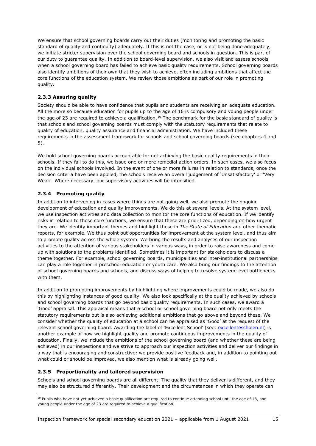We ensure that school governing boards carry out their duties (monitoring and promoting the basic standard of quality and continuity) adequately. If this is not the case, or is not being done adequately, we initiate stricter supervision over the school governing board and schools in question. This is part of our duty to guarantee quality. In addition to board-level supervision, we also visit and assess schools when a school governing board has failed to achieve basic quality requirements. School governing boards also identify ambitions of their own that they wish to achieve, often including ambitions that affect the core functions of the education system. We review those ambitions as part of our role in promoting quality.

## **2.3.3 Assuring quality**

Society should be able to have confidence that pupils and students are receiving an adequate education. All the more so because education for pupils up to the age of 16 is compulsory and young people under the age of 23 are required to achieve a qualification.<sup>[10](#page-14-0)</sup> The benchmark for the basic standard of quality is that schools and school governing boards must comply with the statutory requirements that relate to quality of education, quality assurance and financial administration. We have included these requirements in the assessment framework for schools and school governing boards (see chapters 4 and 5).

We hold school governing boards accountable for not achieving the basic quality requirements in their schools. If they fail to do this, we issue one or more remedial action orders. In such cases, we also focus on the individual schools involved. In the event of one or more failures in relation to standards, once the decision criteria have been applied, the schools receive an overall judgement of 'Unsatisfactory' or 'Very Weak'. Where necessary, our supervisory activities will be intensified.

## **2.3.4 Promoting quality**

In addition to intervening in cases where things are not going well, we also promote the ongoing development of education and quality improvements. We do this at several levels. At the system level, we use inspection activities and data collection to monitor the core functions of education. If we identify risks in relation to those core functions, we ensure that these are prioritized, depending on how urgent they are. We identify important themes and highlight these in *The State of Education* and other thematic reports, for example. We thus point out opportunities for improvement at the system level, and thus aim to promote quality across the whole system. We bring the results and analyses of our inspection activities to the attention of various stakeholders in various ways, in order to raise awareness and come up with solutions to the problems identified. Sometimes it is important for stakeholders to discuss a theme together. For example, school governing boards, municipalities and inter-institutional partnerships can play a role together in preschool education or youth care. We also bring our findings to the attention of school governing boards and schools, and discuss ways of helping to resolve system-level bottlenecks with them.

In addition to promoting improvements by highlighting where improvements could be made, we also do this by highlighting instances of good quality. We also look specifically at the quality achieved by schools and school governing boards that go beyond basic quality requirements. In such cases, we award a 'Good' appraisal. This appraisal means that a school or school governing board not only meets the statutory requirements but is also achieving additional ambitions that go above and beyond these. We consider whether the quality of education at a school can be appraised as 'Good' at the request of the relevant school governing board. Awarding the label of 'Excellent School' (see: [excellentescholen.nl\)](https://www.excellentescholen.nl/) is another example of how we highlight quality and promote continuous improvements in the quality of education. Finally, we include the ambitions of the school governing board (and whether these are being achieved) in our inspections and we strive to approach our inspection activities and deliver our findings in a way that is encouraging and constructive: we provide positive feedback and, in addition to pointing out what could or should be improved, we also mention what is already going well.

#### **2.3.5 Proportionality and tailored supervision**

Schools and school governing boards are all different. The quality that they deliver is different, and they may also be structured differently. Their development and the circumstances in which they operate can

<span id="page-14-0"></span><sup>&</sup>lt;sup>10</sup> Pupils who have not vet achieved a basic qualification are required to continue attending school until the age of 18, and young people under the age of 23 are required to achieve a qualification.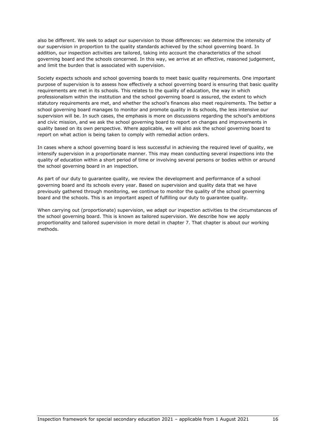also be different. We seek to adapt our supervision to those differences: we determine the intensity of our supervision in proportion to the quality standards achieved by the school governing board. In addition, our inspection activities are tailored, taking into account the characteristics of the school governing board and the schools concerned. In this way, we arrive at an effective, reasoned judgement, and limit the burden that is associated with supervision.

Society expects schools and school governing boards to meet basic quality requirements. One important purpose of supervision is to assess how effectively a school governing board is ensuring that basic quality requirements are met in its schools. This relates to the quality of education, the way in which professionalism within the institution and the school governing board is assured, the extent to which statutory requirements are met, and whether the school's finances also meet requirements. The better a school governing board manages to monitor and promote quality in its schools, the less intensive our supervision will be. In such cases, the emphasis is more on discussions regarding the school's ambitions and civic mission, and we ask the school governing board to report on changes and improvements in quality based on its own perspective. Where applicable, we will also ask the school governing board to report on what action is being taken to comply with remedial action orders.

In cases where a school governing board is less successful in achieving the required level of quality, we intensify supervision in a proportionate manner. This may mean conducting several inspections into the quality of education within a short period of time or involving several persons or bodies within or around the school governing board in an inspection.

As part of our duty to guarantee quality, we review the development and performance of a school governing board and its schools every year. Based on supervision and quality data that we have previously gathered through monitoring, we continue to monitor the quality of the school governing board and the schools. This is an important aspect of fulfilling our duty to guarantee quality.

When carrying out (proportionate) supervision, we adapt our inspection activities to the circumstances of the school governing board. This is known as tailored supervision. We describe how we apply proportionality and tailored supervision in more detail in chapter 7. That chapter is about our working methods.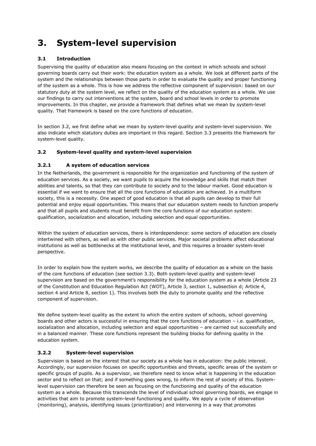# **3. System-level supervision**

## **3.1 Introduction**

Supervising the quality of education also means focusing on the context in which schools and school governing boards carry out their work: the education system as a whole. We look at different parts of the system and the relationships between those parts in order to evaluate the quality and proper functioning of the system as a whole. This is how we address the reflective component of supervision: based on our statutory duty at the system level, we reflect on the quality of the education system as a whole. We use our findings to carry out interventions at the system, board and school levels in order to promote improvements. In this chapter, we provide a framework that defines what we mean by system-level quality. That framework is based on the core functions of education.

In section 3.2, we first define what we mean by system-level quality and system-level supervision. We also indicate which statutory duties are important in this regard. Section 3.3 presents the framework for system-level quality.

## **3.2 System-level quality and system-level supervision**

## **3.2.1 A system of education services**

In the Netherlands, the government is responsible for the organization and functioning of the system of education services. As a society, we want pupils to acquire the knowledge and skills that match their abilities and talents, so that they can contribute to society and to the labour market. Good education is essential if we want to ensure that all the core functions of education are achieved. In a multiform society, this is a necessity. One aspect of good education is that all pupils can develop to their full potential and enjoy equal opportunities. This means that our education system needs to function properly and that all pupils and students must benefit from the core functions of our education system: qualification, socialization and allocation, including selection and equal opportunities.

Within the system of education services, there is interdependence: some sectors of education are closely intertwined with others, as well as with other public services. Major societal problems affect educational institutions as well as bottlenecks at the institutional level, and this requires a broader system-level perspective.

In order to explain how the system works, we describe the quality of education as a whole on the basis of the core functions of education (see section 3.3). Both system-level quality and system-level supervision are based on the government's responsibility for the education system as a whole (Article 23 of the Constitution and Education Regulation Act (WOT), Article 3, section 1, subsection d; Article 4, section 4 and Article 8, section 1). This involves both the duty to promote quality and the reflective component of supervision.

We define system-level quality as the extent to which the entire system of schools, school governing boards and other actors is successful in ensuring that the core functions of education – i.e. qualification, socialization and allocation, including selection and equal opportunities – are carried out successfully and in a balanced manner. These core functions represent the building blocks for defining quality in the education system.

# **3.2.2 System-level supervision**

Supervision is based on the interest that our society as a whole has in education: the public interest. Accordingly, our supervision focuses on specific opportunities and threats, specific areas of the system or specific groups of pupils. As a supervisor, we therefore need to know what is happening in the education sector and to reflect on that; and if something goes wrong, to inform the rest of society of this. Systemlevel supervision can therefore be seen as focusing on the functioning and quality of the education system as a whole. Because this transcends the level of individual school governing boards, we engage in activities that aim to promote system-level functioning and quality. We apply a cycle of observation (monitoring), analysis, identifying issues (prioritization) and intervening in a way that promotes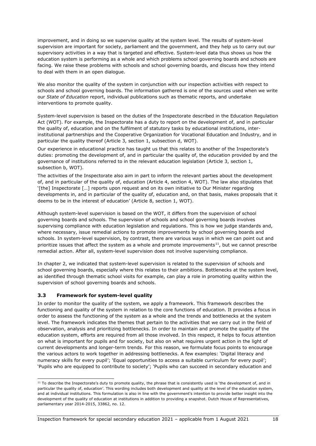improvement, and in doing so we supervise quality at the system level. The results of system-level supervision are important for society, parliament and the government, and they help us to carry out our supervisory activities in a way that is targeted and effective. System-level data thus shows us how the education system is performing as a whole and which problems school governing boards and schools are facing. We raise these problems with schools and school governing boards, and discuss how they intend to deal with them in an open dialogue.

We also monitor the quality of the system in conjunction with our inspection activities with respect to schools and school governing boards. The information gathered is one of the sources used when we write our *State of Education* report, individual publications such as thematic reports, and undertake interventions to promote quality.

System-level supervision is based on the duties of the Inspectorate described in the Education Regulation Act (WOT). For example, the Inspectorate has a duty to report on the development of, and in particular the quality of, education and on the fulfilment of statutory tasks by educational institutions, interinstitutional partnerships and the Cooperative Organization for Vocational Education and Industry, and in particular the quality thereof (Article 3, section 1, subsection d, WOT).

Our experience in educational practice has taught us that this relates to another of the Inspectorate's duties: promoting the development of, and in particular the quality of, the education provided by and the governance of institutions referred to in the relevant education legislation (Article 3, section 1, subsection b, WOT).

The activities of the Inspectorate also aim in part to inform the relevant parties about the development of, and in particular of the quality of, education (Article 4, section 4, WOT). The law also stipulates that '[the] Inspectorate […] reports upon request and on its own initiative to Our Minister regarding developments in, and in particular of the quality of, education and, on that basis, makes proposals that it deems to be in the interest of education' (Article 8, section 1, WOT).

Although system-level supervision is based on the WOT, it differs from the supervision of school governing boards and schools. The supervision of schools and school governing boards involves supervising compliance with education legislation and regulations. This is how we judge standards and, where necessary, issue remedial actions to promote improvements by school governing boards and schools. In system-level supervision, by contrast, there are various ways in which we can point out and prioritize issues that affect the system as a whole and promote improvements<sup>11</sup>, but we cannot prescribe remedial action. After all, system-level supervision does not involve supervising compliance.

In chapter 2, we indicated that system-level supervision is related to the supervision of schools and school governing boards, especially where this relates to their ambitions. Bottlenecks at the system level, as identified through thematic school visits for example, can play a role in promoting quality within the supervision of school governing boards and schools.

## **3.3 Framework for system-level quality**

In order to monitor the quality of the system, we apply a framework. This framework describes the functioning and quality of the system in relation to the core functions of education. It provides a focus in order to assess the functioning of the system as a whole and the trends and bottlenecks at the system level. The framework indicates the themes that pertain to the activities that we carry out in the field of observation, analysis and prioritizing bottlenecks. In order to maintain and promote the quality of the education system, efforts are required from all those involved. In this respect, it helps to focus attention on what is important for pupils and for society, but also on what requires urgent action in the light of current developments and longer-term trends. For this reason, we formulate focus points to encourage the various actors to work together in addressing bottlenecks. A few examples: 'Digital literacy and numeracy skills for every pupil'; 'Equal opportunities to access a suitable curriculum for every pupil'; 'Pupils who are equipped to contribute to society'; 'Pupils who can succeed in secondary education and

<span id="page-17-0"></span><sup>&</sup>lt;sup>11</sup> To describe the Inspectorate's duty to promote quality, the phrase that is consistently used is 'the development of, and in particular the quality of, education'. This wording includes both development and quality at the level of the education system, and at individual institutions. This formulation is also in line with the government's intention to provide better insight into the development of the quality of education at institutions in addition to providing a snapshot. Dutch House of Representatives, parliamentary year 2014-2015, 33862, no. 12.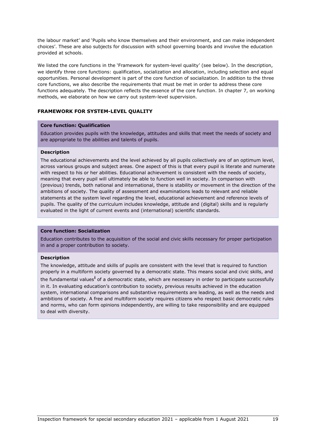the labour market' and 'Pupils who know themselves and their environment, and can make independent choices'. These are also subjects for discussion with school governing boards and involve the education provided at schools.

We listed the core functions in the 'Framework for system-level quality' (see below). In the description, we identify three core functions: qualification, socialization and allocation, including selection and equal opportunities. Personal development is part of the core function of socialization. In addition to the three core functions, we also describe the requirements that must be met in order to address these core functions adequately. The description reflects the essence of the core function. In chapter 7, on working methods, we elaborate on how we carry out system-level supervision.

#### **FRAMEWORK FOR SYSTEM-LEVEL QUALITY**

#### **Core function: Qualification**

Education provides pupils with the knowledge, attitudes and skills that meet the needs of society and are appropriate to the abilities and talents of pupils.

#### **Description**

The educational achievements and the level achieved by all pupils collectively are of an optimum level, across various groups and subject areas. One aspect of this is that every pupil is literate and numerate with respect to his or her abilities. Educational achievement is consistent with the needs of society, meaning that every pupil will ultimately be able to function well in society. In comparison with (previous) trends, both national and international, there is stability or movement in the direction of the ambitions of society. The quality of assessment and examinations leads to relevant and reliable statements at the system level regarding the level, educational achievement and reference levels of pupils. The quality of the curriculum includes knowledge, attitude and (digital) skills and is regularly evaluated in the light of current events and (international) scientific standards.

#### **Core function: Socialization**

Education contributes to the acquisition of the social and civic skills necessary for proper participation in and a proper contribution to society.

#### **Description**

<span id="page-18-0"></span>The knowledge, attitude and skills of pupils are consistent with the level that is required to function properly in a multiform society governed by a democratic state. This means social and civic skills, and the fundamental values**[i](#page-73-0)** of a democratic state, which are necessary in order to participate successfully in it. In evaluating education's contribution to society, previous results achieved in the education system, international comparisons and substantive requirements are leading, as well as the needs and ambitions of society. A free and multiform society requires citizens who respect basic democratic rules and norms, who can form opinions independently, are willing to take responsibility and are equipped to deal with diversity.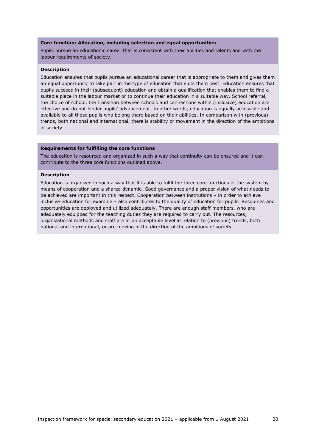#### **Core function: Allocation, including selection and equal opportunities**

Pupils pursue an educational career that is consistent with their abilities and talents and with the labour requirements of society.

#### **Description**

Education ensures that pupils pursue an educational career that is appropriate to them and gives them an equal opportunity to take part in the type of education that suits them best. Education ensures that pupils succeed in their (subsequent) education and obtain a qualification that enables them to find a suitable place in the labour market or to continue their education in a suitable way. School referral, the choice of school, the transition between schools and connections within (inclusive) education are effective and do not hinder pupils' advancement. In other words, education is equally accessible and available to all those pupils who belong there based on their abilities. In comparison with (previous) trends, both national and international, there is stability or movement in the direction of the ambitions of society.

#### **Requirements for fulfilling the core functions**

The education is resourced and organized in such a way that continuity can be ensured and it can contribute to the three core functions outlined above.

#### **Description**

Education is organized in such a way that it is able to fulfil the three core functions of the system by means of cooperation and a shared dynamic. Good governance and a proper vision of what needs to be achieved are important in this respect. Cooperation between institutions – in order to achieve inclusive education for example – also contributes to the quality of education for pupils. Resources and opportunities are deployed and utilized adequately. There are enough staff members, who are adequately equipped for the teaching duties they are required to carry out. The resources, organizational methods and staff are at an acceptable level in relation to (previous) trends, both national and international, or are moving in the direction of the ambitions of society.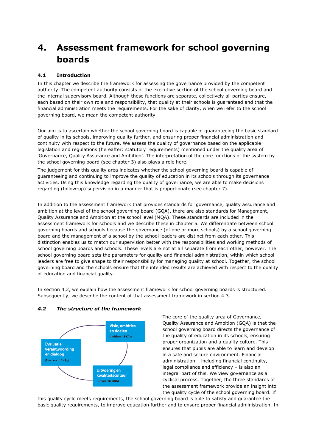# **4. Assessment framework for school governing boards**

## **4.1 Introduction**

In this chapter we describe the framework for assessing the governance provided by the competent authority. The competent authority consists of the executive section of the school governing board and the internal supervisory board. Although these functions are separate, collectively all parties ensure, each based on their own role and responsibility, that quality at their schools is guaranteed and that the financial administration meets the requirements. For the sake of clarity, when we refer to the school governing board, we mean the competent authority.

Our aim is to ascertain whether the school governing board is capable of guaranteeing the basic standard of quality in its schools, improving quality further, and ensuring proper financial administration and continuity with respect to the future. We assess the quality of governance based on the applicable legislation and regulations (hereafter: statutory requirements) mentioned under the quality area of 'Governance, Quality Assurance and Ambition'. The interpretation of the core functions of the system by the school governing board (see chapter 3) also plays a role here.

The judgement for this quality area indicates whether the school governing board is capable of guaranteeing and continuing to improve the quality of education in its schools through its governance activities. Using this knowledge regarding the quality of governance, we are able to make decisions regarding (follow-up) supervision in a manner that is proportionate (see chapter 7).

In addition to the assessment framework that provides standards for governance, quality assurance and ambition at the level of the school governing board (GQA), there are also standards for Management, Quality Assurance and Ambition at the school level (MQA). These standards are included in the assessment framework for schools and we describe these in chapter 5. We differentiate between school governing boards and schools because the governance (of one or more schools) by a school governing board and the management of a school by the school leaders are distinct from each other. This distinction enables us to match our supervision better with the responsibilities and working methods of school governing boards and schools. These levels are not at all separate from each other, however. The school governing board sets the parameters for quality and financial administration, within which school leaders are free to give shape to their responsibility for managing quality at school. Together, the school governing board and the schools ensure that the intended results are achieved with respect to the quality of education and financial quality.

In section 4.2, we explain how the assessment framework for school governing boards is structured. Subsequently, we describe the content of that assessment framework in section 4.3.

#### *4.2 The structure of the framework*



The core of the quality area of Governance, Quality Assurance and Ambition (GQA) is that the school governing board directs the governance of the quality of education in its schools, ensuring proper organization and a quality culture. This ensures that pupils are able to learn and develop in a safe and secure environment. Financial administration – including financial continuity, legal compliance and efficiency – is also an integral part of this. We view governance as a cyclical process. Together, the three standards of the assessment framework provide an insight into the quality cycle of the school governing board. If

this quality cycle meets requirements, the school governing board is able to satisfy and guarantee the basic quality requirements, to improve education further and to ensure proper financial administration. In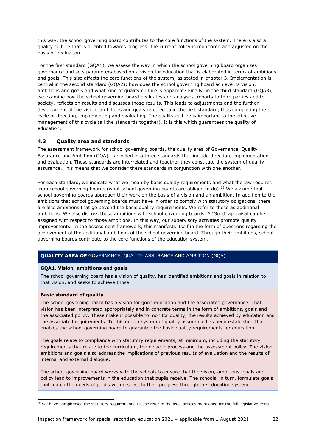this way, the school governing board contributes to the core functions of the system. There is also a quality culture that is oriented towards progress: the current policy is monitored and adjusted on the basis of evaluation.

For the first standard (GQA1), we assess the way in which the school governing board organizes governance and sets parameters based on a vision for education that is elaborated in terms of ambitions and goals. This also affects the core functions of the system, as stated in chapter 3. Implementation is central in the second standard (GQA2): how does the school governing board achieve its vision, ambitions and goals and what kind of quality culture is apparent? Finally, in the third standard (GQA3), we examine how the school governing board evaluates and analyses, reports to third parties and to society, reflects on results and discusses those results. This leads to adjustments and the further development of the vision, ambitions and goals referred to in the first standard, thus completing the cycle of directing, implementing and evaluating. The quality culture is important to the effective management of this cycle (all the standards together). It is this which guarantees the quality of education.

## **4.3 Quality area and standards**

The assessment framework for school governing boards, the quality area of Governance, Quality Assurance and Ambition (GQA), is divided into three standards that include direction, implementation and evaluation. These standards are interrelated and together they constitute the system of quality assurance. This means that we consider these standards in conjunction with one another.

For each standard, we indicate what we mean by basic quality requirements and what the law requires from school governing boards (what school governing boards are obliged to do).<sup>[12](#page-21-0)</sup> We assume that school governing boards approach their work on the basis of a vision and an ambition. In addition to the ambitions that school governing boards must have in order to comply with statutory obligations, there are also ambitions that go beyond the basic quality requirements. We refer to these as additional ambitions. We also discuss these ambitions with school governing boards. A 'Good' appraisal can be assigned with respect to those ambitions. In this way, our supervisory activities promote quality improvements. In the assessment framework, this manifests itself in the form of questions regarding the achievement of the additional ambitions of the school governing board. Through their ambitions, school governing boards contribute to the core functions of the education system.

## **QUALITY AREA OF** GOVERNANCE, QUALITY ASSURANCE AND AMBITION (GQA)

#### **GQA1. Vision, ambitions and goals**

The school governing board has a vision of quality, has identified ambitions and goals in relation to that vision, and seeks to achieve those.

#### **Basic standard of quality**

The school governing board has a vision for good education and the associated governance. That vision has been interpreted appropriately and in concrete terms in the form of ambitions, goals and the associated policy. These make it possible to monitor quality, the results achieved by education and the associated requirements. To this end, a system of quality assurance has been established that enables the school governing board to guarantee the basic quality requirements for education.

The goals relate to compliance with statutory requirements, at minimum, including the statutory requirements that relate to the curriculum, the didactic process and the assessment policy. The vision, ambitions and goals also address the implications of previous results of evaluation and the results of internal and external dialogue.

The school governing board works with the schools to ensure that the vision, ambitions, goals and policy lead to improvements in the education that pupils receive. The schools, in turn, formulate goals that match the needs of pupils with respect to their progress through the education system.

<span id="page-21-0"></span> $12$  We have paraphrased the statutory requirements. Please refer to the legal articles mentioned for the full legislative texts.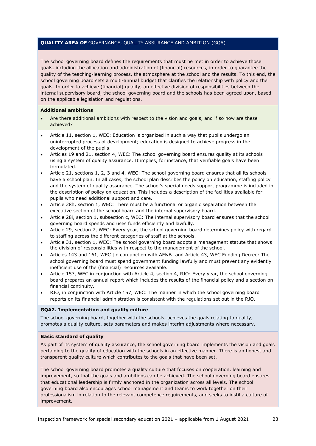The school governing board defines the requirements that must be met in order to achieve those goals, including the allocation and administration of (financial) resources, in order to guarantee the quality of the teaching-learning process, the atmosphere at the school and the results. To this end, the school governing board sets a multi-annual budget that clarifies the relationship with policy and the goals. In order to achieve (financial) quality, an effective division of responsibilities between the internal supervisory board, the school governing board and the schools has been agreed upon, based on the applicable legislation and regulations.

#### **Additional ambitions**

- Are there additional ambitions with respect to the vision and goals, and if so how are these achieved?
- Article 11, section 1, WEC: Education is organized in such a way that pupils undergo an uninterrupted process of development; education is designed to achieve progress in the development of the pupils.
- Articles 19 and 21, section 4, WEC: The school governing board ensures quality at its schools using a system of quality assurance. It implies, for instance, that verifiable goals have been formulated.
- Article 21, sections 1, 2, 3 and 4, WEC: The school governing board ensures that all its schools have a school plan. In all cases, the school plan describes the policy on education, staffing policy and the system of quality assurance. The school's special needs support programme is included in the description of policy on education. This includes a description of the facilities available for pupils who need additional support and care.
- Article 28h, section 1, WEC: There must be a functional or organic separation between the executive section of the school board and the internal supervisory board.
- Article 28i, section 1, subsection c, WEC: The internal supervisory board ensures that the school governing board spends and uses funds efficiently and lawfully.
- Article 29, section 7, WEC: Every year, the school governing board determines policy with regard to staffing across the different categories of staff at the schools.
- Article 31, section 1, WEC: The school governing board adopts a management statute that shows the division of responsibilities with respect to the management of the school.
- Articles 143 and 161, WEC [in conjunction with AMvB] and Article 43, WEC Funding Decree: The school governing board must spend government funding lawfully and must prevent any evidently inefficient use of the (financial) resources available.
- Article 157, WEC in conjunction with Article 4, section 4, RJO: Every year, the school governing board prepares an annual report which includes the results of the financial policy and a section on financial continuity.
- RJO, in conjunction with Article 157, WEC: The manner in which the school governing board reports on its financial administration is consistent with the regulations set out in the RJO.

#### **GQA2. Implementation and quality culture**

The school governing board, together with the schools, achieves the goals relating to quality, promotes a quality culture, sets parameters and makes interim adjustments where necessary.

#### **Basic standard of quality**

As part of its system of quality assurance, the school governing board implements the vision and goals pertaining to the quality of education with the schools in an effective manner. There is an honest and transparent quality culture which contributes to the goals that have been set.

The school governing board promotes a quality culture that focuses on cooperation, learning and improvement, so that the goals and ambitions can be achieved. The school governing board ensures that educational leadership is firmly anchored in the organization across all levels. The school governing board also encourages school management and teams to work together on their professionalism in relation to the relevant competence requirements, and seeks to instil a culture of improvement.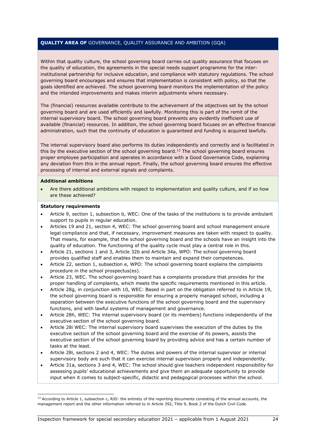Within that quality culture, the school governing board carries out quality assurance that focuses on the quality of education, the agreements in the special needs support programme for the interinstitutional partnership for inclusive education, and compliance with statutory regulations. The school governing board encourages and ensures that implementation is consistent with policy, so that the goals identified are achieved. The school governing board monitors the implementation of the policy and the intended improvements and makes interim adjustments where necessary.

The (financial) resources available contribute to the achievement of the objectives set by the school governing board and are used efficiently and lawfully. Monitoring this is part of the remit of the internal supervisory board. The school governing board prevents any evidently inefficient use of available (financial) resources. In addition, the school governing board focuses on an effective financial administration, such that the continuity of education is guaranteed and funding is acquired lawfully.

The internal supervisory board also performs its duties independently and correctly and is facilitated in this by the executive section of the school governing board.<sup>[13](#page-23-0)</sup> The school governing board ensures proper employee participation and operates in accordance with a Good Governance Code, explaining any deviation from this in the annual report. Finally, the school governing board ensures the effective processing of internal and external signals and complaints.

#### **Additional ambitions**

• Are there additional ambitions with respect to implementation and quality culture, and if so how are these achieved?

#### **Statutory requirements**

- Article 9, section 1, subsection b, WEC: One of the tasks of the institutions is to provide ambulant support to pupils in regular education.
- Articles 19 and 21, section 4, WEC: The school governing board and school management ensure legal compliance and that, if necessary, improvement measures are taken with respect to quality. That means, for example, that the school governing board and the schools have an insight into the quality of education. The functioning of the quality cycle must play a central role in this.
- Article 21, sections 1 and 3, Article 32b and Article 34a, WPO: The school governing board provides qualified staff and enables them to maintain and expand their competences.
- Article 22, section 1, subsection e, WPO: The school governing board explains the complaints procedure in the school prospectus(es).
- Article 23, WEC. The school governing board has a complaints procedure that provides for the proper handling of complaints, which meets the specific requirements mentioned in this article.
- Article 28g, in conjunction with 10, WEC: Based in part on the obligation referred to in Article 19, the school governing board is responsible for ensuring a properly managed school, including a separation between the executive functions of the school governing board and the supervisory functions, and with lawful systems of management and governance.
- Article 28h, WEC: The internal supervisory board (or its members) functions independently of the executive section of the school governing board.
- Article 28i WEC: The internal supervisory board supervises the execution of the duties by the executive section of the school governing board and the exercise of its powers, assists the executive section of the school governing board by providing advice and has a certain number of tasks at the least.
- Article 28i, sections 2 and 4, WEC: The duties and powers of the internal supervisor or internal supervisory body are such that it can exercise internal supervision properly and independently.
- Article 31a, sections 3 and 4, WEC: The school should give teachers independent responsibility for assessing pupils' educational achievements and give them an adequate opportunity to provide input when it comes to subject-specific, didactic and pedagogical processes within the school.

<span id="page-23-0"></span> $13$  According to Article 1, subsection c, RJO: the entirety of the reporting documents consisting of the annual accounts, the management report and the other information referred to in Article 392, Title 9, Book 2 of the Dutch Civil Code.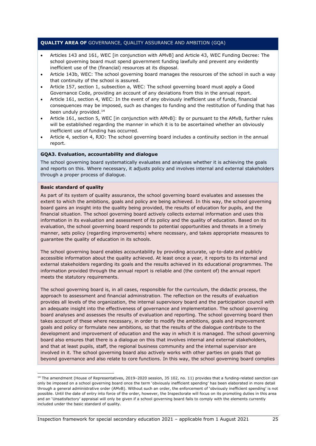- Articles 143 and 161, WEC [in conjunction with AMvB] and Article 43, WEC Funding Decree: The school governing board must spend government funding lawfully and prevent any evidently inefficient use of the (financial) resources at its disposal.
- Article 143b, WEC: The school governing board manages the resources of the school in such a way that continuity of the school is assured.
- Article 157, section 1, subsection a, WEC: The school governing board must apply a Good Governance Code, providing an account of any deviations from this in the annual report.
- Article 161, section 4, WEC: In the event of any obviously inefficient use of funds, financial consequences may be imposed, such as changes to funding and the restitution of funding that has been unduly provided.<sup>[14](#page-24-0)</sup>
- Article 161, section 5, WEC [in conjunction with AMvB]: By or pursuant to the AMvB, further rules will be established regarding the manner in which it is to be ascertained whether an obviously inefficient use of funding has occurred.
- Article 4, section 4, RJO: The school governing board includes a continuity section in the annual report.

#### **GQA3. Evaluation, accountability and dialogue**

The school governing board systematically evaluates and analyses whether it is achieving the goals and reports on this. Where necessary, it adjusts policy and involves internal and external stakeholders through a proper process of dialogue.

#### **Basic standard of quality**

As part of its system of quality assurance, the school governing board evaluates and assesses the extent to which the ambitions, goals and policy are being achieved. In this way, the school governing board gains an insight into the quality being provided, the results of education for pupils, and the financial situation. The school governing board actively collects external information and uses this information in its evaluation and assessment of its policy and the quality of education. Based on its evaluation, the school governing board responds to potential opportunities and threats in a timely manner, sets policy (regarding improvements) where necessary, and takes appropriate measures to guarantee the quality of education in its schools.

The school governing board enables accountability by providing accurate, up-to-date and publicly accessible information about the quality achieved. At least once a year, it reports to its internal and external stakeholders regarding its goals and the results achieved in its educational programmes. The information provided through the annual report is reliable and (the content of) the annual report meets the statutory requirements.

The school governing board is, in all cases, responsible for the curriculum, the didactic process, the approach to assessment and financial administration. The reflection on the results of evaluation provides all levels of the organization, the internal supervisory board and the participation council with an adequate insight into the effectiveness of governance and implementation. The school governing board analyses and assesses the results of evaluation and reporting. The school governing board then takes account of these where necessary, in order to modify the ambitions, goals and improvement goals and policy or formulate new ambitions, so that the results of the dialogue contribute to the development and improvement of education and the way in which it is managed. The school governing board also ensures that there is a dialogue on this that involves internal and external stakeholders, and that at least pupils, staff, the regional business community and the internal supervisor are involved in it. The school governing board also actively works with other parties on goals that go beyond governance and also relate to core functions. In this way, the school governing board complies

<span id="page-24-0"></span><sup>&</sup>lt;sup>14</sup> The amendment (House of Representatives, 2019–2020 session, 35 102, no. 11) provides that a funding-related sanction can only be imposed on a school governing board once the term 'obviously inefficient spending' has been elaborated in more detail through a general administrative order (AMvB). Without such an order, the enforcement of 'obviously inefficient spending' is not possible. Until the date of entry into force of the order, however, the Inspectorate will focus on its promoting duties in this area and an 'Unsatisfactory' appraisal will only be given if a school governing board fails to comply with the elements currently included under the basic standard of quality.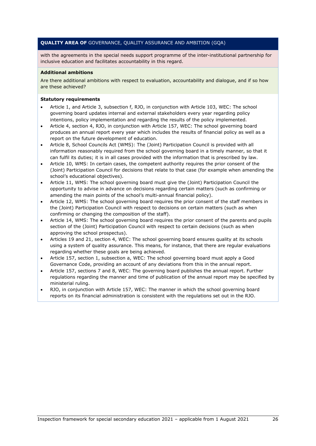with the agreements in the special needs support programme of the inter-institutional partnership for inclusive education and facilitates accountability in this regard.

#### **Additional ambitions**

Are there additional ambitions with respect to evaluation, accountability and dialogue, and if so how are these achieved?

#### **Statutory requirements**

- Article 1, and Article 3, subsection f, RJO, in conjunction with Article 103, WEC: The school governing board updates internal and external stakeholders every year regarding policy intentions, policy implementation and regarding the results of the policy implemented.
- Article 4, section 4, RJO, in conjunction with Article 157, WEC: The school governing board produces an annual report every year which includes the results of financial policy as well as a report on the future development of education.
- Article 8, School Councils Act (WMS): The (Joint) Participation Council is provided with all information reasonably required from the school governing board in a timely manner, so that it can fulfil its duties; it is in all cases provided with the information that is prescribed by law.
- Article 10, WMS: In certain cases, the competent authority requires the prior consent of the (Joint) Participation Council for decisions that relate to that case (for example when amending the school's educational objectives).
- Article 11, WMS: The school governing board must give the (Joint) Participation Council the opportunity to advise in advance on decisions regarding certain matters (such as confirming or amending the main points of the school's multi-annual financial policy).
- Article 12, WMS: The school governing board requires the prior consent of the staff members in the (Joint) Participation Council with respect to decisions on certain matters (such as when confirming or changing the composition of the staff).
- Article 14, WMS: The school governing board requires the prior consent of the parents and pupils section of the (Joint) Participation Council with respect to certain decisions (such as when approving the school prospectus).
- Articles 19 and 21, section 4, WEC: The school governing board ensures quality at its schools using a system of quality assurance. This means, for instance, that there are regular evaluations regarding whether these goals are being achieved.
- Article 157, section 1, subsection a, WEC: The school governing board must apply a Good Governance Code, providing an account of any deviations from this in the annual report.
- Article 157, sections 7 and 8, WEC: The governing board publishes the annual report. Further regulations regarding the manner and time of publication of the annual report may be specified by ministerial ruling.
- RJO, in conjunction with Article 157, WEC: The manner in which the school governing board reports on its financial administration is consistent with the regulations set out in the RJO.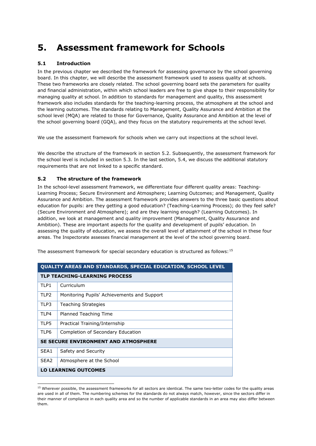# **5. Assessment framework for Schools**

## **5.1 Introduction**

In the previous chapter we described the framework for assessing governance by the school governing board. In this chapter, we will describe the assessment framework used to assess quality at schools. These two frameworks are closely related. The school governing board sets the parameters for quality and financial administration, within which school leaders are free to give shape to their responsibility for managing quality at school. In addition to standards for management and quality, this assessment framework also includes standards for the teaching-learning process, the atmosphere at the school and the learning outcomes. The standards relating to Management, Quality Assurance and Ambition at the school level (MQA) are related to those for Governance, Quality Assurance and Ambition at the level of the school governing board (GQA), and they focus on the statutory requirements at the school level.

We use the assessment framework for schools when we carry out inspections at the school level.

We describe the structure of the framework in section 5.2. Subsequently, the assessment framework for the school level is included in section 5.3. In the last section, 5.4, we discuss the additional statutory requirements that are not linked to a specific standard.

## **5.2 The structure of the framework**

In the school-level assessment framework, we differentiate four different quality areas: Teaching-Learning Process; Secure Environment and Atmosphere; Learning Outcomes; and Management, Quality Assurance and Ambition. The assessment framework provides answers to the three basic questions about education for pupils: are they getting a good education? (Teaching-Learning Process); do they feel safe? (Secure Environment and Atmosphere); and are they learning enough? (Learning Outcomes). In addition, we look at management and quality improvement (Management, Quality Assurance and Ambition). These are important aspects for the quality and development of pupils' education. In assessing the quality of education, we assess the overall level of attainment of the school in these four areas. The Inspectorate assesses financial management at the level of the school governing board.

| QUALITY AREAS AND STANDARDS, SPECIAL EDUCATION, SCHOOL LEVEL |                                             |  |  |
|--------------------------------------------------------------|---------------------------------------------|--|--|
| <b>TLP TEACHING-LEARNING PROCESS</b>                         |                                             |  |  |
| TI P1                                                        | Curriculum                                  |  |  |
| TLP <sub>2</sub>                                             | Monitoring Pupils' Achievements and Support |  |  |
| TLP3                                                         | <b>Teaching Strategies</b>                  |  |  |
| <b>TIP4</b>                                                  | Planned Teaching Time                       |  |  |
| TLP5                                                         | Practical Training/Internship               |  |  |
| TI P6                                                        | Completion of Secondary Education           |  |  |
| <b>SE SECURE ENVIRONMENT AND ATMOSPHERE</b>                  |                                             |  |  |
| SFA <sub>1</sub>                                             | Safety and Security                         |  |  |
| SEA <sub>2</sub>                                             | Atmosphere at the School                    |  |  |
| <b>LO LEARNING OUTCOMES</b>                                  |                                             |  |  |

The assessment framework for special secondary education is structured as follows:[15](#page-26-0) 

<span id="page-26-0"></span><sup>&</sup>lt;sup>15</sup> Wherever possible, the assessment frameworks for all sectors are identical. The same two-letter codes for the quality areas are used in all of them. The numbering schemes for the standards do not always match, however, since the sectors differ in their manner of compliance in each quality area and so the number of applicable standards in an area may also differ between them.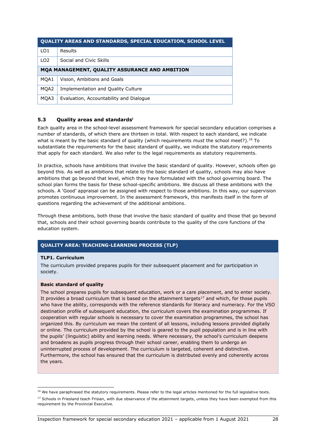| <b>OUALITY AREAS AND STANDARDS, SPECIAL EDUCATION, SCHOOL LEVEL</b> |                                         |  |
|---------------------------------------------------------------------|-----------------------------------------|--|
| LO <sub>1</sub>                                                     | Results                                 |  |
| LO <sub>2</sub>                                                     | Social and Civic Skills                 |  |
| MQA MANAGEMENT, QUALITY ASSURANCE AND AMBITION                      |                                         |  |
| MQA1                                                                | Vision, Ambitions and Goals             |  |
| MOA2                                                                | Implementation and Quality Culture      |  |
| MOA3                                                                | Evaluation, Accountability and Dialogue |  |

## **5.3 Quality areas and standard[si](#page-18-0)**

Each quality area in the school-level assessment framework for special secondary education comprises a number of standards, of which there are thirteen in total. With respect to each standard, we indicate what is meant by the basic standard of quality (which requirements *must* the school meet?).<sup>[16](#page-27-0)</sup> To substantiate the requirements for the basic standard of quality, we indicate the statutory requirements that apply for each standard. We also refer to the legal requirements as statutory requirements.

In practice, schools have ambitions that involve the basic standard of quality. However, schools often go beyond this. As well as ambitions that relate to the basic standard of quality, schools may also have ambitions that go beyond that level, which they have formulated with the school governing board. The school plan forms the basis for these school-specific ambitions. We discuss all these ambitions with the schools. A 'Good' appraisal can be assigned with respect to those ambitions. In this way, our supervision promotes continuous improvement. In the assessment framework, this manifests itself in the form of questions regarding the achievement of the additional ambitions.

Through these ambitions, both those that involve the basic standard of quality and those that go beyond that, schools and their school governing boards contribute to the quality of the core functions of the education system.

### **QUALITY AREA: TEACHING-LEARNING PROCESS (TLP)**

#### **TLP1. Curriculum**

The curriculum provided prepares pupils for their subsequent placement and for participation in society.

#### **Basic standard of quality**

The school prepares pupils for subsequent education, work or a care placement, and to enter society. It provides a broad curriculum that is based on the attainment targets $17$  and which, for those pupils who have the ability, corresponds with the reference standards for literacy and numeracy. For the VSO destination profile of subsequent education, the curriculum covers the examination programmes. If cooperation with regular schools is necessary to cover the examination programmes, the school has organized this. By curriculum we mean the content of all lessons, including lessons provided digitally or online. The curriculum provided by the school is geared to the pupil population and is in line with the pupils' (linguistic) ability and learning needs. Where necessary, the school's curriculum deepens and broadens as pupils progress through their school career, enabling them to undergo an uninterrupted process of development. The curriculum is targeted, coherent and distinctive. Furthermore, the school has ensured that the curriculum is distributed evenly and coherently across the years.

<span id="page-27-0"></span><sup>&</sup>lt;sup>16</sup> We have paraphrased the statutory requirements. Please refer to the legal articles mentioned for the full legislative texts.

<span id="page-27-1"></span><sup>&</sup>lt;sup>17</sup> Schools in Friesland teach Frisian, with due observance of the attainment targets, unless they have been exempted from this requirement by the Provincial Executive.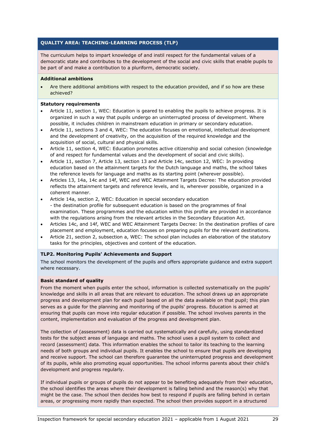The curriculum helps to impart knowledge of and instil respect for the fundamental values of a democratic state and contributes to the development of the social and civic skills that enable pupils to be part of and make a contribution to a pluriform, democratic society.

#### **Additional ambitions**

• Are there additional ambitions with respect to the education provided, and if so how are these achieved?

#### **Statutory requirements**

- Article 11, section 1, WEC: Education is geared to enabling the pupils to achieve progress. It is organized in such a way that pupils undergo an uninterrupted process of development. Where possible, it includes children in mainstream education in primary or secondary education.
- Article 11, sections 3 and 4, WEC: The education focuses on emotional, intellectual development and the development of creativity, on the acquisition of the required knowledge and the acquisition of social, cultural and physical skills.
- Article 11, section 4, WEC: Education promotes active citizenship and social cohesion (knowledge of and respect for fundamental values and the development of social and civic skills).
- Article 11, section 7, Article 13, section 13 and Article 14c, section 12, WEC: In providing education based on the attainment targets for the Dutch language and maths, the school takes the reference levels for language and maths as its starting point (wherever possible).
- Articles 13, 14a, 14c and 14f, WEC and WEC Attainment Targets Decree: The education provided reflects the attainment targets and reference levels, and is, wherever possible, organized in a coherent manner.
- Article 14a, section 2, WEC: Education in special secondary education - the destination profile for subsequent education is based on the programmes of final examination. These programmes and the education within this profile are provided in accordance with the regulations arising from the relevant articles in the Secondary Education Act.
- Articles 14c, and 14f, WEC and WEC Attainment Targets Decree: In the destination profiles of care placement and employment, education focuses on preparing pupils for the relevant destinations.
- Article 21, section 2, subsection a, WEC: The school plan includes an elaboration of the statutory tasks for the principles, objectives and content of the education.

#### **TLP2. Monitoring Pupils' Achievements and Support**

The school monitors the development of the pupils and offers appropriate guidance and extra support where necessary.

#### **Basic standard of quality**

From the moment when pupils enter the school, information is collected systematically on the pupils' knowledge and skills in all areas that are relevant to education. The school draws up an appropriate progress and development plan for each pupil based on all the data available on that pupil; this plan serves as a guide for the planning and monitoring of the pupils' progress. Education is aimed at ensuring that pupils can move into regular education if possible. The school involves parents in the content, implementation and evaluation of the progress and development plan.

The collection of (assessment) data is carried out systematically and carefully, using standardized tests for the subject areas of language and maths. The school uses a pupil system to collect and record (assessment) data. This information enables the school to tailor its teaching to the learning needs of both groups and individual pupils. It enables the school to ensure that pupils are developing and receive support. The school can therefore guarantee the uninterrupted progress and development of its pupils, while also promoting equal opportunities. The school informs parents about their child's development and progress regularly.

If individual pupils or groups of pupils do not appear to be benefiting adequately from their education, the school identifies the areas where their development is falling behind and the reason(s) why that might be the case. The school then decides how best to respond if pupils are falling behind in certain areas, or progressing more rapidly than expected. The school then provides support in a structured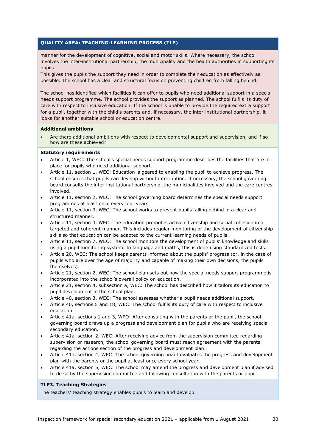manner for the development of cognitive, social and motor skills. Where necessary, the school involves the inter-institutional partnership, the municipality and the health authorities in supporting its pupils.

This gives the pupils the support they need in order to complete their education as effectively as possible. The school has a clear and structural focus on preventing children from falling behind.

The school has identified which facilities it can offer to pupils who need additional support in a special needs support programme. The school provides the support as planned. The school fulfils its duty of care with respect to inclusive education. If the school is unable to provide the required extra support for a pupil, together with the child's parents and, if necessary, the inter-institutional partnership, it looks for another suitable school or education centre.

#### **Additional ambitions**

• Are there additional ambitions with respect to developmental support and supervision, and if so how are these achieved?

#### **Statutory requirements**

- Article 1, WEC: The school's special needs support programme describes the facilities that are in place for pupils who need additional support.
- Article 11, section 1, WEC: Education is geared to enabling the pupil to achieve progress. The school ensures that pupils can develop without interruption. If necessary, the school governing board consults the inter-institutional partnership, the municipalities involved and the care centres involved.
- Article 11, section 2, WEC: The school governing board determines the special needs support programmes at least once every four years.
- Article 11, section 3, WEC: The school works to prevent pupils falling behind in a clear and structured manner.
- Article 11, section 4, WEC: The education promotes active citizenship and social cohesion in a targeted and coherent manner. This includes regular monitoring of the development of citizenship skills so that education can be adapted to the current learning needs of pupils.
- Article 11, section 7, WEC: The school monitors the development of pupils' knowledge and skills using a pupil monitoring system. In language and maths, this is done using standardized tests.
- Article 20, WEC: The school keeps parents informed about the pupils' progress (or, in the case of pupils who are over the age of majority and capable of making their own decisions, the pupils themselves).
- Article 21, section 2, WEC: The school plan sets out how the special needs support programme is incorporated into the school's overall policy on education.
- Article 21, section 4, subsection a, WEC: The school has described how it tailors its education to pupil development in the school plan.
- Article 40, section 3, WEC: The school assesses whether a pupil needs additional support.
- Article 40, sections 5 and 18, WEC: The school fulfils its duty of care with respect to inclusive education.
- Article 41a, sections 1 and 3, WPO: After consulting with the parents or the pupil, the school governing board draws up a progress and development plan for pupils who are receiving special secondary education.
- Article 41a, section 2, WEC: After receiving advice from the supervision committee regarding supervision or research, the school governing board must reach agreement with the parents regarding the actions section of the progress and development plan.
- Article 41a, section 4, WEC: The school governing board evaluates the progress and development plan with the parents or the pupil at least once every school year.
- Article 41a, section 5, WEC: The school may amend the progress and development plan if advised to do so by the supervision committee and following consultation with the parents or pupil.

#### **TLP3. Teaching Strategies**

The teachers' teaching strategy enables pupils to learn and develop.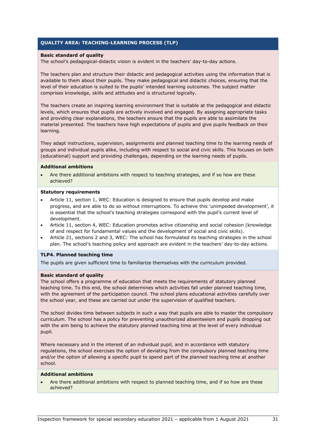#### **Basic standard of quality**

The school's pedagogical-didactic vision is evident in the teachers' day-to-day actions.

The teachers plan and structure their didactic and pedagogical activities using the information that is available to them about their pupils. They make pedagogical and didactic choices, ensuring that the level of their education is suited to the pupils' intended learning outcomes. The subject matter comprises knowledge, skills and attitudes and is structured logically.

The teachers create an inspiring learning environment that is suitable at the pedagogical and didactic levels, which ensures that pupils are actively involved and engaged. By assigning appropriate tasks and providing clear explanations, the teachers ensure that the pupils are able to assimilate the material presented. The teachers have high expectations of pupils and give pupils feedback on their learning.

They adapt instructions, supervision, assignments and planned teaching time to the learning needs of groups and individual pupils alike, including with respect to social and civic skills. This focuses on both (educational) support and providing challenges, depending on the learning needs of pupils.

#### **Additional ambitions**

• Are there additional ambitions with respect to teaching strategies, and if so how are these achieved?

#### **Statutory requirements**

- Article 11, section 1, WEC: Education is designed to ensure that pupils develop and make progress, and are able to do so without interruptions. To achieve this 'unimpeded development', it is essential that the school's teaching strategies correspond with the pupil's current level of development.
- Article 11, section 4, WEC: Education promotes active citizenship and social cohesion (knowledge of and respect for fundamental values and the development of social and civic skills).
- Article 21, sections 2 and 3, WEC: The school has formulated its teaching strategies in the school plan. The school's teaching policy and approach are evident in the teachers' day-to-day actions.

#### **TLP4. Planned teaching time**

The pupils are given sufficient time to familiarize themselves with the curriculum provided.

#### **Basic standard of quality**

The school offers a programme of education that meets the requirements of statutory planned teaching time. To this end, the school determines which activities fall under planned teaching time, with the agreement of the participation council. The school plans educational activities carefully over the school year, and these are carried out under the supervision of qualified teachers.

The school divides time between subjects in such a way that pupils are able to master the compulsory curriculum. The school has a policy for preventing unauthorized absenteeism and pupils dropping out with the aim being to achieve the statutory planned teaching time at the level of every individual pupil.

Where necessary and in the interest of an individual pupil, and in accordance with statutory regulations, the school exercises the option of deviating from the compulsory planned teaching time and/or the option of allowing a specific pupil to spend part of the planned teaching time at another school.

#### **Additional ambitions**

• Are there additional ambitions with respect to planned teaching time, and if so how are these achieved?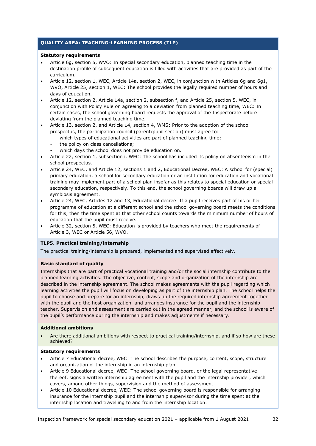#### **Statutory requirements**

- Article 6g, section 5, WVO: In special secondary education, planned teaching time in the destination profile of subsequent education is filled with activities that are provided as part of the curriculum.
- Article 12, section 1, WEC, Article 14a, section 2, WEC, in conjunction with Articles 6g and 6g1, WVO, Article 25, section 1, WEC: The school provides the legally required number of hours and days of education.
- Article 12, section 2, Article 14a, section 2, subsection f, and Article 25, section 5, WEC, in conjunction with Policy Rule on agreeing to a deviation from planned teaching time, WEC: In certain cases, the school governing board requests the approval of the Inspectorate before deviating from the planned teaching time.
- Article 13, section 2, and Article 14, section 4, WMS: Prior to the adoption of the school prospectus, the participation council (parent/pupil section) must agree to:
	- which types of educational activities are part of planned teaching time;
	- the policy on class cancellations;
		- which days the school does not provide education on.
- Article 22, section 1, subsection i, WEC: The school has included its policy on absenteeism in the school prospectus.
- Article 24, WEC, and Article 12, sections 1 and 2, Educational Decree, WEC: A school for (special) primary education, a school for secondary education or an institution for education and vocational training may implement part of a school plan insofar as this relates to special education or special secondary education, respectively. To this end, the school governing boards will draw up a symbiosis agreement.
- Article 24, WEC, Articles 12 and 13, Educational decree: If a pupil receives part of his or her programme of education at a different school and the school governing board meets the conditions for this, then the time spent at that other school counts towards the minimum number of hours of education that the pupil must receive.
- Article 32, section 5, WEC: Education is provided by teachers who meet the requirements of Article 3, WEC or Article 56, WVO.

#### **TLP5. Practical training/internship**

The practical training/internship is prepared, implemented and supervised effectively.

#### **Basic standard of quality**

Internships that are part of practical vocational training and/or the social internship contribute to the planned learning activities. The objective, content, scope and organization of the internship are described in the internship agreement. The school makes agreements with the pupil regarding which learning activities the pupil will focus on developing as part of the internship plan. The school helps the pupil to choose and prepare for an internship, draws up the required internship agreement together with the pupil and the host organization, and arranges insurance for the pupil and the internship teacher. Supervision and assessment are carried out in the agreed manner, and the school is aware of the pupil's performance during the internship and makes adjustments if necessary.

#### **Additional ambitions**

• Are there additional ambitions with respect to practical training/internship, and if so how are these achieved?

#### **Statutory requirements**

- Article 7 Educational decree, WEC: The school describes the purpose, content, scope, structure and organization of the internship in an internship plan.
- Article 9 Educational decree, WEC: The school governing board, or the legal representative thereof, signs a written internship agreement with the pupil and the internship provider, which covers, among other things, supervision and the method of assessment.
- Article 10 Educational decree, WEC: The school governing board is responsible for arranging insurance for the internship pupil and the internship supervisor during the time spent at the internship location and travelling to and from the internship location.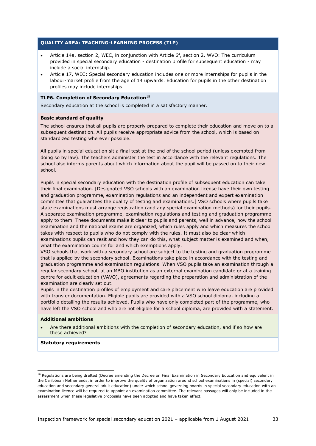- Article 14a, section 2, WEC, in conjunction with Article 6f, section 2, WVO: The curriculum provided in special secondary education - destination profile for subsequent education - may include a social internship.
- Article 17, WEC: Special secondary education includes one or more internships for pupils in the labour-market profile from the age of 14 upwards. Education for pupils in the other destination profiles may include internships.

#### **TLP6. Completion of Secondary Education**[18](#page-32-0)

Secondary education at the school is completed in a satisfactory manner.

#### **Basic standard of quality**

The school ensures that all pupils are properly prepared to complete their education and move on to a subsequent destination. All pupils receive appropriate advice from the school, which is based on standardized testing wherever possible.

All pupils in special education sit a final test at the end of the school period (unless exempted from doing so by law). The teachers administer the test in accordance with the relevant regulations. The school also informs parents about which information about the pupil will be passed on to their new school.

Pupils in special secondary education with the destination profile of subsequent education can take their final examination. [Designated VSO schools with an examination license have their own testing and graduation programme, examination regulations and an independent and expert examination committee that guarantees the quality of testing and examinations.] VSO schools where pupils take state examinations must arrange registration (and any special examination methods) for their pupils. A separate examination programme, examination regulations and testing and graduation programme apply to them. These documents make it clear to pupils and parents, well in advance, how the school examination and the national exams are organized, which rules apply and which measures the school takes with respect to pupils who do not comply with the rules. It must also be clear which examinations pupils can resit and how they can do this, what subject matter is examined and when, what the examination counts for and which exemptions apply.

VSO schools that work with a secondary school are subject to the testing and graduation programme that is applied by the secondary school. Examinations take place in accordance with the testing and graduation programme and examination regulations. When VSO pupils take an examination through a regular secondary school, at an MBO institution as an external examination candidate or at a training centre for adult education (VAVO), agreements regarding the preparation and administration of the examination are clearly set out.

Pupils in the destination profiles of employment and care placement who leave education are provided with transfer documentation. Eligible pupils are provided with a VSO school diploma, including a portfolio detailing the results achieved. Pupils who have only completed part of the programme, who have left the VSO school and who are not eligible for a school diploma, are provided with a statement.

#### **Additional ambitions**

• Are there additional ambitions with the completion of secondary education, and if so how are these achieved?

#### **Statutory requirements**

<span id="page-32-0"></span><sup>&</sup>lt;sup>18</sup> Regulations are being drafted (Decree amending the Decree on Final Examination in Secondary Education and equivalent in the Caribbean Netherlands, in order to improve the quality of organization around school examinations in (special) secondary education and secondary general adult education) under which school governing boards in special secondary education with an examination licence will be required to appoint an examination committee. The relevant passages will only be included in the assessment when these legislative proposals have been adopted and have taken effect.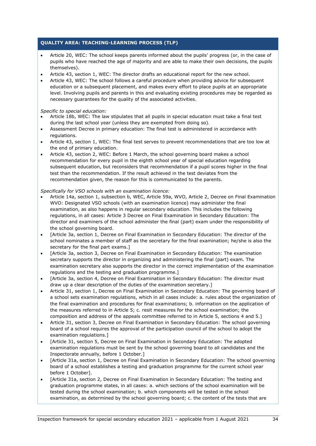- Article 20, WEC: The school keeps parents informed about the pupils' progress (or, in the case of pupils who have reached the age of majority and are able to make their own decisions, the pupils themselves).
- Article 43, section 1, WEC: The director drafts an educational report for the new school.
- Article 43, WEC: The school follows a careful procedure when providing advice for subsequent education or a subsequent placement, and makes every effort to place pupils at an appropriate level. Involving pupils and parents in this and evaluating existing procedures may be regarded as necessary guarantees for the quality of the associated activities.

*Specific to special education:*

- Article 18b, WEC: The law stipulates that all pupils in special education must take a final test during the last school year (unless they are exempted from doing so).
- Assessment Decree in primary education: The final test is administered in accordance with regulations.
- Article 43, section 1, WEC: The final test serves to prevent recommendations that are too low at the end of primary education.
- Article 43, section 2, WEC: Before 1 March, the school governing board makes a school recommendation for every pupil in the eighth school year of special education regarding subsequent education, but reconsiders that recommendation if a pupil scores higher in the final test than the recommendation. If the result achieved in the test deviates from the recommendation given, the reason for this is communicated to the parents.

#### *Specifically for VSO schools with an examination licence:*

- Article 14a, section 1, subsection b, WEC, Article 59a, WVO, Article 2, Decree on Final Examination WVO: Designated VSO schools (with an examination licence) may administer the final examination, as also happens in regular secondary education. This includes the following regulations, in all cases: Article 3 Decree on Final Examination in Secondary Education: The director and examiners of the school administer the final (part) exam under the responsibility of the school governing board.
- [Article 3a, section 1, Decree on Final Examination in Secondary Education: The director of the school nominates a member of staff as the secretary for the final examination; he/she is also the secretary for the final part exams.]
- [Article 3a, section 3, Decree on Final Examination in Secondary Education: The examination secretary supports the director in organizing and administering the final (part) exam. The examination secretary also supports the director in the correct implementation of the examination regulations and the testing and graduation programme.]
- [Article 3a, section 4, Decree on Final Examination in Secondary Education: The director must draw up a clear description of the duties of the examination secretary.]
- Article 31, section 1, Decree on Final Examination in Secondary Education: The governing board of a school sets examination regulations, which in all cases include: a. rules about the organization of the final examination and procedures for final examinations; b. information on the application of the measures referred to in Article 5; c. resit measures for the school examination; the composition and address of the appeals committee referred to in Article 5, sections 4 and 5.]
- Article 31, section 3, Decree on Final Examination in Secondary Education: The school governing board of a school requires the approval of the participation council of the school to adopt the examination regulations.]
- [Article 31, section 5, Decree on Final Examination in Secondary Education: The adopted examination regulations must be sent by the school governing board to all candidates and the Inspectorate annually, before 1 October.]
- [Article 31a, section 1, Decree on Final Examination in Secondary Education: The school governing board of a school establishes a testing and graduation programme for the current school year before 1 October].
- [Article 31a, section 2, Decree on Final Examination in Secondary Education: The testing and graduation programme states, in all cases: a. which sections of the school examination will be tested during the school examination; b. which components will be tested in the school examination, as determined by the school governing board; c. the content of the tests that are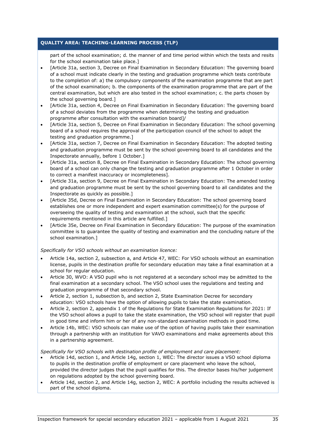part of the school examination; d. the manner of and time period within which the tests and resits for the school examination take place.]

- [Article 31a, section 3, Decree on Final Examination in Secondary Education: The governing board of a school must indicate clearly in the testing and graduation programme which tests contribute to the completion of: a) the compulsory components of the examination programme that are part of the school examination; b. the components of the examination programme that are part of the central examination, but which are also tested in the school examination; c. the parts chosen by the school governing board.]
- [Article 31a, section 4, Decree on Final Examination in Secondary Education: The governing board of a school deviates from the programme when determining the testing and graduation programme after consultation with the examination board]/
- [Article 31a, section 5, Decree on Final Examination in Secondary Education: The school governing board of a school requires the approval of the participation council of the school to adopt the testing and graduation programme.]
- [Article 31a, section 7, Decree on Final Examination in Secondary Education: The adopted testing and graduation programme must be sent by the school governing board to all candidates and the Inspectorate annually, before 1 October.]
- [Article 31a, section 8, Decree on Final Examination in Secondary Education: The school governing board of a school can only change the testing and graduation programme after 1 October in order to correct a manifest inaccuracy or incompleteness].
- [Article 31a, section 9, Decree on Final Examination in Secondary Education: The amended testing and graduation programme must be sent by the school governing board to all candidates and the Inspectorate as quickly as possible.]
- [Article 35d, Decree on Final Examination in Secondary Education: The school governing board establishes one or more independent and expert examination committee(s) for the purpose of overseeing the quality of testing and examination at the school, such that the specific requirements mentioned in this article are fulfilled.]
- [Article 35e, Decree on Final Examination in Secondary Education: The purpose of the examination committee is to guarantee the quality of testing and examination and the concluding nature of the school examination.]

#### *Specifically for VSO schools without an examination licence:*

- Article 14a, section 2, subsection a, and Article 47, WEC: For VSO schools without an examination license, pupils in the destination profile for secondary education may take a final examination at a school for regular education.
- Article 30, WVO: A VSO pupil who is not registered at a secondary school may be admitted to the final examination at a secondary school. The VSO school uses the regulations and testing and graduation programme of that secondary school.
- Article 2, section 1, subsection b, and section 2, State Examination Decree for secondary education: VSO schools have the option of allowing pupils to take the state examination.
- Article 2, section 2, appendix 1 of the Regulations for State Examination Regulations for 2021: If the VSO school allows a pupil to take the state examination, the VSO school will register that pupil in good time and inform him or her of any non-standard examination methods in good time.
- Article 14b, WEC: VSO schools can make use of the option of having pupils take their examination through a partnership with an institution for VAVO examinations and make agreements about this in a partnership agreement.

#### *Specifically for VSO schools with destination profile of employment and care placement:*

- Article 14d, section 1, and Article 14g, section 1, WEC: The director issues a VSO school diploma to pupils in the destination profile of employment or care placement who leave the school, provided the director judges that the pupil qualifies for this. The director bases his/her judgement on regulations adopted by the school governing board.
- Article 14d, section 2, and Article 14g, section 2, WEC: A portfolio including the results achieved is part of the school diploma.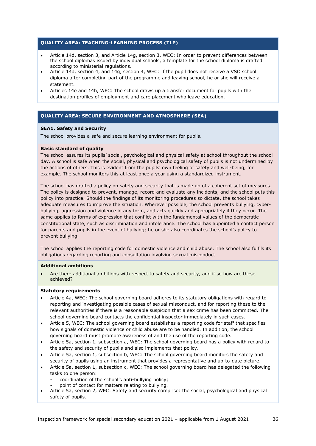- Article 14d, section 3, and Article 14g, section 3, WEC: In order to prevent differences between the school diplomas issued by individual schools, a template for the school diploma is drafted according to ministerial regulations.
- Article 14d, section 4, and 14g, section 4, WEC: If the pupil does not receive a VSO school diploma after completing part of the programme and leaving school, he or she will receive a statement.
- Articles 14e and 14h, WEC: The school draws up a transfer document for pupils with the destination profiles of employment and care placement who leave education.

## **QUALITY AREA: SECURE ENVIRONMENT AND ATMOSPHERE (SEA)**

#### **SEA1. Safety and Security**

The school provides a safe and secure learning environment for pupils.

#### **Basic standard of quality**

The school assures its pupils' social, psychological and physical safety at school throughout the school day. A school is safe when the social, physical and psychological safety of pupils is not undermined by the actions of others. This is evident from the pupils' own feeling of safety and well-being, for example. The school monitors this at least once a year using a standardized instrument.

The school has drafted a policy on safety and security that is made up of a coherent set of measures. The policy is designed to prevent, manage, record and evaluate any incidents, and the school puts this policy into practice. Should the findings of its monitoring procedures so dictate, the school takes adequate measures to improve the situation. Wherever possible, the school prevents bullying, cyberbullying, aggression and violence in any form, and acts quickly and appropriately if they occur. The same applies to forms of expression that conflict with the fundamental values of the democratic constitutional state, such as discrimination and intolerance. The school has appointed a contact person for parents and pupils in the event of bullying; he or she also coordinates the school's policy to prevent bullying.

The school applies the reporting code for domestic violence and child abuse. The school also fulfils its obligations regarding reporting and consultation involving sexual misconduct.

#### **Additional ambitions**

Are there additional ambitions with respect to safety and security, and if so how are these achieved?

#### **Statutory requirements**

- Article 4a, WEC: The school governing board adheres to its statutory obligations with regard to reporting and investigating possible cases of sexual misconduct, and for reporting these to the relevant authorities if there is a reasonable suspicion that a sex crime has been committed. The school governing board contacts the confidential inspector immediately in such cases.
- Article 5, WEC: The school governing board establishes a reporting code for staff that specifies how signals of domestic violence or child abuse are to be handled. In addition, the school governing board must promote awareness of and the use of the reporting code.
- Article 5a, section 1, subsection a, WEC: The school governing board has a policy with regard to the safety and security of pupils and also implements that policy.
- Article 5a, section 1, subsection b, WEC: The school governing board monitors the safety and security of pupils using an instrument that provides a representative and up-to-date picture.
- Article 5a, section 1, subsection c, WEC: The school governing board has delegated the following tasks to one person:
	- coordination of the school's anti-bullying policy;
	- point of contact for matters relating to bullying.
- Article 5a, section 2, WEC: Safety and security comprise: the social, psychological and physical safety of pupils.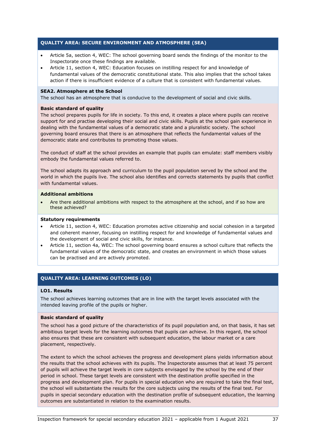## **QUALITY AREA: SECURE ENVIRONMENT AND ATMOSPHERE (SEA)**

- Article 5a, section 4, WEC: The school governing board sends the findings of the monitor to the Inspectorate once these findings are available.
- Article 11, section 4, WEC: Education focuses on instilling respect for and knowledge of fundamental values of the democratic constitutional state. This also implies that the school takes action if there is insufficient evidence of a culture that is consistent with fundamental values.

#### **SEA2. Atmosphere at the School**

The school has an atmosphere that is conducive to the development of social and civic skills.

#### **Basic standard of quality**

The school prepares pupils for life in society. To this end, it creates a place where pupils can receive support for and practise developing their social and civic skills. Pupils at the school gain experience in dealing with the fundamental values of a democratic state and a pluralistic society. The school governing board ensures that there is an atmosphere that reflects the fundamental values of the democratic state and contributes to promoting those values.

The conduct of staff at the school provides an example that pupils can emulate: staff members visibly embody the fundamental values referred to.

The school adapts its approach and curriculum to the pupil population served by the school and the world in which the pupils live. The school also identifies and corrects statements by pupils that conflict with fundamental values.

#### **Additional ambitions**

• Are there additional ambitions with respect to the atmosphere at the school, and if so how are these achieved?

#### **Statutory requirements**

- Article 11, section 4, WEC: Education promotes active citizenship and social cohesion in a targeted and coherent manner, focusing on instilling respect for and knowledge of fundamental values and the development of social and civic skills, for instance.
- Article 11, section 4a, WEC: The school governing board ensures a school culture that reflects the fundamental values of the democratic state, and creates an environment in which those values can be practised and are actively promoted.

## **QUALITY AREA: LEARNING OUTCOMES (LO)**

#### **LO1. Results**

The school achieves learning outcomes that are in line with the target levels associated with the intended leaving profile of the pupils or higher.

#### **Basic standard of quality**

The school has a good picture of the characteristics of its pupil population and, on that basis, it has set ambitious target levels for the learning outcomes that pupils can achieve. In this regard, the school also ensures that these are consistent with subsequent education, the labour market or a care placement, respectively.

The extent to which the school achieves the progress and development plans yields information about the results that the school achieves with its pupils. The Inspectorate assumes that at least 75 percent of pupils will achieve the target levels in core subjects envisaged by the school by the end of their period in school. These target levels are consistent with the destination profile specified in the progress and development plan. For pupils in special education who are required to take the final test, the school will substantiate the results for the core subjects using the results of the final test. For pupils in special secondary education with the destination profile of subsequent education, the learning outcomes are substantiated in relation to the examination results.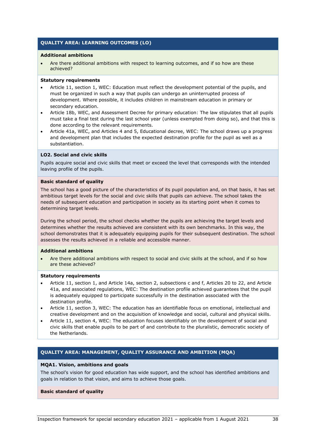## **QUALITY AREA: LEARNING OUTCOMES (LO)**

#### **Additional ambitions**

Are there additional ambitions with respect to learning outcomes, and if so how are these achieved?

#### **Statutory requirements**

- Article 11, section 1, WEC: Education must reflect the development potential of the pupils, and must be organized in such a way that pupils can undergo an uninterrupted process of development. Where possible, it includes children in mainstream education in primary or secondary education.
- Article 18b, WEC, and Assessment Decree for primary education: The law stipulates that all pupils must take a final test during the last school year (unless exempted from doing so), and that this is done according to the relevant requirements.
- Article 41a, WEC, and Articles 4 and 5, Educational decree, WEC: The school draws up a progress and development plan that includes the expected destination profile for the pupil as well as a substantiation.

#### **LO2. Social and civic skills**

Pupils acquire social and civic skills that meet or exceed the level that corresponds with the intended leaving profile of the pupils.

#### **Basic standard of quality**

The school has a good picture of the characteristics of its pupil population and, on that basis, it has set ambitious target levels for the social and civic skills that pupils can achieve. The school takes the needs of subsequent education and participation in society as its starting point when it comes to determining target levels.

During the school period, the school checks whether the pupils are achieving the target levels and determines whether the results achieved are consistent with its own benchmarks. In this way, the school demonstrates that it is adequately equipping pupils for their subsequent destination. The school assesses the results achieved in a reliable and accessible manner.

#### **Additional ambitions**

• Are there additional ambitions with respect to social and civic skills at the school, and if so how are these achieved?

#### **Statutory requirements**

- Article 11, section 1, and Article 14a, section 2, subsections c and f, Articles 20 to 22, and Article 41a, and associated regulations, WEC: The destination profile achieved guarantees that the pupil is adequately equipped to participate successfully in the destination associated with the destination profile.
- Article 11, section 3, WEC: The education has an identifiable focus on emotional, intellectual and creative development and on the acquisition of knowledge and social, cultural and physical skills.
- Article 11, section 4, WEC: The education focuses identifiably on the development of social and civic skills that enable pupils to be part of and contribute to the pluralistic, democratic society of the Netherlands.

## **QUALITY AREA: MANAGEMENT, QUALITY ASSURANCE AND AMBITION (MQA)**

#### **MQA1. Vision, ambitions and goals**

The school's vision for good education has wide support, and the school has identified ambitions and goals in relation to that vision, and aims to achieve those goals.

#### **Basic standard of quality**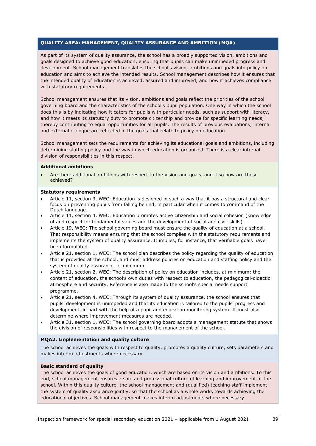## **QUALITY AREA: MANAGEMENT, QUALITY ASSURANCE AND AMBITION (MQA)**

As part of its system of quality assurance, the school has a broadly supported vision, ambitions and goals designed to achieve good education, ensuring that pupils can make unimpeded progress and development. School management translates the school's vision, ambitions and goals into policy on education and aims to achieve the intended results. School management describes how it ensures that the intended quality of education is achieved, assured and improved, and how it achieves compliance with statutory requirements.

School management ensures that its vision, ambitions and goals reflect the priorities of the school governing board and the characteristics of the school's pupil population. One way in which the school does this is by indicating how it caters for pupils with particular needs, such as support with literacy, and how it meets its statutory duty to promote citizenship and provide for specific learning needs, thereby contributing to equal opportunities for all pupils. The results of previous evaluations, internal and external dialogue are reflected in the goals that relate to policy on education.

School management sets the requirements for achieving its educational goals and ambitions, including determining staffing policy and the way in which education is organized. There is a clear internal division of responsibilities in this respect.

#### **Additional ambitions**

• Are there additional ambitions with respect to the vision and goals, and if so how are these achieved?

#### **Statutory requirements**

- Article 11, section 3, WEC: Education is designed in such a way that it has a structural and clear focus on preventing pupils from falling behind, in particular when it comes to command of the Dutch language.
- Article 11, section 4, WEC: Education promotes active citizenship and social cohesion (knowledge of and respect for fundamental values and the development of social and civic skills).
- Article 19, WEC: The school governing board must ensure the quality of education at a school. That responsibility means ensuring that the school complies with the statutory requirements and implements the system of quality assurance. It implies, for instance, that verifiable goals have been formulated.
- Article 21, section 1, WEC: The school plan describes the policy regarding the quality of education that is provided at the school, and must address policies on education and staffing policy and the system of quality assurance, at minimum.
- Article 21, section 2, WEC: The description of policy on education includes, at minimum: the content of education, the school's own duties with respect to education, the pedagogical-didactic atmosphere and security. Reference is also made to the school's special needs support programme.
- Article 21, section 4, WEC: Through its system of quality assurance, the school ensures that pupils' development is unimpeded and that its education is tailored to the pupils' progress and development, in part with the help of a pupil and education monitoring system. It must also determine where improvement measures are needed.
- Article 31, section 1, WEC: The school governing board adopts a management statute that shows the division of responsibilities with respect to the management of the school.

## **MQA2. Implementation and quality culture**

The school achieves the goals with respect to quality, promotes a quality culture, sets parameters and makes interim adjustments where necessary.

## **Basic standard of quality**

The school achieves the goals of good education, which are based on its vision and ambitions. To this end, school management ensures a safe and professional culture of learning and improvement at the school. Within this quality culture, the school management and (qualified) teaching staff implement the system of quality assurance jointly, so that the school as a whole works towards achieving the educational objectives. School management makes interim adjustments where necessary.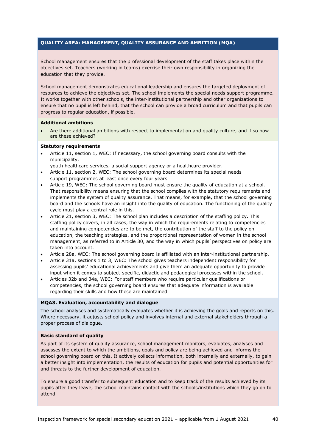## **QUALITY AREA: MANAGEMENT, QUALITY ASSURANCE AND AMBITION (MQA)**

School management ensures that the professional development of the staff takes place within the objectives set. Teachers (working in teams) exercise their own responsibility in organizing the education that they provide.

School management demonstrates educational leadership and ensures the targeted deployment of resources to achieve the objectives set. The school implements the special needs support programme. It works together with other schools, the inter-institutional partnership and other organizations to ensure that no pupil is left behind, that the school can provide a broad curriculum and that pupils can progress to regular education, if possible.

#### **Additional ambitions**

Are there additional ambitions with respect to implementation and quality culture, and if so how are these achieved?

#### **Statutory requirements**

• Article 11, section 1, WEC: If necessary, the school governing board consults with the municipality,

youth healthcare services, a social support agency or a healthcare provider.

- Article 11, section 2, WEC: The school governing board determines its special needs support programmes at least once every four years.
- Article 19, WEC: The school governing board must ensure the quality of education at a school. That responsibility means ensuring that the school complies with the statutory requirements and implements the system of quality assurance. That means, for example, that the school governing board and the schools have an insight into the quality of education. The functioning of the quality cycle must play a central role in this.
- Article 21, section 3, WEC: The school plan includes a description of the staffing policy. This staffing policy covers, in all cases, the way in which the requirements relating to competencies and maintaining competencies are to be met, the contribution of the staff to the policy on education, the teaching strategies, and the proportional representation of women in the school management, as referred to in Article 30, and the way in which pupils' perspectives on policy are taken into account.
- Article 28a, WEC: The school governing board is affiliated with an inter-institutional partnership.
- Article 31a, sections 1 to 3, WEC: The school gives teachers independent responsibility for assessing pupils' educational achievements and give them an adequate opportunity to provide input when it comes to subject-specific, didactic and pedagogical processes within the school.
- Articles 32b and 34a, WEC: For staff members who require particular qualifications or competencies, the school governing board ensures that adequate information is available regarding their skills and how these are maintained.

#### **MQA3. Evaluation, accountability and dialogue**

The school analyses and systematically evaluates whether it is achieving the goals and reports on this. Where necessary, it adjusts school policy and involves internal and external stakeholders through a proper process of dialogue.

#### **Basic standard of quality**

As part of its system of quality assurance, school management monitors, evaluates, analyses and assesses the extent to which the ambitions, goals and policy are being achieved and informs the school governing board on this. It actively collects information, both internally and externally, to gain a better insight into implementation, the results of education for pupils and potential opportunities for and threats to the further development of education.

To ensure a good transfer to subsequent education and to keep track of the results achieved by its pupils after they leave, the school maintains contact with the schools/institutions which they go on to attend.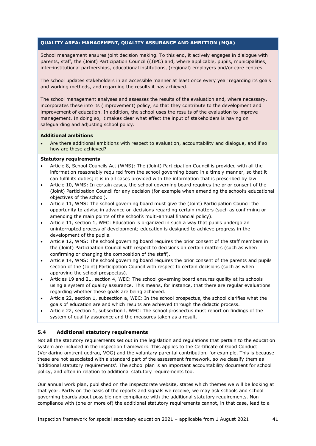# **QUALITY AREA: MANAGEMENT, QUALITY ASSURANCE AND AMBITION (MQA)**

School management ensures joint decision making. To this end, it actively engages in dialogue with parents, staff, the (Joint) Participation Council ((J)PC) and, where applicable, pupils, municipalities, inter-institutional partnerships, educational institutions, (regional) employers and/or care centres.

The school updates stakeholders in an accessible manner at least once every year regarding its goals and working methods, and regarding the results it has achieved.

The school management analyses and assesses the results of the evaluation and, where necessary, incorporates these into its (improvement) policy, so that they contribute to the development and improvement of education. In addition, the school uses the results of the evaluation to improve management. In doing so, it makes clear what effect the input of stakeholders is having on safeguarding and adjusting school policy.

## **Additional ambitions**

• Are there additional ambitions with respect to evaluation, accountability and dialogue, and if so how are these achieved?

## **Statutory requirements**

- Article 8, School Councils Act (WMS): The (Joint) Participation Council is provided with all the information reasonably required from the school governing board in a timely manner, so that it can fulfil its duties; it is in all cases provided with the information that is prescribed by law.
- Article 10, WMS: In certain cases, the school governing board requires the prior consent of the (Joint) Participation Council for any decision (for example when amending the school's educational objectives of the school).
- Article 11, WMS: The school governing board must give the (Joint) Participation Council the opportunity to advise in advance on decisions regarding certain matters (such as confirming or amending the main points of the school's multi-annual financial policy).
- Article 11, section 1, WEC: Education is organized in such a way that pupils undergo an uninterrupted process of development; education is designed to achieve progress in the development of the pupils.
- Article 12, WMS: The school governing board requires the prior consent of the staff members in the (Joint) Participation Council with respect to decisions on certain matters (such as when confirming or changing the composition of the staff).
- Article 14, WMS: The school governing board requires the prior consent of the parents and pupils section of the (Joint) Participation Council with respect to certain decisions (such as when approving the school prospectus).
- Articles 19 and 21, section 4, WEC: The school governing board ensures quality at its schools using a system of quality assurance. This means, for instance, that there are regular evaluations regarding whether these goals are being achieved.
- Article 22, section 1, subsection a, WEC: In the school prospectus, the school clarifies what the goals of education are and which results are achieved through the didactic process.
- Article 22, section 1, subsection l, WEC: The school prospectus must report on findings of the system of quality assurance and the measures taken as a result.

## **5.4 Additional statutory requirements**

Not all the statutory requirements set out in the legislation and regulations that pertain to the education system are included in the inspection framework. This applies to the Certificate of Good Conduct (Verklaring omtrent gedrag, VOG) and the voluntary parental contribution, for example. This is because these are not associated with a standard part of the assessment framework, so we classify them as 'additional statutory requirements'. The school plan is an important accountability document for school policy, and often in relation to additional statutory requirements too.

Our annual work plan, published on the Inspectorate website, states which themes we will be looking at that year. Partly on the basis of the reports and signals we receive, we may ask schools and school governing boards about possible non-compliance with the additional statutory requirements. Noncompliance with (one or more of) the additional statutory requirements cannot, in that case, lead to a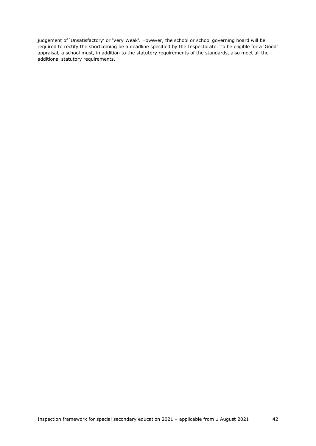judgement of 'Unsatisfactory' or 'Very Weak'. However, the school or school governing board will be required to rectify the shortcoming be a deadline specified by the Inspectorate. To be eligible for a 'Good' appraisal, a school must, in addition to the statutory requirements of the standards, also meet all the additional statutory requirements.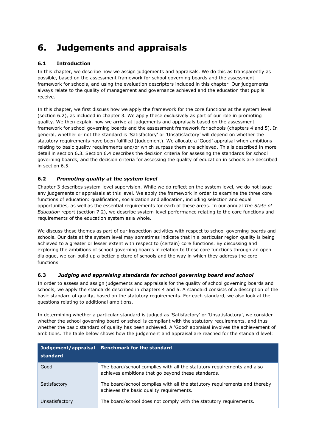# **6. Judgements and appraisals**

# **6.1 Introduction**

In this chapter, we describe how we assign judgements and appraisals. We do this as transparently as possible, based on the assessment framework for school governing boards and the assessment framework for schools, and using the evaluation descriptors included in this chapter. Our judgements always relate to the quality of management and governance achieved and the education that pupils receive.

In this chapter, we first discuss how we apply the framework for the core functions at the system level (section 6.2), as included in chapter 3. We apply these exclusively as part of our role in promoting quality. We then explain how we arrive at judgements and appraisals based on the assessment framework for school governing boards and the assessment framework for schools (chapters 4 and 5). In general, whether or not the standard is 'Satisfactory' or 'Unsatisfactory' will depend on whether the statutory requirements have been fulfilled (judgement). We allocate a 'Good' appraisal when ambitions relating to basic quality requirements and/or which surpass them are achieved. This is described in more detail in section 6.3. Section 6.4 describes the decision criteria for assessing the standards for school governing boards, and the decision criteria for assessing the quality of education in schools are described in section 6.5.

# **6.2** *Promoting quality at the system level*

Chapter 3 describes system-level supervision. While we do reflect on the system level, we do not issue any judgements or appraisals at this level. We apply the framework in order to examine the three core functions of education: qualification, socialization and allocation, including selection and equal opportunities, as well as the essential requirements for each of these areas. In our annual *The State of Education* report (section 7.2), we describe system-level performance relating to the core functions and requirements of the education system as a whole.

We discuss these themes as part of our inspection activities with respect to school governing boards and schools. Our data at the system level may sometimes indicate that in a particular region quality is being achieved to a greater or lesser extent with respect to (certain) core functions. By discussing and exploring the ambitions of school governing boards in relation to those core functions through an open dialogue, we can build up a better picture of schools and the way in which they address the core functions.

# **6.3** *Judging and appraising standards for school governing board and school*

In order to assess and assign judgements and appraisals for the quality of school governing boards and schools, we apply the standards described in chapters 4 and 5. A standard consists of a description of the basic standard of quality, based on the statutory requirements. For each standard, we also look at the questions relating to additional ambitions.

In determining whether a particular standard is judged as 'Satisfactory' or 'Unsatisfactory', we consider whether the school governing board or school is compliant with the statutory requirements, and thus whether the basic standard of quality has been achieved. A 'Good' appraisal involves the achievement of ambitions. The table below shows how the judgement and appraisal are reached for the standard level:

| Judgement/appraisal<br>standard | <b>Benchmark for the standard</b>                                                                                            |
|---------------------------------|------------------------------------------------------------------------------------------------------------------------------|
| Good                            | The board/school complies with all the statutory requirements and also<br>achieves ambitions that go beyond these standards. |
| Satisfactory                    | The board/school complies with all the statutory requirements and thereby<br>achieves the basic quality requirements.        |
| Unsatisfactory                  | The board/school does not comply with the statutory requirements.                                                            |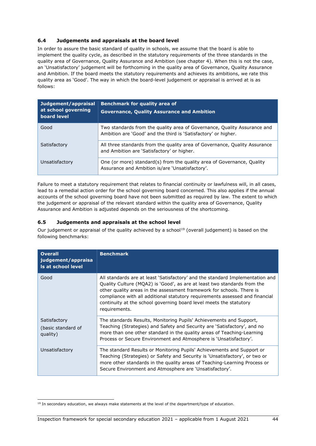# **6.4 Judgements and appraisals at the board level**

In order to assure the basic standard of quality in schools, we assume that the board is able to implement the quality cycle, as described in the statutory requirements of the three standards in the quality area of Governance, Quality Assurance and Ambition (see chapter 4). When this is not the case, an 'Unsatisfactory' judgement will be forthcoming in the quality area of Governance, Quality Assurance and Ambition. If the board meets the statutory requirements and achieves its ambitions, we rate this quality area as 'Good'. The way in which the board-level judgement or appraisal is arrived at is as follows:

| Judgement/appraisal<br>at school governing<br>board level | <b>Benchmark for quality area of</b><br><b>Governance, Quality Assurance and Ambition</b>                                                  |
|-----------------------------------------------------------|--------------------------------------------------------------------------------------------------------------------------------------------|
| Good                                                      | Two standards from the quality area of Governance, Quality Assurance and<br>Ambition are 'Good' and the third is 'Satisfactory' or higher. |
| Satisfactory                                              | All three standards from the quality area of Governance, Quality Assurance<br>and Ambition are 'Satisfactory' or higher.                   |
| Unsatisfactory                                            | One (or more) standard(s) from the quality area of Governance, Quality<br>Assurance and Ambition is/are 'Unsatisfactory'.                  |

Failure to meet a statutory requirement that relates to financial continuity or lawfulness will, in all cases, lead to a remedial action order for the school governing board concerned. This also applies if the annual accounts of the school governing board have not been submitted as required by law. The extent to which the judgement or appraisal of the relevant standard within the quality area of Governance, Quality Assurance and Ambition is adjusted depends on the seriousness of the shortcoming.

# **6.5 Judgements and appraisals at the school level**

Our judgement or appraisal of the quality achieved by a school<sup>[19](#page-43-0)</sup> (overall judgement) is based on the following benchmarks:

| <b>Overall</b><br>judgement/appraisa<br>Is at school level | <b>Benchmark</b>                                                                                                                                                                                                                                                                                                                                                                                          |
|------------------------------------------------------------|-----------------------------------------------------------------------------------------------------------------------------------------------------------------------------------------------------------------------------------------------------------------------------------------------------------------------------------------------------------------------------------------------------------|
| Good                                                       | All standards are at least 'Satisfactory' and the standard Implementation and<br>Quality Culture (MQA2) is 'Good', as are at least two standards from the<br>other quality areas in the assessment framework for schools. There is<br>compliance with all additional statutory requirements assessed and financial<br>continuity at the school governing board level meets the statutory<br>requirements. |
| Satisfactory<br>(basic standard of<br>quality)             | The standards Results, Monitoring Pupils' Achievements and Support,<br>Teaching (Strategies) and Safety and Security are 'Satisfactory', and no<br>more than one other standard in the quality areas of Teaching-Learning<br>Process or Secure Environment and Atmosphere is 'Unsatisfactory'.                                                                                                            |
| Unsatisfactory                                             | The standard Results or Monitoring Pupils' Achievements and Support or<br>Teaching (Strategies) or Safety and Security is 'Unsatisfactory', or two or<br>more other standards in the quality areas of Teaching-Learning Process or<br>Secure Environment and Atmosphere are 'Unsatisfactory'.                                                                                                             |

<span id="page-43-0"></span> $19$  In secondary education, we always make statements at the level of the department/type of education.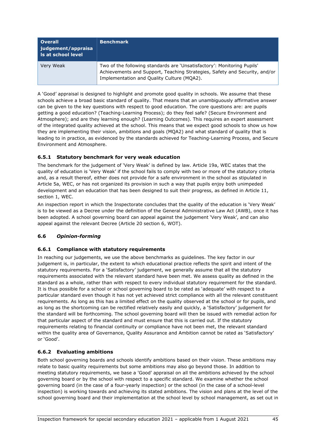| <b>Overall</b><br>  judgement/appraisa<br><b>Is at school level</b> | <b>Benchmark</b>                                                                                                                                                                                    |
|---------------------------------------------------------------------|-----------------------------------------------------------------------------------------------------------------------------------------------------------------------------------------------------|
| Very Weak                                                           | Two of the following standards are 'Unsatisfactory': Monitoring Pupils'<br>Achievements and Support, Teaching Strategies, Safety and Security, and/or<br>Implementation and Quality Culture (MQA2). |

A 'Good' appraisal is designed to highlight and promote good quality in schools. We assume that these schools achieve a broad basic standard of quality. That means that an unambiguously affirmative answer can be given to the key questions with respect to good education. The core questions are: are pupils getting a good education? (Teaching-Learning Process); do they feel safe? (Secure Environment and Atmosphere); and are they learning enough? (Learning Outcomes). This requires an expert assessment of the integrated quality achieved at the school. This means that we expect good schools to show us how they are implementing their vision, ambitions and goals (MQA2) and what standard of quality that is leading to in practice, as evidenced by the standards achieved for Teaching-Learning Process, and Secure Environment and Atmosphere.

# **6.5.1 Statutory benchmark for very weak education**

The benchmark for the judgement of 'Very Weak' is defined by law. Article 19a, WEC states that the quality of education is 'Very Weak' if the school fails to comply with two or more of the statutory criteria and, as a result thereof, either does not provide for a safe environment in the school as stipulated in Article 5a, WEC, or has not organized its provision in such a way that pupils enjoy both unimpeded development and an education that has been designed to suit their progress, as defined in Article 11, section 1, WEC.

An inspection report in which the Inspectorate concludes that the quality of the education is 'Very Weak' is to be viewed as a Decree under the definition of the General Administrative Law Act (AWB), once it has been adopted. A school governing board can appeal against the judgement 'Very Weak', and can also appeal against the relevant Decree (Article 20 section 6, WOT).

## **6.6** *Opinion-forming*

## **6.6.1 Compliance with statutory requirements**

In reaching our judgements, we use the above benchmarks as guidelines. The key factor in our judgement is, in particular, the extent to which educational practice reflects the spirit and intent of the statutory requirements. For a 'Satisfactory' judgement, we generally assume that all the statutory requirements associated with the relevant standard have been met. We assess quality as defined in the standard as a whole, rather than with respect to every individual statutory requirement for the standard. It is thus possible for a school or school governing board to be rated as 'adequate' with respect to a particular standard even though it has not yet achieved strict compliance with all the relevant constituent requirements. As long as this has a limited effect on the quality observed at the school or for pupils, and as long as the shortcoming can be rectified relatively easily and quickly, a 'Satisfactory' judgement for the standard will be forthcoming. The school governing board will then be issued with remedial action for that particular aspect of the standard and must ensure that this is carried out. If the statutory requirements relating to financial continuity or compliance have not been met, the relevant standard within the quality area of Governance, Quality Assurance and Ambition cannot be rated as 'Satisfactory' or 'Good'.

## **6.6.2 Evaluating ambitions**

Both school governing boards and schools identify ambitions based on their vision. These ambitions may relate to basic quality requirements but some ambitions may also go beyond those. In addition to meeting statutory requirements, we base a 'Good' appraisal on all the ambitions achieved by the school governing board or by the school with respect to a specific standard. We examine whether the school governing board (in the case of a four-yearly inspection) or the school (in the case of a school-level inspection) is working towards and achieving its stated ambitions. The vision and plans at the level of the school governing board and their implementation at the school level by school management, as set out in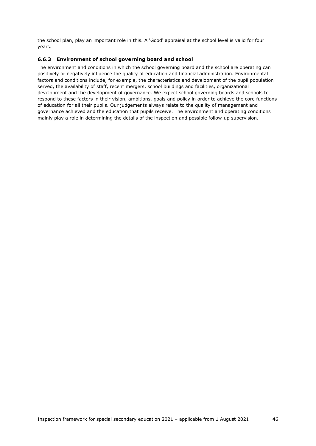the school plan, play an important role in this. A 'Good' appraisal at the school level is valid for four years.

# **6.6.3 Environment of school governing board and school**

The environment and conditions in which the school governing board and the school are operating can positively or negatively influence the quality of education and financial administration. Environmental factors and conditions include, for example, the characteristics and development of the pupil population served, the availability of staff, recent mergers, school buildings and facilities, organizational development and the development of governance. We expect school governing boards and schools to respond to these factors in their vision, ambitions, goals and policy in order to achieve the core functions of education for all their pupils. Our judgements always relate to the quality of management and governance achieved and the education that pupils receive. The environment and operating conditions mainly play a role in determining the details of the inspection and possible follow-up supervision.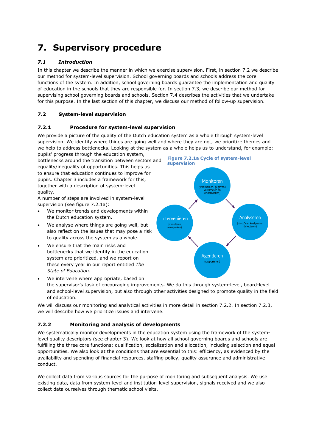# **7. Supervisory procedure**

# *7.1 Introduction*

In this chapter we describe the manner in which we exercise supervision. First, in section 7.2 we describe our method for system-level supervision. School governing boards and schools address the core functions of the system. In addition, school governing boards guarantee the implementation and quality of education in the schools that they are responsible for. In section 7.3, we describe our method for supervising school governing boards and schools. Section 7.4 describes the activities that we undertake for this purpose. In the last section of this chapter, we discuss our method of follow-up supervision.

# **7.2 System-level supervision**

## **7.2.1 Procedure for system-level supervision**

We provide a picture of the quality of the Dutch education system as a whole through system-level supervision. We identify where things are going well and where they are not, we prioritize themes and we help to address bottlenecks. Looking at the system as a whole helps us to understand, for example: pupils' progress through the education system,

bottlenecks around the transition between sectors and equality/inequality of opportunities. This helps us to ensure that education continues to improve for pupils. Chapter 3 includes a framework for this, together with a description of system-level quality.

A number of steps are involved in system-level supervision (see figure 7.2.1a):

- We monitor trends and developments within the Dutch education system.
- We analyse where things are going well, but also reflect on the issues that may pose a risk to quality across the system as a whole.
- We ensure that the main risks and bottlenecks that we identify in the education system are prioritized, and we report on these every year in our report entitled *The State of Education*.



We intervene where appropriate, based on the supervisor's task of encouraging improvements. We do this through system-level, board-level and school-level supervision, but also through other activities designed to promote quality in the field of education.

We will discuss our monitoring and analytical activities in more detail in section 7.2.2. In section 7.2.3, we will describe how we prioritize issues and intervene.

## **7.2.2 Monitoring and analysis of developments**

We systematically monitor developments in the education system using the framework of the systemlevel quality descriptors (see chapter 3). We look at how all school governing boards and schools are fulfilling the three core functions: qualification, socialization and allocation, including selection and equal opportunities. We also look at the conditions that are essential to this: efficiency, as evidenced by the availability and spending of financial resources, staffing policy, quality assurance and administrative conduct.

We collect data from various sources for the purpose of monitoring and subsequent analysis. We use existing data, data from system-level and institution-level supervision, signals received and we also collect data ourselves through thematic school visits.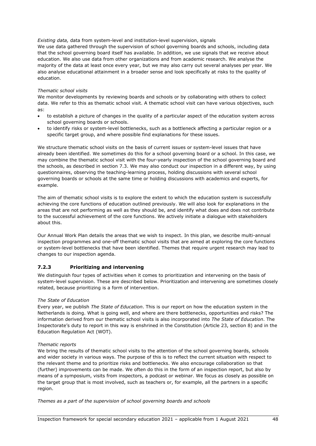*Existing data,* data from system-level and institution-level supervision, signals We use data gathered through the supervision of school governing boards and schools, including data that the school governing board itself has available. In addition, we use signals that we receive about education. We also use data from other organizations and from academic research. We analyse the majority of the data at least once every year, but we may also carry out several analyses per year. We also analyse educational attainment in a broader sense and look specifically at risks to the quality of education.

## *Thematic school visits*

We monitor developments by reviewing boards and schools or by collaborating with others to collect data. We refer to this as thematic school visit. A thematic school visit can have various objectives, such as:

- to establish a picture of changes in the quality of a particular aspect of the education system across school governing boards or schools.
- to identify risks or system-level bottlenecks, such as a bottleneck affecting a particular region or a specific target group, and where possible find explanations for these issues.

We structure thematic school visits on the basis of current issues or system-level issues that have already been identified. We sometimes do this for a school governing board or a school. In this case, we may combine the thematic school visit with the four-yearly inspection of the school governing board and the schools, as described in section 7.3. We may also conduct our inspection in a different way, by using questionnaires, observing the teaching-learning process, holding discussions with several school governing boards or schools at the same time or holding discussions with academics and experts, for example.

The aim of thematic school visits is to explore the extent to which the education system is successfully achieving the core functions of education outlined previously. We will also look for explanations in the areas that are not performing as well as they should be, and identify what does and does not contribute to the successful achievement of the core functions. We actively initiate a dialogue with stakeholders about this.

Our Annual Work Plan details the areas that we wish to inspect. In this plan, we describe multi-annual inspection programmes and one-off thematic school visits that are aimed at exploring the core functions or system-level bottlenecks that have been identified. Themes that require urgent research may lead to changes to our inspection agenda.

## **7.2.3 Prioritizing and intervening**

We distinguish four types of activities when it comes to prioritization and intervening on the basis of system-level supervision. These are described below. Prioritization and intervening are sometimes closely related, because prioritizing is a form of intervention.

## *The State of Education*

Every year, we publish *The State of Education*. This is our report on how the education system in the Netherlands is doing. What is going well, and where are there bottlenecks, opportunities and risks? The information derived from our thematic school visits is also incorporated into *The State of Education*. The Inspectorate's duty to report in this way is enshrined in the Constitution (Article 23, section 8) and in the Education Regulation Act (WOT).

## *Thematic reports*

We bring the results of thematic school visits to the attention of the school governing boards, schools and wider society in various ways. The purpose of this is to reflect the current situation with respect to the relevant theme and to prioritize risks and bottlenecks. We also encourage collaboration so that (further) improvements can be made. We often do this in the form of an inspection report, but also by means of a symposium, visits from inspectors, a podcast or webinar. We focus as closely as possible on the target group that is most involved, such as teachers or, for example, all the partners in a specific region.

*Themes as a part of the supervision of school governing boards and schools*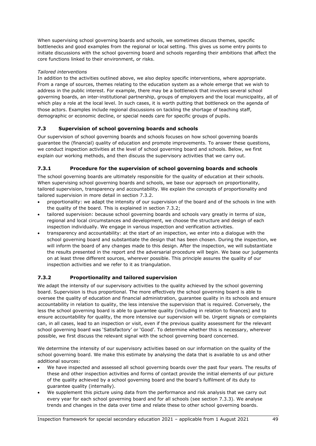When supervising school governing boards and schools, we sometimes discuss themes, specific bottlenecks and good examples from the regional or local setting. This gives us some entry points to initiate discussions with the school governing board and schools regarding their ambitions that affect the core functions linked to their environment, or risks.

# *Tailored interventions*

In addition to the activities outlined above, we also deploy specific interventions, where appropriate. From a range of sources, themes relating to the education system as a whole emerge that we wish to address in the public interest. For example, there may be a bottleneck that involves several school governing boards, an inter-institutional partnership, groups of employers and the local municipality, all of which play a role at the local level. In such cases, it is worth putting that bottleneck on the agenda of those actors. Examples include regional discussions on tackling the shortage of teaching staff, demographic or economic decline, or special needs care for specific groups of pupils.

# **7.3 Supervision of school governing boards and schools**

Our supervision of school governing boards and schools focuses on how school governing boards guarantee the (financial) quality of education and promote improvements. To answer these questions, we conduct inspection activities at the level of school governing board and schools. Below, we first explain our working methods, and then discuss the supervisory activities that we carry out.

# **7.3.1 Procedure for the supervision of school governing boards and schools**

The school governing boards are ultimately responsible for the quality of education at their schools. When supervising school governing boards and schools, we base our approach on proportionality, tailored supervision, transparency and accountability. We explain the concepts of proportionality and tailored supervision in more detail in section 7.3.2.

- proportionality: we adapt the intensity of our supervision of the board and of the schools in line with the quality of the board. This is explained in section 7.3.2;
- tailored supervision: because school governing boards and schools vary greatly in terms of size, regional and local circumstances and development, we choose the structure and design of each inspection individually. We engage in various inspection and verification activities.
- transparency and accountability: at the start of an inspection, we enter into a dialogue with the school governing board and substantiate the design that has been chosen. During the inspection, we will inform the board of any changes made to this design. After the inspection, we will substantiate the results presented in the report and the adversarial procedure will begin. We base our judgements on at least three different sources, wherever possible. This principle assures the quality of our inspection activities and we refer to it as triangulation.

# **7.3.2 Proportionality and tailored supervision**

We adapt the intensity of our supervisory activities to the quality achieved by the school governing board. Supervision is thus proportional. The more effectively the school governing board is able to oversee the quality of education and financial administration, guarantee quality in its schools and ensure accountability in relation to quality, the less intensive the supervision that is required. Conversely, the less the school governing board is able to guarantee quality (including in relation to finances) and to ensure accountability for quality, the more intensive our supervision will be. Urgent signals or complaints can, in all cases, lead to an inspection or visit, even if the previous quality assessment for the relevant school governing board was 'Satisfactory' or 'Good'. To determine whether this is necessary, wherever possible, we first discuss the relevant signal with the school governing board concerned.

We determine the intensity of our supervisory activities based on our information on the quality of the school governing board. We make this estimate by analysing the data that is available to us and other additional sources:

- We have inspected and assessed all school governing boards over the past four years. The results of these and other inspection activities and forms of contact provide the initial elements of our picture of the quality achieved by a school governing board and the board's fulfilment of its duty to guarantee quality (internally).
- We supplement this picture using data from the performance and risk analysis that we carry out every year for each school governing board and for all schools (see section 7.3.3). We analyse trends and changes in the data over time and relate these to other school governing boards.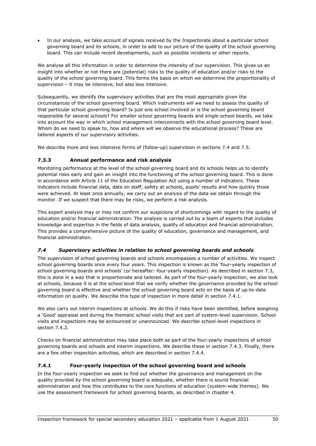• In our analysis, we take account of signals received by the Inspectorate about a particular school governing board and its schools, in order to add to our picture of the quality of the school governing board. This can include recent developments, such as possible incidents or other reports.

We analyse all this information in order to determine the intensity of our supervision. This gives us an insight into whether or not there are (potential) risks to the quality of education and/or risks to the quality of the school governing board. This forms the basis on which we determine the proportionality of supervision – it may be intensive, but also less intensive.

Subsequently, we identify the supervisory activities that are the most appropriate given the circumstances of the school governing board. Which instruments will we need to assess the quality of that particular school governing board? Is just one school involved or is the school governing board responsible for several schools? For smaller school governing boards and single-school boards, we take into account the way in which school management interconnects with the school governing board level. Whom do we need to speak to, how and where will we observe the educational process? These are tailored aspects of our supervisory activities.

We describe more and less intensive forms of (follow-up) supervision in sections 7.4 and 7.5.

## **7.3.3 Annual performance and risk analysis**

Monitoring performance at the level of the school governing board and its schools helps us to identify potential risks early and gain an insight into the functioning of the school governing board. This is done in accordance with Article 11 of the Education Regulation Act using a number of indicators. These indicators include financial data, data on staff, safety at schools, pupils' results and how quickly those were achieved. At least once annually, we carry out an analysis of the data we obtain through the monitor. If we suspect that there may be risks, we perform a risk analysis.

This expert analysis may or may not confirm our suspicions of shortcomings with regard to the quality of education and/or financial administration. The analysis is carried out by a team of experts that includes knowledge and expertise in the fields of data analysis, quality of education and financial administration. This provides a comprehensive picture of the quality of education, governance and management, and financial administration.

## *7.4 Supervisory activities in relation to school governing boards and schools*

The supervision of school governing boards and schools encompasses a number of activities. We inspect school governing boards once every four years. This inspection is known as the 'four-yearly inspection of school governing boards and schools' (or hereafter: four-yearly inspection). As described in section 7.3, this is done in a way that is proportionate and tailored. As part of the four-yearly inspection, we also look at schools, because it is at the school level that we verify whether the governance provided by the school governing board is effective and whether the school governing board acts on the basis of up-to-date information on quality. We describe this type of inspection in more detail in section 7.4.1.

We also carry out interim inspections at schools. We do this if risks have been identified, before assigning a 'Good' appraisal and during the thematic school visits that are part of system-level supervision. School visits and inspections may be announced or unannounced. We describe school-level inspections in section 7.4.2.

Checks on financial administration may take place both as part of the four-yearly inspections of school governing boards and schools and interim inspections. We describe these in section 7.4.3. Finally, there are a few other inspection activities, which are described in section 7.4.4.

# **7.4.1 Four-yearly inspection of the school governing board and schools**

In the four-yearly inspection we seek to find out whether the governance and management on the quality provided by the school governing board is adequate, whether there is sound financial administration and how this contributes to the core functions of education (system-wide themes). We use the assessment framework for school governing boards, as described in chapter 4.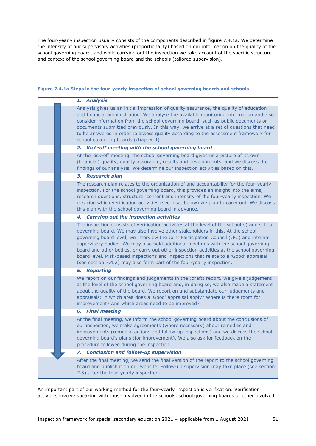The four-yearly inspection usually consists of the components described in figure 7.4.1a. We determine the intensity of our supervisory activities (proportionality) based on our information on the quality of the school governing board, and while carrying out the inspection we take account of the specific structure and context of the school governing board and the schools (tailored supervision).

#### **Figure 7.4.1a Steps in the four-yearly inspection of school governing boards and schools**

|                     | 1. Analysis                                                                                                                                                                                                                                                                                                                                                                                                                                                                                                                                                                                                                 |
|---------------------|-----------------------------------------------------------------------------------------------------------------------------------------------------------------------------------------------------------------------------------------------------------------------------------------------------------------------------------------------------------------------------------------------------------------------------------------------------------------------------------------------------------------------------------------------------------------------------------------------------------------------------|
|                     | Analysis gives us an initial impression of quality assurance, the quality of education<br>and financial administration. We analyse the available monitoring information and also<br>consider information from the school governing board, such as public documents or<br>documents submitted previously. In this way, we arrive at a set of questions that need<br>to be answered in order to assess quality according to the assessment framework for<br>school governing boards (chapter 4).                                                                                                                              |
|                     | 2. Kick-off meeting with the school governing board                                                                                                                                                                                                                                                                                                                                                                                                                                                                                                                                                                         |
|                     | At the kick-off meeting, the school governing board gives us a picture of its own<br>(financial) quality, quality assurance, results and developments, and we discuss the<br>findings of our analysis. We determine our inspection activities based on this.                                                                                                                                                                                                                                                                                                                                                                |
|                     | 3. Research plan                                                                                                                                                                                                                                                                                                                                                                                                                                                                                                                                                                                                            |
|                     | The research plan relates to the organization of and accountability for the four-yearly<br>inspection. For the school governing board, this provides an insight into the aims,<br>research questions, structure, content and intensity of the four-yearly inspection. We<br>describe which verification activities (see inset below) we plan to carry out. We discuss<br>this plan with the school governing board in advance.                                                                                                                                                                                              |
|                     | 4. Carrying out the inspection activities                                                                                                                                                                                                                                                                                                                                                                                                                                                                                                                                                                                   |
|                     | The inspection consists of verification activities at the level of the school(s) and school<br>governing board. We may also involve other stakeholders in this. At the school<br>governing board level, we interview the Joint Participation Council (JPC) and internal<br>supervisory bodies. We may also hold additional meetings with the school governing<br>board and other bodies, or carry out other inspection activities at the school governing<br>board level. Risk-based inspections and inspections that relate to a 'Good' appraisal<br>(see section 7.4.2) may also form part of the four-yearly inspection. |
| <b>5. Reporting</b> |                                                                                                                                                                                                                                                                                                                                                                                                                                                                                                                                                                                                                             |
|                     | We report on our findings and judgements in the (draft) report. We give a judgement<br>at the level of the school governing board and, in doing so, we also make a statement<br>about the quality of the board. We report on and substantiate our judgements and<br>appraisals: in which area does a 'Good' appraisal apply? Where is there room for<br>improvement? And which areas need to be improved?                                                                                                                                                                                                                   |
|                     | <b>6.</b> Final meeting                                                                                                                                                                                                                                                                                                                                                                                                                                                                                                                                                                                                     |
|                     | At the final meeting, we inform the school governing board about the conclusions of<br>our inspection, we make agreements (where necessary) about remedies and<br>improvements (remedial actions and follow-up inspections) and we discuss the school<br>governing board's plans (for improvement). We also ask for feedback on the<br>procedure followed during the inspection.                                                                                                                                                                                                                                            |
|                     | <b>Conclusion and follow-up supervision</b><br>7.                                                                                                                                                                                                                                                                                                                                                                                                                                                                                                                                                                           |
|                     | After the final meeting, we send the final version of the report to the school governing<br>board and publish it on our website. Follow-up supervision may take place (see section<br>7.5) after the four-yearly inspection.                                                                                                                                                                                                                                                                                                                                                                                                |

An important part of our working method for the four-yearly inspection is verification. Verification activities involve speaking with those involved in the schools, school governing boards or other involved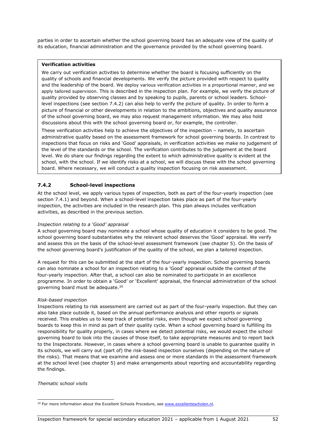parties in order to ascertain whether the school governing board has an adequate view of the quality of its education, financial administration and the governance provided by the school governing board.

## **Verification activities**

We carry out verification activities to determine whether the board is focusing sufficiently on the quality of schools and financial developments. We verify the picture provided with respect to quality and the leadership of the board. We deploy various verification activities in a proportional manner, and we apply tailored supervision. This is described in the inspection plan. For example, we verify the picture of quality provided by observing classes and by speaking to pupils, parents or school leaders. Schoollevel inspections (see section 7.4.2) can also help to verify the picture of quality. In order to form a picture of financial or other developments in relation to the ambitions, objectives and quality assurance of the school governing board, we may also request management information. We may also hold discussions about this with the school governing board or, for example, the controller.

These verification activities help to achieve the objectives of the inspection – namely, to ascertain administrative quality based on the assessment framework for school governing boards. In contrast to inspections that focus on risks and 'Good' appraisals, in verification activities we make no judgement of the level of the standards or the school. The verification contributes to the judgement at the board level. We do share our findings regarding the extent to which administrative quality is evident at the school, with the school. If we identify risks at a school, we will discuss these with the school governing board. Where necessary, we will conduct a quality inspection focusing on risk assessment.

# **7.4.2 School-level inspections**

At the school level, we apply various types of inspection, both as part of the four-yearly inspection (see section 7.4.1) and beyond. When a school-level inspection takes place as part of the four-yearly inspection, the activities are included in the research plan. This plan always includes verification activities, as described in the previous section.

#### *Inspection relating to a 'Good' appraisal*

A school governing board may nominate a school whose quality of education it considers to be good. The school governing board substantiates why the relevant school deserves the 'Good' appraisal. We verify and assess this on the basis of the school-level assessment framework (see chapter 5). On the basis of the school governing board's justification of the quality of the school, we plan a tailored inspection.

A request for this can be submitted at the start of the four-yearly inspection. School governing boards can also nominate a school for an inspection relating to a 'Good' appraisal outside the context of the four-yearly inspection. After that, a school can also be nominated to participate in an excellence programme. In order to obtain a 'Good' or 'Excellent' appraisal, the financial administration of the school governing board must be adequate.[20](#page-51-0)

## *Risk-based inspection*

Inspections relating to risk assessment are carried out as part of the four-yearly inspection. But they can also take place outside it, based on the annual performance analysis and other reports or signals received. This enables us to keep track of potential risks, even though we expect school governing boards to keep this in mind as part of their quality cycle. When a school governing board is fulfilling its responsibility for quality properly, in cases where we detect potential risks, we would expect the school governing board to look into the causes of those itself, to take appropriate measures and to report back to the Inspectorate. However, in cases where a school governing board is unable to guarantee quality in its schools, we will carry out (part of) the risk-based inspection ourselves (depending on the nature of the risks). That means that we examine and assess one or more standards in the assessment framework at the school level (see chapter 5) and make arrangements about reporting and accountability regarding the findings.

*Thematic school visits*

<span id="page-51-0"></span><sup>&</sup>lt;sup>20</sup> For more information about the Excellent Schools Procedure, see www.excellentescholen.nl.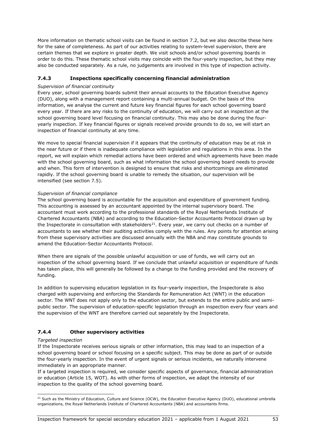More information on thematic school visits can be found in section 7.2, but we also describe these here for the sake of completeness. As part of our activities relating to system-level supervision, there are certain themes that we explore in greater depth. We visit schools and/or school governing boards in order to do this. These thematic school visits may coincide with the four-yearly inspection, but they may also be conducted separately. As a rule, no judgements are involved in this type of inspection activity.

# **7.4.3 Inspections specifically concerning financial administration**

## *Supervision of financial continuity*

Every year, school governing boards submit their annual accounts to the Education Executive Agency (DUO), along with a management report containing a multi-annual budget. On the basis of this information, we analyse the current and future key financial figures for each school governing board every year. If there are any risks to the continuity of education, we will carry out an inspection at the school governing board level focusing on financial continuity. This may also be done during the fouryearly inspection. If key financial figures or signals received provide grounds to do so, we will start an inspection of financial continuity at any time.

We move to special financial supervision if it appears that the continuity of education may be at risk in the near future or if there is inadequate compliance with legislation and regulations in this area. In the report, we will explain which remedial actions have been ordered and which agreements have been made with the school governing board, such as what information the school governing board needs to provide and when. This form of intervention is designed to ensure that risks and shortcomings are eliminated rapidly. If the school governing board is unable to remedy the situation, our supervision will be intensified (see section 7.5).

## *Supervision of financial compliance*

The school governing board is accountable for the acquisition and expenditure of government funding. This accounting is assessed by an accountant appointed by the internal supervisory board. The accountant must work according to the professional standards of the Royal Netherlands Institute of Chartered Accountants (NBA) and according to the Education-Sector Accountants Protocol drawn up by the Inspectorate in consultation with stakeholders<sup>21</sup>. Every year, we carry out checks on a number of accountants to see whether their auditing activities comply with the rules. Any points for attention arising from these supervisory activities are discussed annually with the NBA and may constitute grounds to amend the Education-Sector Accountants Protocol.

When there are signals of the possible unlawful acquisition or use of funds, we will carry out an inspection of the school governing board. If we conclude that unlawful acquisition or expenditure of funds has taken place, this will generally be followed by a change to the funding provided and the recovery of funding.

In addition to supervising education legislation in its four-yearly inspection, the Inspectorate is also charged with supervising and enforcing the Standards for Remuneration Act (WNT) in the education sector. The WNT does not apply only to the education sector, but extends to the entire public and semipublic sector. The supervision of education-specific legislation through an inspection every four years and the supervision of the WNT are therefore carried out separately by the Inspectorate.

## **7.4.4 Other supervisory activities**

## *Targeted inspection*

If the Inspectorate receives serious signals or other information, this may lead to an inspection of a school governing board or school focusing on a specific subject. This may be done as part of or outside the four-yearly inspection. In the event of urgent signals or serious incidents, we naturally intervene immediately in an appropriate manner.

If a targeted inspection is required, we consider specific aspects of governance, financial administration or education (Article 15, WOT). As with other forms of inspection, we adapt the intensity of our inspection to the quality of the school governing board.

<span id="page-52-0"></span><sup>&</sup>lt;sup>21</sup> Such as the Ministry of Education, Culture and Science (OCW), the Education Executive Agency (DUO), educational umbrella organizations, the Royal Netherlands Institute of Chartered Accountants (NBA) and accountants firms.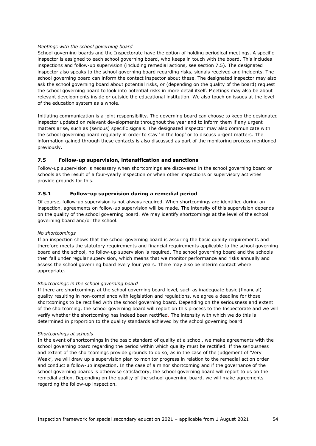## *Meetings with the school governing board*

School governing boards and the Inspectorate have the option of holding periodical meetings. A specific inspector is assigned to each school governing board, who keeps in touch with the board. This includes inspections and follow-up supervision (including remedial actions, see section 7.5). The designated inspector also speaks to the school governing board regarding risks, signals received and incidents. The school governing board can inform the contact inspector about these. The designated inspector may also ask the school governing board about potential risks, or (depending on the quality of the board) request the school governing board to look into potential risks in more detail itself. Meetings may also be about relevant developments inside or outside the educational institution. We also touch on issues at the level of the education system as a whole.

Initiating communication is a joint responsibility. The governing board can choose to keep the designated inspector updated on relevant developments throughout the year and to inform them if any urgent matters arise, such as (serious) specific signals. The designated inspector may also communicate with the school governing board regularly in order to stay 'in the loop' or to discuss urgent matters. The information gained through these contacts is also discussed as part of the monitoring process mentioned previously.

## **7.5 Follow-up supervision, intensification and sanctions**

Follow-up supervision is necessary when shortcomings are discovered in the school governing board or schools as the result of a four-yearly inspection or when other inspections or supervisory activities provide grounds for this.

## **7.5.1 Follow-up supervision during a remedial period**

Of course, follow-up supervision is not always required. When shortcomings are identified during an inspection, agreements on follow-up supervision will be made. The intensity of this supervision depends on the quality of the school governing board. We may identify shortcomings at the level of the school governing board and/or the school.

## *No shortcomings*

If an inspection shows that the school governing board is assuring the basic quality requirements and therefore meets the statutory requirements and financial requirements applicable to the school governing board and the school, no follow-up supervision is required. The school governing board and the schools then fall under regular supervision, which means that we monitor performance and risks annually and assess the school governing board every four years. There may also be interim contact where appropriate.

## *Shortcomings in the school governing board*

If there are shortcomings at the school governing board level, such as inadequate basic (financial) quality resulting in non-compliance with legislation and regulations, we agree a deadline for those shortcomings to be rectified with the school governing board. Depending on the seriousness and extent of the shortcoming, the school governing board will report on this process to the Inspectorate and we will verify whether the shortcoming has indeed been rectified. The intensity with which we do this is determined in proportion to the quality standards achieved by the school governing board.

#### *Shortcomings at schools*

In the event of shortcomings in the basic standard of quality at a school, we make agreements with the school governing board regarding the period within which quality must be rectified. If the seriousness and extent of the shortcomings provide grounds to do so, as in the case of the judgement of 'Very Weak', we will draw up a supervision plan to monitor progress in relation to the remedial action order and conduct a follow-up inspection. In the case of a minor shortcoming and if the governance of the school governing boards is otherwise satisfactory, the school governing board will report to us on the remedial action. Depending on the quality of the school governing board, we will make agreements regarding the follow-up inspection.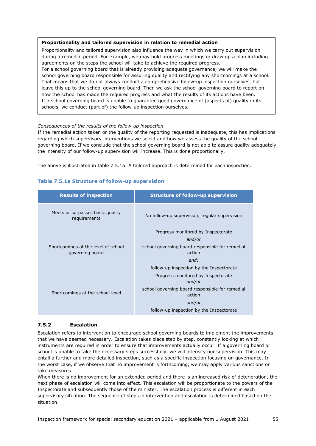## **Proportionality and tailored supervision in relation to remedial action**

Proportionality and tailored supervision also influence the way in which we carry out supervision during a remedial period. For example, we may hold progress meetings or draw up a plan including agreements on the steps the school will take to achieve the required progress. For a school governing board that is already providing adequate governance, we will make the school governing board responsible for assuring quality and rectifying any shortcomings at a school. That means that we do not always conduct a comprehensive follow-up inspection ourselves, but leave this up to the school governing board. Then we ask the school governing board to report on how the school has made the required progress and what the results of its actions have been. If a school governing board is unable to guarantee good governance of (aspects of) quality in its schools, we conduct (part of) the follow-up inspection ourselves.

#### *Consequences of the results of the follow-up inspection*

If the remedial action taken or the quality of the reporting requested is inadequate, this has implications regarding which supervisory interventions we select and how we assess the quality of the school governing board. If we conclude that the school governing board is not able to assure quality adequately, the intensity of our follow-up supervision will increase. This is done proportionally.

The above is illustrated in table 7.5.1a. A tailored approach is determined for each inspection.

| <b>Results of inspection</b>                           | <b>Structure of follow-up supervision</b>                 |
|--------------------------------------------------------|-----------------------------------------------------------|
| Meets or surpasses basic quality<br>requirements       | No follow-up supervision; regular supervision             |
|                                                        | Progress monitored by Inspectorate                        |
|                                                        | and/or                                                    |
| Shortcomings at the level of school<br>governing board | school governing board responsible for remedial<br>action |
|                                                        | and:                                                      |
|                                                        | follow-up inspection by the Inspectorate                  |
|                                                        | Progress monitored by Inspectorate<br>and/or              |
| Shortcomings at the school level                       | school governing board responsible for remedial<br>action |
|                                                        | and/or                                                    |
|                                                        | follow-up inspection by the Inspectorate                  |

## **Table 7.5.1a Structure of follow-up supervision**

## **7.5.2 Escalation**

Escalation refers to intervention to encourage school governing boards to implement the improvements that we have deemed necessary. Escalation takes place step by step, constantly looking at which instruments are required in order to ensure that improvements actually occur. If a governing board or school is unable to take the necessary steps successfully, we will intensify our supervision. This may entail a further and more detailed inspection, such as a specific inspection focusing on governance. In the worst case, if we observe that no improvement is forthcoming, we may apply various sanctions or take measures.

When there is no improvement for an extended period and there is an increased risk of deterioration, the next phase of escalation will come into effect. This escalation will be proportionate to the powers of the Inspectorate and subsequently those of the minister. The escalation process is different in each supervisory situation. The sequence of steps in intervention and escalation is determined based on the situation.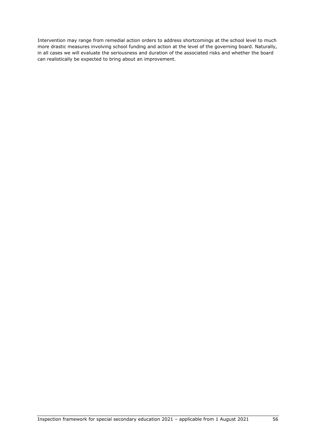Intervention may range from remedial action orders to address shortcomings at the school level to much more drastic measures involving school funding and action at the level of the governing board. Naturally, in all cases we will evaluate the seriousness and duration of the associated risks and whether the board can realistically be expected to bring about an improvement.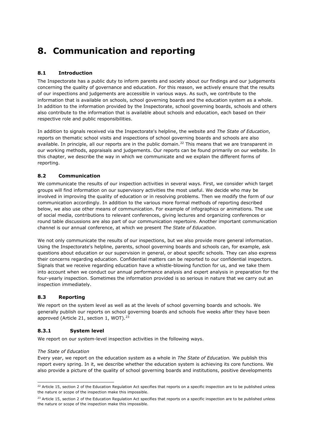# **8. Communication and reporting**

# **8.1 Introduction**

The Inspectorate has a public duty to inform parents and society about our findings and our judgements concerning the quality of governance and education. For this reason, we actively ensure that the results of our inspections and judgements are accessible in various ways. As such, we contribute to the information that is available on schools, school governing boards and the education system as a whole. In addition to the information provided by the Inspectorate, school governing boards, schools and others also contribute to the information that is available about schools and education, each based on their respective role and public responsibilities.

In addition to signals received via the Inspectorate's helpline, the website and *The State of Education*, reports on thematic school visits and inspections of school governing boards and schools are also available. In principle, all our reports are in the public domain.<sup>[22](#page-56-0)</sup> This means that we are transparent in our working methods, appraisals and judgements. Our reports can be found primarily on our website. In this chapter, we describe the way in which we communicate and we explain the different forms of reporting.

# **8.2 Communication**

We communicate the results of our inspection activities in several ways. First, we consider which target groups will find information on our supervisory activities the most useful. We decide who may be involved in improving the quality of education or in resolving problems. Then we modify the form of our communication accordingly. In addition to the various more formal methods of reporting described below, we also use other means of communication. For example of infographics or animations. The use of social media, contributions to relevant conferences, giving lectures and organizing conferences or round table discussions are also part of our communication repertoire. Another important communication channel is our annual conference, at which we present *The State of Education*.

We not only communicate the results of our inspections, but we also provide more general information. Using the Inspectorate's helpline, parents, school governing boards and schools can, for example, ask questions about education or our supervision in general, or about specific schools. They can also express their concerns regarding education. Confidential matters can be reported to our confidential inspectors. Signals that we receive regarding education have a whistle-blowing function for us, and we take them into account when we conduct our annual performance analysis and expert analysis in preparation for the four-yearly inspection. Sometimes the information provided is so serious in nature that we carry out an inspection immediately.

## **8.3 Reporting**

We report on the system level as well as at the levels of school governing boards and schools. We generally publish our reports on school governing boards and schools five weeks after they have been approved (Article 21, section 1, WOT).<sup>23</sup>

## **8.3.1 System level**

We report on our system-level inspection activities in the following ways.

## *The State of Education*

Every year, we report on the education system as a whole in *The State of Education.* We publish this report every spring. In it, we describe whether the education system is achieving its core functions. We also provide a picture of the quality of school governing boards and institutions, positive developments

<span id="page-56-0"></span><sup>&</sup>lt;sup>22</sup> Article 15, section 2 of the Education Regulation Act specifies that reports on a specific inspection are to be published unless the nature or scope of the inspection make this impossible.

<span id="page-56-1"></span> $23$  Article 15, section 2 of the Education Requlation Act specifies that reports on a specific inspection are to be published unless the nature or scope of the inspection make this impossible.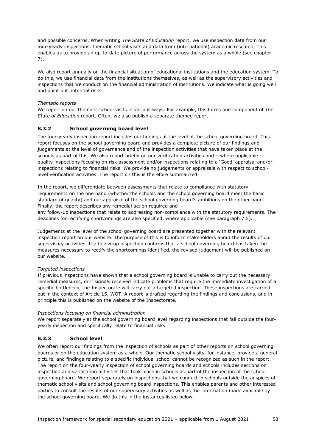and possible concerns. When writing *The State of Education* report, we use inspection data from our four-yearly inspections, thematic school visits and data from (international) academic research. This enables us to provide an up-to-date picture of performance across the system as a whole (see chapter 7).

We also report annually on the financial situation of educational institutions and the education system. To do this, we use financial data from the institutions themselves, as well as the supervisory activities and inspections that we conduct on the financial administration of institutions. We indicate what is going well and point out potential risks.

## *Thematic reports*

We report on our thematic school visits in various ways. For example, this forms one component of *The State of Education* report. Often, we also publish a separate themed report.

## **8.3.2 School governing board level**

The four-yearly inspection report includes our findings at the level of the school governing board. This report focuses on the school governing board and provides a complete picture of our findings and judgements at the level of governance and of the inspection activities that have taken place at the schools as part of this. We also report briefly on our verification activities and – where applicable – quality inspections focusing on risk assessment and/or inspections relating to a 'Good' appraisal and/or inspections relating to financial risks. We provide no judgements or appraisals with respect to schoollevel verification activities. The report on this is therefore summarized.

In the report, we differentiate between assessments that relate to compliance with statutory requirements on the one hand (whether the schools and the school governing board meet the basic standard of quality) and our appraisal of the school governing board's ambitions on the other hand. Finally, the report describes any remedial action required and

any follow-up inspections that relate to addressing non-compliance with the statutory requirements. The deadlines for rectifying shortcomings are also specified, where applicable (see paragraph 7.5).

Judgements at the level of the school governing board are presented together with the relevant inspection report on our website. The purpose of this is to inform stakeholders about the results of our supervisory activities. If a follow-up inspection confirms that a school governing board has taken the measures necessary to rectify the shortcomings identified, the revised judgement will be published on our website.

## *Targeted inspections*

If previous inspections have shown that a school governing board is unable to carry out the necessary remedial measures, or if signals received indicate problems that require the immediate investigation of a specific bottleneck, the Inspectorate will carry out a targeted inspection. These inspections are carried out in the context of Article 15, WOT. A report is drafted regarding the findings and conclusions, and in principle this is published on the website of the Inspectorate.

## *Inspections focusing on financial administration*

We report separately at the school governing board level regarding inspections that fall outside the fouryearly inspection and specifically relate to financial risks.

## **8.3.3 School level**

We often report our findings from the inspection of schools as part of other reports on school governing boards or on the education system as a whole. Our thematic school visits, for instance, provide a general picture, and findings relating to a specific individual school cannot be recognized as such in the report. The report on the four-yearly inspection of school governing boards and schools includes sections on inspection and verification activities that took place in schools as part of the inspection of the school governing board. We report separately on inspections that we conduct in schools outside the auspices of thematic school visits and school governing board inspections. This enables parents and other interested parties to consult the results of our supervisory activities as well as the information made available by the school governing board. We do this in the instances listed below.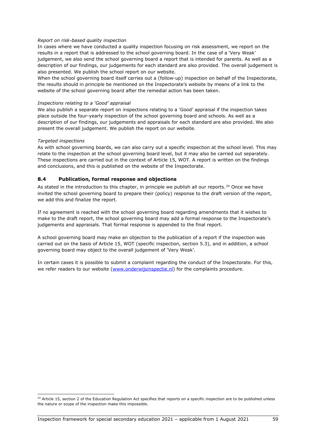#### *Report on risk-based quality inspection*

In cases where we have conducted a quality inspection focusing on risk assessment, we report on the results in a report that is addressed to the school governing board. In the case of a 'Very Weak' judgement, we also send the school governing board a report that is intended for parents. As well as a description of our findings, our judgements for each standard are also provided. The overall judgement is also presented. We publish the school report on our website.

When the school governing board itself carries out a (follow-up) inspection on behalf of the Inspectorate, the results should in principle be mentioned on the Inspectorate's website by means of a link to the website of the school governing board after the remedial action has been taken.

#### *Inspections relating to a 'Good' appraisal*

We also publish a separate report on inspections relating to a 'Good' appraisal if the inspection takes place outside the four-yearly inspection of the school governing board and schools. As well as a description of our findings, our judgements and appraisals for each standard are also provided. We also present the overall judgement. We publish the report on our website.

#### *Targeted inspections*

As with school governing boards, we can also carry out a specific inspection at the school level. This may relate to the inspection at the school governing board level, but it may also be carried out separately. These inspections are carried out in the context of Article 15, WOT. A report is written on the findings and conclusions, and this is published on the website of the Inspectorate.

## **8.4 Publication, formal response and objections**

As stated in the introduction to this chapter, in principle we publish all our reports.<sup>[24](#page-58-0)</sup> Once we have invited the school governing board to prepare their (policy) response to the draft version of the report, we add this and finalize the report.

If no agreement is reached with the school governing board regarding amendments that it wishes to make to the draft report, the school governing board may add a formal response to the Inspectorate's judgements and appraisals. That formal response is appended to the final report.

A school governing board may make an objection to the publication of a report if the inspection was carried out on the basis of Article 15, WOT (specific inspection, section 5.3), and in addition, a school governing board may object to the overall judgement of 'Very Weak'.

In certain cases it is possible to submit a complaint regarding the conduct of the Inspectorate. For this, we refer readers to our website [\(www.onderwijsinspectie.nl\)](http://www.onderwijsinspectie.nl/) for the complaints procedure.

<span id="page-58-0"></span><sup>&</sup>lt;sup>24</sup> Article 15, section 2 of the Education Regulation Act specifies that reports on a specific inspection are to be published unless the nature or scope of the inspection make this impossible.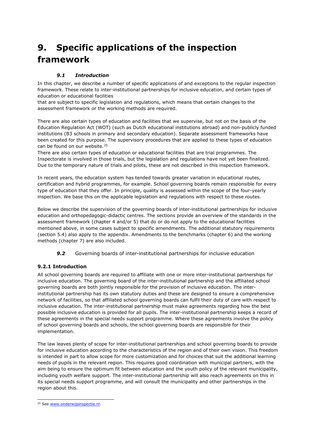# **9. Specific applications of the inspection framework**

# *9.1 Introduction*

In this chapter, we describe a number of specific applications of and exceptions to the regular inspection framework. These relate to inter-institutional partnerships for inclusive education, and certain types of education or educational facilities

that are subject to specific legislation and regulations, which means that certain changes to the assessment framework or the working methods are required.

There are also certain types of education and facilities that we supervise, but not on the basis of the Education Regulation Act (WOT) (such as Dutch educational institutions abroad) and non-publicly funded institutions (B3 schools in primary and secondary education). Separate assessment frameworks have been created for this purpose. The supervisory procedures that are applied to these types of education can be found on our website.<sup>[25](#page-60-0)</sup>

There are also certain types of education or educational facilities that are trial programmes. The Inspectorate is involved in those trials, but the legislation and regulations have not yet been finalized. Due to the temporary nature of trials and pilots, these are not described in this inspection framework.

In recent years, the education system has tended towards greater variation in educational routes, certification and hybrid programmes, for example. School governing boards remain responsible for every type of education that they offer. In principle, quality is assessed within the scope of the four-yearly inspection. We base this on the applicable legislation and regulations with respect to these routes.

Below we describe the supervision of the governing boards of inter-institutional partnerships for inclusive education and orthopedagogic-didactic centres. The sections provide an overview of the standards in the assessment framework (chapter 4 and/or 5) that do or do not apply to the educational facilities mentioned above, in some cases subject to specific amendments. The additional statutory requirements (section 5.4) also apply to the appendix. Amendments to the benchmarks (chapter 6) and the working methods (chapter 7) are also included.

**9.2** Governing boards of inter-institutional partnerships for inclusive education

## **9.2.1 Introduction**

All school governing boards are required to affiliate with one or more inter-institutional partnerships for inclusive education. The governing board of the inter-institutional partnership and the affiliated school governing boards are both jointly responsible for the provision of inclusive education. The interinstitutional partnership has its own statutory duties and these are designed to ensure a comprehensive network of facilities, so that affiliated school governing boards can fulfil their duty of care with respect to inclusive education. The inter-institutional partnership must make agreements regarding how the best possible inclusive education is provided for all pupils. The inter-institutional partnership keeps a record of these agreements in the special needs support programme. Where these agreements involve the policy of school governing boards and schools, the school governing boards are responsible for their implementation.

The law leaves plenty of scope for inter-institutional partnerships and school governing boards to provide for inclusive education according to the characteristics of the region and of their own vision. This freedom is intended in part to allow scope for more customization and for choices that suit the additional learning needs of pupils in the relevant region. This requires good coordination with municipal partners, with the aim being to ensure the optimum fit between education and the youth policy of the relevant municipality, including youth welfare support. The inter-institutional partnership will also reach agreements on this in its special needs support programme, and will consult the municipality and other partnerships in the region about this.

<span id="page-60-0"></span><sup>&</sup>lt;sup>25</sup> Se[e www.onderwijsinspectie.nl.](file://ocw.local/Userdata/Homedrive/jopau/Projectgroep%20Evaluatie%20en%20Bijstelling%20Onderzoekskader/Onderzoekskaders/SO/www.onderwijsinspectie.nl)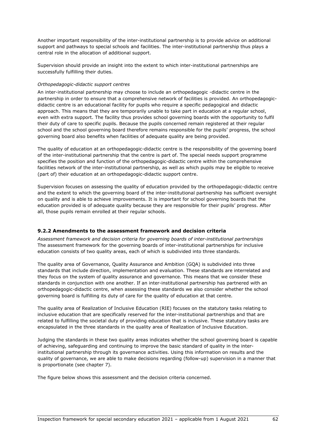Another important responsibility of the inter-institutional partnership is to provide advice on additional support and pathways to special schools and facilities. The inter-institutional partnership thus plays a central role in the allocation of additional support.

Supervision should provide an insight into the extent to which inter-institutional partnerships are successfully fulfilling their duties.

#### *Orthopedagogic-didactic support centres*

An inter-institutional partnership may choose to include an orthopedagogic -didactic centre in the partnership in order to ensure that a comprehensive network of facilities is provided. An orthopedagogicdidactic centre is an educational facility for pupils who require a specific pedagogical and didactic approach. This means that they are temporarily unable to take part in education at a regular school, even with extra support. The facility thus provides school governing boards with the opportunity to fulfil their duty of care to specific pupils. Because the pupils concerned remain registered at their regular school and the school governing board therefore remains responsible for the pupils' progress, the school governing board also benefits when facilities of adequate quality are being provided.

The quality of education at an orthopedagogic-didactic centre is the responsibility of the governing board of the inter-institutional partnership that the centre is part of. The special needs support programme specifies the position and function of the orthopedagogic-didactic centre within the comprehensive facilities network of the inter-institutional partnership, as well as which pupils may be eligible to receive (part of) their education at an orthopedagogic-didactic support centre.

Supervision focuses on assessing the quality of education provided by the orthopedagogic-didactic centre and the extent to which the governing board of the inter-institutional partnership has sufficient oversight on quality and is able to achieve improvements. It is important for school governing boards that the education provided is of adequate quality because they are responsible for their pupils' progress. After all, those pupils remain enrolled at their regular schools.

## **9.2.2 Amendments to the assessment framework and decision criteria**

*Assessment framework and decision criteria for governing boards of inter-institutional partnerships* The assessment framework for the governing boards of inter-institutional partnerships for inclusive education consists of two quality areas, each of which is subdivided into three standards.

The quality area of Governance, Quality Assurance and Ambition (GQA) is subdivided into three standards that include direction, implementation and evaluation. These standards are interrelated and they focus on the system of quality assurance and governance. This means that we consider these standards in conjunction with one another. If an inter-institutional partnership has partnered with an orthopedagogic-didactic centre, when assessing these standards we also consider whether the school governing board is fulfilling its duty of care for the quality of education at that centre.

The quality area of Realization of Inclusive Education (RIE) focuses on the statutory tasks relating to inclusive education that are specifically reserved for the inter-institutional partnerships and that are related to fulfilling the societal duty of providing education that is inclusive. These statutory tasks are encapsulated in the three standards in the quality area of Realization of Inclusive Education.

Judging the standards in these two quality areas indicates whether the school governing board is capable of achieving, safeguarding and continuing to improve the basic standard of quality in the interinstitutional partnership through its governance activities. Using this information on results and the quality of governance, we are able to make decisions regarding (follow-up) supervision in a manner that is proportionate (see chapter 7).

The figure below shows this assessment and the decision criteria concerned.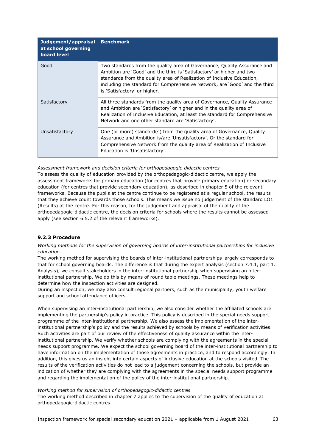| Judgement/appraisal<br>at school governing<br>board level | <b>Benchmark</b>                                                                                                                                                                                                                                                                                                                          |
|-----------------------------------------------------------|-------------------------------------------------------------------------------------------------------------------------------------------------------------------------------------------------------------------------------------------------------------------------------------------------------------------------------------------|
| Good                                                      | Two standards from the quality area of Governance, Quality Assurance and<br>Ambition are 'Good' and the third is 'Satisfactory' or higher and two<br>standards from the quality area of Realization of Inclusive Education,<br>including the standard for Comprehensive Network, are 'Good' and the third<br>is 'Satisfactory' or higher. |
| Satisfactory                                              | All three standards from the quality area of Governance, Quality Assurance<br>and Ambition are 'Satisfactory' or higher and in the quality area of<br>Realization of Inclusive Education, at least the standard for Comprehensive<br>Network and one other standard are 'Satisfactory'.                                                   |
| Unsatisfactory                                            | One (or more) standard(s) from the quality area of Governance, Quality<br>Assurance and Ambition is/are 'Unsatisfactory'. Or the standard for<br>Comprehensive Network from the quality area of Realization of Inclusive<br>Education is 'Unsatisfactory'.                                                                                |

*Assessment framework and decision criteria for orthopedagogic-didactic centres*

To assess the quality of education provided by the orthopedagogic-didactic centre, we apply the assessment frameworks for primary education (for centres that provide primary education) or secondary education (for centres that provide secondary education), as described in chapter 5 of the relevant frameworks. Because the pupils at the centre continue to be registered at a regular school, the results that they achieve count towards those schools. This means we issue no judgement of the standard LO1 (Results) at the centre. For this reason, for the judgement and appraisal of the quality of the orthopedagogic-didactic centre, the decision criteria for schools where the results cannot be assessed apply (see section 6.5.2 of the relevant frameworks).

## **9.2.3 Procedure**

*Working methods for the supervision of governing boards of inter-institutional partnerships for inclusive education* 

The working method for supervising the boards of inter-institutional partnerships largely corresponds to that for school governing boards. The difference is that during the expert analysis (section 7.4.1, part 1. Analysis), we consult stakeholders in the inter-institutional partnership when supervising an interinstitutional partnership. We do this by means of round table meetings. These meetings help to determine how the inspection activities are designed.

During an inspection, we may also consult regional partners, such as the municipality, youth welfare support and school attendance officers.

When supervising an inter-institutional partnership, we also consider whether the affiliated schools are implementing the partnership's policy in practice. This policy is described in the special needs support programme of the inter-institutional partnership. We also assess the implementation of the interinstitutional partnership's policy and the results achieved by schools by means of verification activities. Such activities are part of our review of the effectiveness of quality assurance within the interinstitutional partnership. We verify whether schools are complying with the agreements in the special needs support programme. We expect the school governing board of the inter-institutional partnership to have information on the implementation of those agreements in practice, and to respond accordingly. In addition, this gives us an insight into certain aspects of inclusive education at the schools visited. The results of the verification activities do not lead to a judgement concerning the schools, but provide an indication of whether they are complying with the agreements in the special needs support programme and regarding the implementation of the policy of the inter-institutional partnership.

#### *Working method for supervision of orthopedagogic-didactic centres*

The working method described in chapter 7 applies to the supervision of the quality of education at orthopedagogic-didactic centres.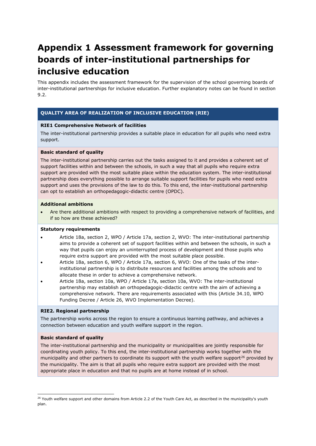# **Appendix 1 Assessment framework for governing boards of inter-institutional partnerships for inclusive education**

This appendix includes the assessment framework for the supervision of the school governing boards of inter-institutional partnerships for inclusive education. Further explanatory notes can be found in section 9.2.

## **QUALITY AREA OF REALIZATION OF INCLUSIVE EDUCATION (RIE)**

## **RIE1 Comprehensive Network of facilities**

The inter-institutional partnership provides a suitable place in education for all pupils who need extra support.

#### **Basic standard of quality**

The inter-institutional partnership carries out the tasks assigned to it and provides a coherent set of support facilities within and between the schools, in such a way that all pupils who require extra support are provided with the most suitable place within the education system. The inter-institutional partnership does everything possible to arrange suitable support facilities for pupils who need extra support and uses the provisions of the law to do this. To this end, the inter-institutional partnership can opt to establish an orthopedagogic-didactic centre (OPDC).

#### **Additional ambitions**

• Are there additional ambitions with respect to providing a comprehensive network of facilities, and if so how are these achieved?

#### **Statutory requirements**

- Article 18a, section 2, WPO / Article 17a, section 2, WVO: The inter-institutional partnership aims to provide a coherent set of support facilities within and between the schools, in such a way that pupils can enjoy an uninterrupted process of development and those pupils who require extra support are provided with the most suitable place possible.
- Article 18a, section 6, WPO / Article 17a, section 6, WVO: One of the tasks of the interinstitutional partnership is to distribute resources and facilities among the schools and to allocate these in order to achieve a comprehensive network.
- Article 18a, section 10a, WPO / Article 17a, section 10a, WVO: The inter-institutional partnership may establish an orthopedagogic-didactic centre with the aim of achieving a comprehensive network. There are requirements associated with this (Article 34.10, WPO Funding Decree / Article 26, WVO Implementation Decree).

#### **RIE2. Regional partnership**

The partnership works across the region to ensure a continuous learning pathway, and achieves a connection between education and youth welfare support in the region.

#### **Basic standard of quality**

The inter-institutional partnership and the municipality or municipalities are jointly responsible for coordinating youth policy. To this end, the inter-institutional partnership works together with the municipality and other partners to coordinate its support with the youth welfare support<sup>[26](#page-64-0)</sup> provided by the municipality. The aim is that all pupils who require extra support are provided with the most appropriate place in education and that no pupils are at home instead of in school.

<span id="page-64-0"></span><sup>&</sup>lt;sup>26</sup> Youth welfare support and other domains from Article 2.2 of the Youth Care Act, as described in the municipality's youth plan.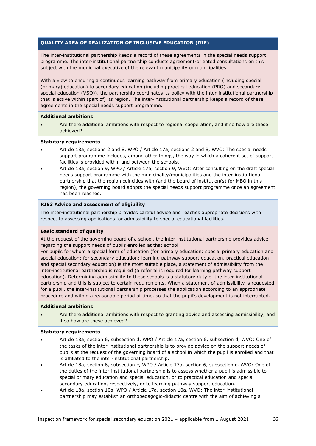# **QUALITY AREA OF REALIZATION OF INCLUSIVE EDUCATION (RIE)**

The inter-institutional partnership keeps a record of these agreements in the special needs support programme. The inter-institutional partnership conducts agreement-oriented consultations on this subject with the municipal executive of the relevant municipality or municipalities.

With a view to ensuring a continuous learning pathway from primary education (including special (primary) education) to secondary education (including practical education (PRO) and secondary special education (VSO)), the partnership coordinates its policy with the inter-institutional partnership that is active within (part of) its region. The inter-institutional partnership keeps a record of these agreements in the special needs support programme.

## **Additional ambitions**

• Are there additional ambitions with respect to regional cooperation, and if so how are these achieved?

## **Statutory requirements**

- Article 18a, sections 2 and 8, WPO / Article 17a, sections 2 and 8, WVO: The special needs support programme includes, among other things, the way in which a coherent set of support facilities is provided within and between the schools.
- Article 18a, section 9, WPO / Article 17a, section 9, WVO: After consulting on the draft special needs support programme with the municipality/municipalities and the inter-institutional partnership that the region coincides with (and the board of institution(s) for MBO in this region), the governing board adopts the special needs support programme once an agreement has been reached.

#### **RIE3 Advice and assessment of eligibility**

The inter-institutional partnership provides careful advice and reaches appropriate decisions with respect to assessing applications for admissibility to special educational facilities.

## **Basic standard of quality**

At the request of the governing board of a school, the inter-institutional partnership provides advice regarding the support needs of pupils enrolled at that school.

For pupils for whom a special form of education (for primary education: special primary education and special education; for secondary education: learning pathway support education, practical education and special secondary education) is the most suitable place, a statement of admissibility from the inter-institutional partnership is required (a referral is required for learning pathway support education). Determining admissibility to these schools is a statutory duty of the inter-institutional partnership and this is subject to certain requirements. When a statement of admissibility is requested for a pupil, the inter-institutional partnership processes the application according to an appropriate procedure and within a reasonable period of time, so that the pupil's development is not interrupted.

## **Additional ambitions**

• Are there additional ambitions with respect to granting advice and assessing admissibility, and if so how are these achieved?

#### **Statutory requirements**

- Article 18a, section 6, subsection d, WPO / Article 17a, section 6, subsection d, WVO: One of the tasks of the inter-institutional partnership is to provide advice on the support needs of pupils at the request of the governing board of a school in which the pupil is enrolled and that is affiliated to the inter-institutional partnership.
- Article 18a, section 6, subsection c, WPO / Article 17a, section 6, subsection c, WVO: One of the duties of the inter-institutional partnership is to assess whether a pupil is admissible to special primary education and special education, or to practical education and special secondary education, respectively, or to learning pathway support education.
- Article 18a, section 10a, WPO / Article 17a, section 10a, WVO: The inter-institutional partnership may establish an orthopedagogic-didactic centre with the aim of achieving a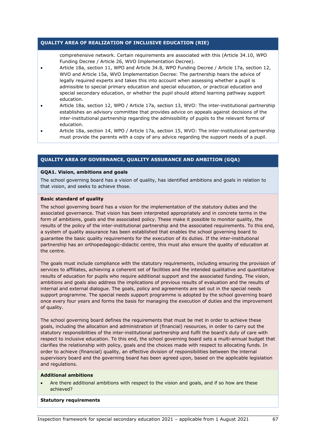## **QUALITY AREA OF REALIZATION OF INCLUSIVE EDUCATION (RIE)**

comprehensive network. Certain requirements are associated with this (Article 34.10, WPO Funding Decree / Article 26, WVO Implementation Decree).

- Article 18a, section 11, WPO and Article 34.8, WPO Funding Decree / Article 17a, section 12, WVO and Article 15a, WVO Implementation Decree: The partnership hears the advice of legally required experts and takes this into account when assessing whether a pupil is admissible to special primary education and special education, or practical education and special secondary education, or whether the pupil should attend learning pathway support education.
- Article 18a, section 12, WPO / Article 17a, section 13, WVO: The inter-institutional partnership establishes an advisory committee that provides advice on appeals against decisions of the inter-institutional partnership regarding the admissibility of pupils to the relevant forms of education.
- Article 18a, section 14, WPO / Article 17a, section 15, WVO: The inter-institutional partnership must provide the parents with a copy of any advice regarding the support needs of a pupil.

## **QUALITY AREA OF GOVERNANCE, QUALITY ASSURANCE AND AMBITION (GQA)**

#### **GQA1. Vision, ambitions and goals**

The school governing board has a vision of quality, has identified ambitions and goals in relation to that vision, and seeks to achieve those.

#### **Basic standard of quality**

The school governing board has a vision for the implementation of the statutory duties and the associated governance. That vision has been interpreted appropriately and in concrete terms in the form of ambitions, goals and the associated policy. These make it possible to monitor quality, the results of the policy of the inter-institutional partnership and the associated requirements. To this end, a system of quality assurance has been established that enables the school governing board to guarantee the basic quality requirements for the execution of its duties. If the inter-institutional partnership has an orthopedagogic-didactic centre, this must also ensure the quality of education at the centre.

The goals must include compliance with the statutory requirements, including ensuring the provision of services to affiliates, achieving a coherent set of facilities and the intended qualitative and quantitative results of education for pupils who require additional support and the associated funding. The vision, ambitions and goals also address the implications of previous results of evaluation and the results of internal and external dialogue. The goals, policy and agreements are set out in the special needs support programme. The special needs support programme is adopted by the school governing board once every four years and forms the basis for managing the execution of duties and the improvement of quality.

The school governing board defines the requirements that must be met in order to achieve these goals, including the allocation and administration of (financial) resources, in order to carry out the statutory responsibilities of the inter-institutional partnership and fulfil the board's duty of care with respect to inclusive education. To this end, the school governing board sets a multi-annual budget that clarifies the relationship with policy, goals and the choices made with respect to allocating funds. In order to achieve (financial) quality, an effective division of responsibilities between the internal supervisory board and the governing board has been agreed upon, based on the applicable legislation and regulations.

#### **Additional ambitions**

Are there additional ambitions with respect to the vision and goals, and if so how are these achieved?

#### **Statutory requirements**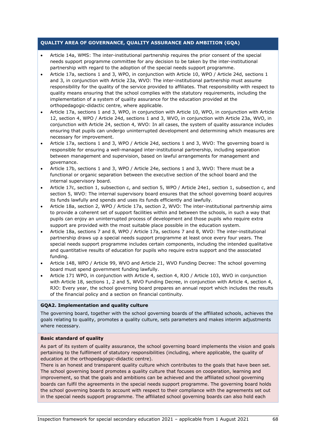- Article 14a, WMS: The inter-institutional partnership requires the prior consent of the special needs support programme committee for any decision to be taken by the inter-institutional partnership with regard to the adoption of the special needs support programme.
- Article 17a, sections 1 and 3, WPO, in conjunction with Article 10, WPO / Article 24d, sections 1 and 3, in conjunction with Article 23a, WVO: The inter-institutional partnership must assume responsibility for the quality of the service provided to affiliates. That responsibility with respect to quality means ensuring that the school complies with the statutory requirements, including the implementation of a system of quality assurance for the education provided at the orthopedagogic-didactic centre, where applicable.
- Article 17a, sections 1 and 3, WPO, in conjunction with Article 10, WPO, in conjunction with Article 12, section 4, WPO / Article 24d, sections 1 and 3, WVO, in conjunction with Article 23a, WVO, in conjunction with Article 24, section 4, WVO: In all cases, the system of quality assurance includes ensuring that pupils can undergo uninterrupted development and determining which measures are necessary for improvement.
- Article 17a, sections 1 and 3, WPO / Article 24d, sections 1 and 3, WVO: The governing board is responsible for ensuring a well-managed inter-institutional partnership, including separation between management and supervision, based on lawful arrangements for management and governance.
- Article 17b, sections 1 and 3, WPO / Article 24e, sections 1 and 3, WVO: There must be a functional or organic separation between the executive section of the school board and the internal supervisory board.
- Article 17c, section 1, subsection c, and section 5, WPO / Article 24e1, section 1, subsection c, and section 5, WVO: The internal supervisory board ensures that the school governing board acquires its funds lawfully and spends and uses its funds efficiently and lawfully.
- Article 18a, section 2, WPO / Article 17a, section 2, WVO: The inter-institutional partnership aims to provide a coherent set of support facilities within and between the schools, in such a way that pupils can enjoy an uninterrupted process of development and those pupils who require extra support are provided with the most suitable place possible in the education system.
- Article 18a, sections 7 and 8, WPO / Article 17a, sections 7 and 8, WVO: The inter-institutional partnership draws up a special needs support programme at least once every four years. The special needs support programme includes certain components, including the intended qualitative and quantitative results of education for pupils who require extra support and the associated funding.
- Article 148, WPO / Article 99, WVO and Article 21, WVO Funding Decree: The school governing board must spend government funding lawfully.
- Article 171 WPO, in conjunction with Article 4, section 4, RJO / Article 103, WVO in conjunction with Article 18, sections 1, 2 and 5, WVO Funding Decree, in conjunction with Article 4, section 4, RJO: Every year, the school governing board prepares an annual report which includes the results of the financial policy and a section on financial continuity.

## **GQA2. Implementation and quality culture**

The governing board, together with the school governing boards of the affiliated schools, achieves the goals relating to quality, promotes a quality culture, sets parameters and makes interim adjustments where necessary.

#### **Basic standard of quality**

As part of its system of quality assurance, the school governing board implements the vision and goals pertaining to the fulfilment of statutory responsibilities (including, where applicable, the quality of education at the orthopedagogic-didactic centre).

There is an honest and transparent quality culture which contributes to the goals that have been set. The school governing board promotes a quality culture that focuses on cooperation, learning and improvement, so that the goals and ambitions can be achieved and the affiliated school governing boards can fulfil the agreements in the special needs support programme. The governing board holds the school governing boards to account with respect to their compliance with the agreements set out in the special needs support programme. The affiliated school governing boards can also hold each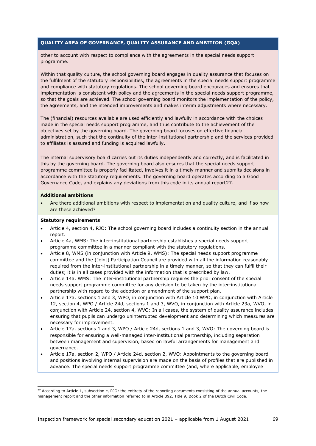other to account with respect to compliance with the agreements in the special needs support programme.

Within that quality culture, the school governing board engages in quality assurance that focuses on the fulfilment of the statutory responsibilities, the agreements in the special needs support programme and compliance with statutory regulations. The school governing board encourages and ensures that implementation is consistent with policy and the agreements in the special needs support programme, so that the goals are achieved. The school governing board monitors the implementation of the policy, the agreements, and the intended improvements and makes interim adjustments where necessary.

The (financial) resources available are used efficiently and lawfully in accordance with the choices made in the special needs support programme, and thus contribute to the achievement of the objectives set by the governing board. The governing board focuses on effective financial administration, such that the continuity of the inter-institutional partnership and the services provided to affiliates is assured and funding is acquired lawfully.

The internal supervisory board carries out its duties independently and correctly, and is facilitated in this by the governing board. The governing board also ensures that the special needs support programme committee is properly facilitated, involves it in a timely manner and submits decisions in accordance with the statutory requirements. The governing board operates according to a Good Governance Code, and explains any deviations from this code in its annual report[27.](#page-68-0)

#### **Additional ambitions**

• Are there additional ambitions with respect to implementation and quality culture, and if so how are these achieved?

#### **Statutory requirements**

- Article 4, section 4, RJO: The school governing board includes a continuity section in the annual report.
- Article 4a, WMS: The inter-institutional partnership establishes a special needs support programme committee in a manner compliant with the statutory regulations.
- Article 8, WMS (in conjunction with Article 9, WMS): The special needs support programme committee and the (Joint) Participation Council are provided with all the information reasonably required from the inter-institutional partnership in a timely manner, so that they can fulfil their duties; it is in all cases provided with the information that is prescribed by law.
- Article 14a, WMS: The inter-institutional partnership requires the prior consent of the special needs support programme committee for any decision to be taken by the inter-institutional partnership with regard to the adoption or amendment of the support plan.
- Article 17a, sections 1 and 3, WPO, in conjunction with Article 10 WPO, in conjunction with Article 12, section 4, WPO / Article 24d, sections 1 and 3, WVO, in conjunction with Article 23a, WVO, in conjunction with Article 24, section 4, WVO: In all cases, the system of quality assurance includes ensuring that pupils can undergo uninterrupted development and determining which measures are necessary for improvement.
- Article 17a, sections 1 and 3, WPO / Article 24d, sections 1 and 3, WVO: The governing board is responsible for ensuring a well-managed inter-institutional partnership, including separation between management and supervision, based on lawful arrangements for management and governance.
- Article 17a, section 2, WPO / Article 24d, section 2, WVO: Appointments to the governing board and positions involving internal supervision are made on the basis of profiles that are published in advance. The special needs support programme committee (and, where applicable, employee

<span id="page-68-0"></span> $27$  According to Article 1, subsection c, RJO: the entirety of the reporting documents consisting of the annual accounts, the management report and the other information referred to in Article 392, Title 9, Book 2 of the Dutch Civil Code.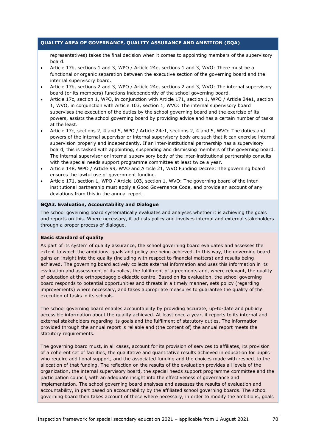representatives) takes the final decision when it comes to appointing members of the supervisory board.

- Article 17b, sections 1 and 3, WPO / Article 24e, sections 1 and 3, WVO: There must be a functional or organic separation between the executive section of the governing board and the internal supervisory board.
- Article 17b, sections 2 and 3, WPO / Article 24e, sections 2 and 3, WVO: The internal supervisory board (or its members) functions independently of the school governing board.
- Article 17c, section 1, WPO, in conjunction with Article 171, section 1, WPO / Article 24e1, section 1, WVO, in conjunction with Article 103, section 1, WVO: The internal supervisory board supervises the execution of the duties by the school governing board and the exercise of its powers, assists the school governing board by providing advice and has a certain number of tasks at the least.
- Article 17c, sections 2, 4 and 5, WPO / Article 24e1, sections 2, 4 and 5, WVO: The duties and powers of the internal supervisor or internal supervisory body are such that it can exercise internal supervision properly and independently. If an inter-institutional partnership has a supervisory board, this is tasked with appointing, suspending and dismissing members of the governing board. The internal supervisor or internal supervisory body of the inter-institutional partnership consults with the special needs support programme committee at least twice a year.
- Article 148, WPO / Article 99, WVO and Article 21, WVO Funding Decree: The governing board ensures the lawful use of government funding.
- Article 171, section 1, WPO / Article 103, section 1, WVO: The governing board of the interinstitutional partnership must apply a Good Governance Code, and provide an account of any deviations from this in the annual report.

## **GQA3. Evaluation, Accountability and Dialogue**

The school governing board systematically evaluates and analyses whether it is achieving the goals and reports on this. Where necessary, it adjusts policy and involves internal and external stakeholders through a proper process of dialogue.

## **Basic standard of quality**

As part of its system of quality assurance, the school governing board evaluates and assesses the extent to which the ambitions, goals and policy are being achieved. In this way, the governing board gains an insight into the quality (including with respect to financial matters) and results being achieved. The governing board actively collects external information and uses this information in its evaluation and assessment of its policy, the fulfilment of agreements and, where relevant, the quality of education at the orthopedagogic-didactic centre. Based on its evaluation, the school governing board responds to potential opportunities and threats in a timely manner, sets policy (regarding improvements) where necessary, and takes appropriate measures to guarantee the quality of the execution of tasks in its schools.

The school governing board enables accountability by providing accurate, up-to-date and publicly accessible information about the quality achieved. At least once a year, it reports to its internal and external stakeholders regarding its goals and the fulfilment of statutory duties. The information provided through the annual report is reliable and (the content of) the annual report meets the statutory requirements.

The governing board must, in all cases, account for its provision of services to affiliates, its provision of a coherent set of facilities, the qualitative and quantitative results achieved in education for pupils who require additional support, and the associated funding and the choices made with respect to the allocation of that funding. The reflection on the results of the evaluation provides all levels of the organization, the internal supervisory board, the special needs support programme committee and the participation council, with an adequate insight into the effectiveness of governance and implementation. The school governing board analyses and assesses the results of evaluation and accountability, in part based on accountability by the affiliated school governing boards. The school governing board then takes account of these where necessary, in order to modify the ambitions, goals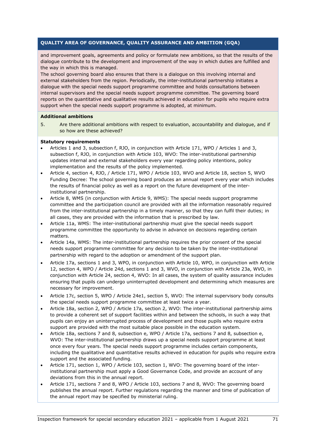and improvement goals, agreements and policy or formulate new ambitions, so that the results of the dialogue contribute to the development and improvement of the way in which duties are fulfilled and the way in which this is managed.

The school governing board also ensures that there is a dialogue on this involving internal and external stakeholders from the region. Periodically, the inter-institutional partnership initiates a dialogue with the special needs support programme committee and holds consultations between internal supervisors and the special needs support programme committee. The governing board reports on the quantitative and qualitative results achieved in education for pupils who require extra support when the special needs support programme is adopted, at minimum.

#### **Additional ambitions**

5. Are there additional ambitions with respect to evaluation, accountability and dialogue, and if so how are these achieved?

#### **Statutory requirements**

- Articles 1 and 3, subsection f, RJO, in conjunction with Article 171, WPO / Articles 1 and 3, subsection f, RJO, in conjunction with Article 103, WVO: The inter-institutional partnership updates internal and external stakeholders every year regarding policy intentions, policy implementation and the results of the policy implemented.
- Article 4, section 4, RJO, / Article 171, WPO / Article 103, WVO and Article 18, section 5, WVO Funding Decree: The school governing board produces an annual report every year which includes the results of financial policy as well as a report on the future development of the interinstitutional partnership.
- Article 8, WMS (in conjunction with Article 9, WMS): The special needs support programme committee and the participation council are provided with all the information reasonably required from the inter-institutional partnership in a timely manner, so that they can fulfil their duties; in all cases, they are provided with the information that is prescribed by law.
- Article 11a, WMS: The inter-institutional partnership must give the special needs support programme committee the opportunity to advise in advance on decisions regarding certain matters.
- Article 14a, WMS: The inter-institutional partnership requires the prior consent of the special needs support programme committee for any decision to be taken by the inter-institutional partnership with regard to the adoption or amendment of the support plan.
- Article 17a, sections 1 and 3, WPO, in conjunction with Article 10, WPO, in conjunction with Article 12, section 4, WPO / Article 24d, sections 1 and 3, WVO, in conjunction with Article 23a, WVO, in conjunction with Article 24, section 4, WVO: In all cases, the system of quality assurance includes ensuring that pupils can undergo uninterrupted development and determining which measures are necessary for improvement.
- Article 17c, section 5, WPO / Article 24e1, section 5, WVO: The internal supervisory body consults the special needs support programme committee at least twice a year.
- Article 18a, section 2, WPO / Article 17a, section 2, WVO: The inter-institutional partnership aims to provide a coherent set of support facilities within and between the schools, in such a way that pupils can enjoy an uninterrupted process of development and those pupils who require extra support are provided with the most suitable place possible in the education system.
- Article 18a, sections 7 and 8, subsection e, WPO / Article 17a, sections 7 and 8, subsection e, WVO: The inter-institutional partnership draws up a special needs support programme at least once every four years. The special needs support programme includes certain components, including the qualitative and quantitative results achieved in education for pupils who require extra support and the associated funding.
- Article 171, section 1, WPO / Article 103, section 1, WVO: The governing board of the interinstitutional partnership must apply a Good Governance Code, and provide an account of any deviations from this in the annual report.
- Article 171, sections 7 and 8, WPO / Article 103, sections 7 and 8, WVO: The governing board publishes the annual report. Further regulations regarding the manner and time of publication of the annual report may be specified by ministerial ruling.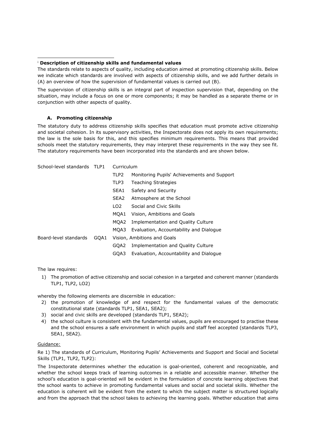#### <sup>i</sup> **Description of citizenship skills and fundamental values**

The standards relate to aspects of quality, including education aimed at promoting citizenship skills. Below we indicate which standards are involved with aspects of citizenship skills, and we add further details in (A) an overview of how the supervision of fundamental values is carried out (B).

The supervision of citizenship skills is an integral part of inspection supervision that, depending on the situation, may include a focus on one or more components; it may be handled as a separate theme or in conjunction with other aspects of quality.

## **A. Promoting citizenship**

The statutory duty to address citizenship skills specifies that education must promote active citizenship and societal cohesion. In its supervisory activities, the Inspectorate does not apply its own requirements; the law is the sole basis for this, and this specifies minimum requirements. This means that provided schools meet the statutory requirements, they may interpret these requirements in the way they see fit. The statutory requirements have been incorporated into the standards and are shown below.

School-level standards TLP1 Curriculum

|                       |      | TLP <sub>2</sub> | Monitoring Pupils' Achievements and Support |
|-----------------------|------|------------------|---------------------------------------------|
|                       |      | TLP3             | <b>Teaching Strategies</b>                  |
|                       |      | SEA1             | Safety and Security                         |
|                       |      | SEA <sub>2</sub> | Atmosphere at the School                    |
|                       |      | LO <sub>2</sub>  | Social and Civic Skills                     |
|                       |      | MOA1             | Vision, Ambitions and Goals                 |
|                       |      | MOA2             | Implementation and Quality Culture          |
|                       |      | MOA3 I           | Evaluation, Accountability and Dialogue     |
| Board-level standards | GOA1 |                  | Vision, Ambitions and Goals                 |
|                       |      | GOA2             | Implementation and Quality Culture          |
|                       |      | GOA3             | Evaluation, Accountability and Dialogue     |
|                       |      |                  |                                             |

The law requires:

1) The promotion of active citizenship and social cohesion in a targeted and coherent manner (standards TLP1, TLP2, LO2)

whereby the following elements are discernible in education:

- 2) the promotion of knowledge of and respect for the fundamental values of the democratic constitutional state (standards TLP1, SEA1, SEA2);
- 3) social and civic skills are developed (standards TLP1, SEA2);
- 4) the school culture is consistent with the fundamental values, pupils are encouraged to practise these and the school ensures a safe environment in which pupils and staff feel accepted (standards TLP3, SEA1, SEA2).

#### Guidance:

Re 1) The standards of Curriculum, Monitoring Pupils' Achievements and Support and Social and Societal Skills (TLP1, TLP2, TLP2):

The Inspectorate determines whether the education is goal-oriented, coherent and recognizable, and whether the school keeps track of learning outcomes in a reliable and accessible manner. Whether the school's education is goal-oriented will be evident in the formulation of concrete learning objectives that the school wants to achieve in promoting fundamental values and social and societal skills. Whether the education is coherent will be evident from the extent to which the subject matter is structured logically and from the approach that the school takes to achieving the learning goals. Whether education that aims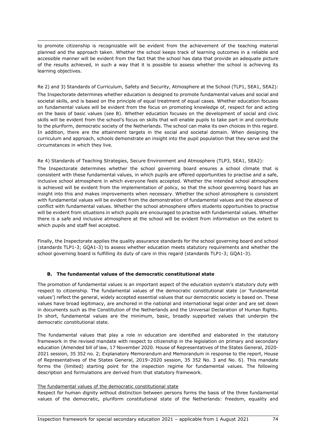to promote citizenship is recognizable will be evident from the achievement of the teaching material planned and the approach taken. Whether the school keeps track of learning outcomes in a reliable and accessible manner will be evident from the fact that the school has data that provide an adequate picture of the results achieved, in such a way that it is possible to assess whether the school is achieving its learning objectives.

Re 2) and 3) Standards of Curriculum, Safety and Security, Atmosphere at the School (TLP1, SEA1, SEA2): The Inspectorate determines whether education is designed to promote fundamental values and social and societal skills, and is based on the principle of equal treatment of equal cases. Whether education focuses on fundamental values will be evident from the focus on promoting knowledge of, respect for and acting on the basis of basic values (see B). Whether education focuses on the development of social and civic skills will be evident from the school's focus on skills that will enable pupils to take part in and contribute to the pluriform, democratic society of the Netherlands. The school can make its own choices in this regard. In addition, there are the attainment targets in the social and societal domain. When designing the curriculum and approach, schools demonstrate an insight into the pupil population that they serve and the circumstances in which they live.

## Re 4) Standards of Teaching Strategies, Secure Environment and Atmosphere (TLP3, SEA1, SEA2):

The Inspectorate determines whether the school governing board ensures a school climate that is consistent with these fundamental values, in which pupils are offered opportunities to practise and a safe, inclusive school atmosphere in which everyone feels accepted. Whether the intended school atmosphere is achieved will be evident from the implementation of policy, so that the school governing board has an insight into this and makes improvements when necessary. Whether the school atmosphere is consistent with fundamental values will be evident from the demonstration of fundamental values and the absence of conflict with fundamental values. Whether the school atmosphere offers students opportunities to practise will be evident from situations in which pupils are encouraged to practise with fundamental values. Whether there is a safe and inclusive atmosphere at the school will be evident from information on the extent to which pupils and staff feel accepted.

Finally, the Inspectorate applies the quality assurance standards for the school governing board and school (standards TLP1-3; GQA1-3) to assess whether education meets statutory requirements and whether the school governing board is fulfilling its duty of care in this regard (standards TLP1-3; GQA1-3).

# **B. The fundamental values of the democratic constitutional state**

The promotion of fundamental values is an important aspect of the education system's statutory duty with respect to citizenship. The fundamental values of the democratic constitutional state (or 'fundamental values') reflect the general, widely accepted essential values that our democratic society is based on. These values have broad legitimacy, are anchored in the national and international legal order and are set down in documents such as the Constitution of the Netherlands and the Universal Declaration of Human Rights. In short, fundamental values are the minimum, basic, broadly supported values that underpin the democratic constitutional state.

The fundamental values that play a role in education are identified and elaborated in the statutory framework in the revised mandate with respect to citizenship in the legislation on primary and secondary education (Amended bill of law, 17 November 2020. House of Representatives of the States General, 2020- 2021 session, 35 352 no. 2; Explanatory Memorandum and Memorandum in response to the report, House of Representatives of the States General, 2019–2020 session, 35 352 No. 3 and No. 6). This mandate forms the (limited) starting point for the inspection regime for fundamental values. The following description and formulations are derived from that statutory framework.

### The fundamental values of the democratic constitutional state

Respect for human dignity without distinction between persons forms the basis of the three fundamental values of the democratic, pluriform constitutional state of the Netherlands: freedom, equality and